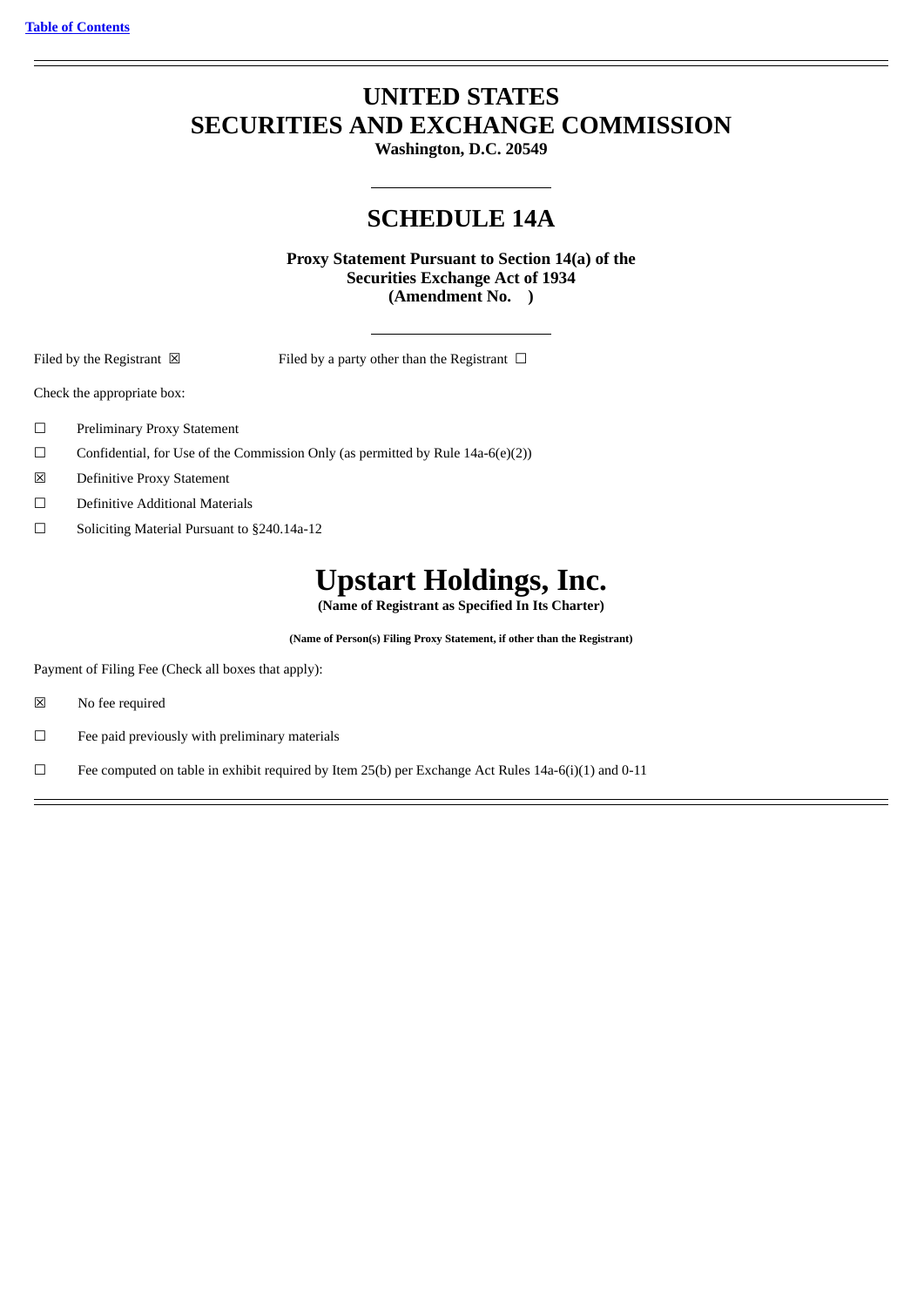# **UNITED STATES SECURITIES AND EXCHANGE COMMISSION**

**Washington, D.C. 20549**

# **SCHEDULE 14A**

**Proxy Statement Pursuant to Section 14(a) of the Securities Exchange Act of 1934 (Amendment No. )**

Filed by the Registrant  $\boxtimes$  Filed by a party other than the Registrant  $\Box$ 

Check the appropriate box:

- ☐ Preliminary Proxy Statement
- $\Box$  Confidential, for Use of the Commission Only (as permitted by Rule 14a-6(e)(2))
- ☒ Definitive Proxy Statement
- ☐ Definitive Additional Materials
- ☐ Soliciting Material Pursuant to §240.14a-12

# **Upstart Holdings, Inc.**

**(Name of Registrant as Specified In Its Charter)**

**(Name of Person(s) Filing Proxy Statement, if other than the Registrant)**

Payment of Filing Fee (Check all boxes that apply):

- ☒ No fee required
- ☐ Fee paid previously with preliminary materials
- □ Fee computed on table in exhibit required by Item 25(b) per Exchange Act Rules 14a-6(i)(1) and 0-11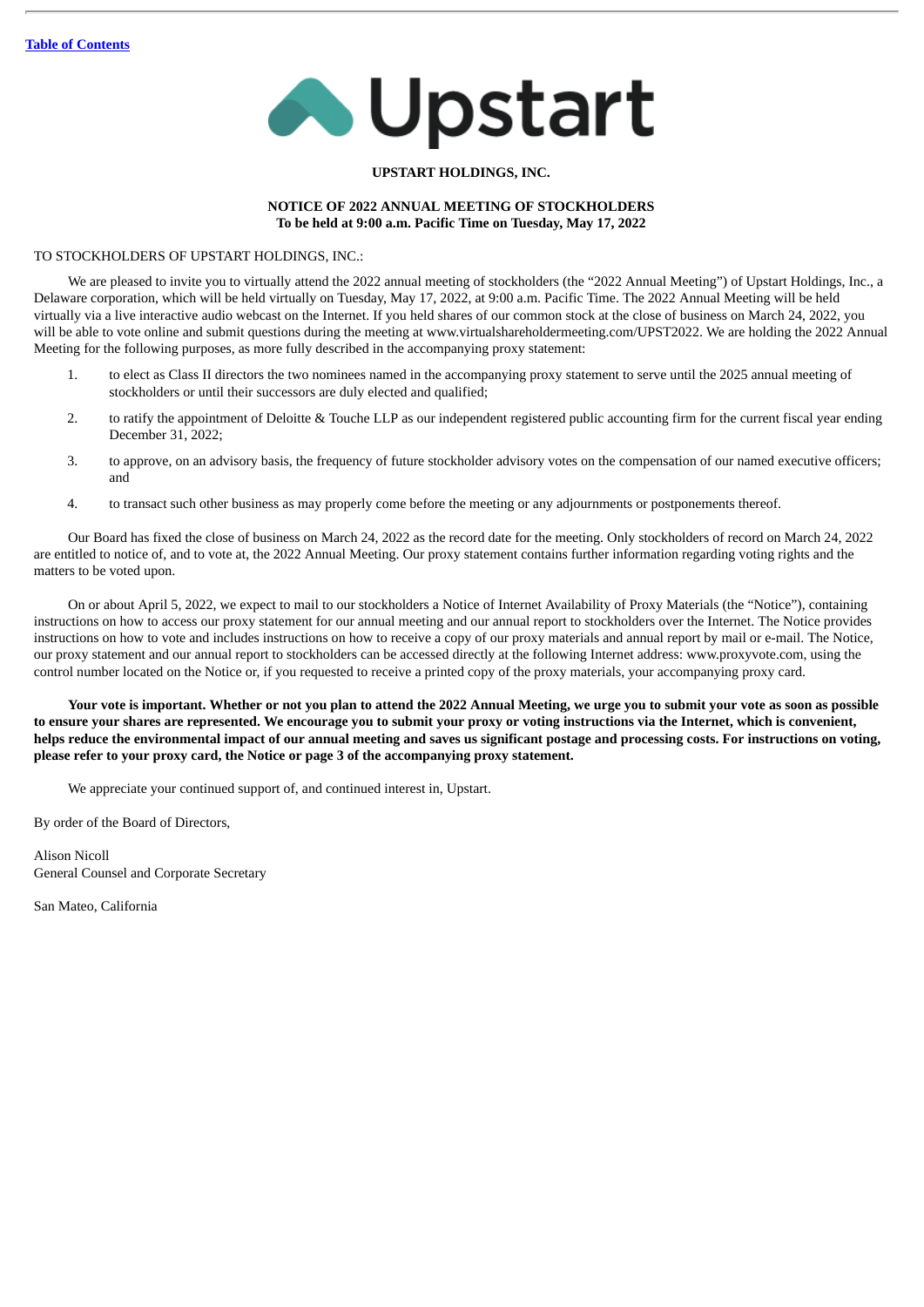

# **UPSTART HOLDINGS, INC.**

# **NOTICE OF 2022 ANNUAL MEETING OF STOCKHOLDERS To be held at 9:00 a.m. Pacific Time on Tuesday, May 17, 2022**

# TO STOCKHOLDERS OF UPSTART HOLDINGS, INC.:

We are pleased to invite you to virtually attend the 2022 annual meeting of stockholders (the "2022 Annual Meeting") of Upstart Holdings, Inc., a Delaware corporation, which will be held virtually on Tuesday, May 17, 2022, at 9:00 a.m. Pacific Time. The 2022 Annual Meeting will be held virtually via a live interactive audio webcast on the Internet. If you held shares of our common stock at the close of business on March 24, 2022, you will be able to vote online and submit questions during the meeting at www.virtualshareholdermeeting.com/UPST2022. We are holding the 2022 Annual Meeting for the following purposes, as more fully described in the accompanying proxy statement:

- 1. to elect as Class II directors the two nominees named in the accompanying proxy statement to serve until the 2025 annual meeting of stockholders or until their successors are duly elected and qualified;
- 2. to ratify the appointment of Deloitte & Touche LLP as our independent registered public accounting firm for the current fiscal year ending December 31, 2022;
- 3. to approve, on an advisory basis, the frequency of future stockholder advisory votes on the compensation of our named executive officers; and
- 4. to transact such other business as may properly come before the meeting or any adjournments or postponements thereof.

Our Board has fixed the close of business on March 24, 2022 as the record date for the meeting. Only stockholders of record on March 24, 2022 are entitled to notice of, and to vote at, the 2022 Annual Meeting. Our proxy statement contains further information regarding voting rights and the matters to be voted upon.

On or about April 5, 2022, we expect to mail to our stockholders a Notice of Internet Availability of Proxy Materials (the "Notice"), containing instructions on how to access our proxy statement for our annual meeting and our annual report to stockholders over the Internet. The Notice provides instructions on how to vote and includes instructions on how to receive a copy of our proxy materials and annual report by mail or e-mail. The Notice, our proxy statement and our annual report to stockholders can be accessed directly at the following Internet address: www.proxyvote.com, using the control number located on the Notice or, if you requested to receive a printed copy of the proxy materials, your accompanying proxy card.

Your vote is important. Whether or not you plan to attend the 2022 Annual Meeting, we urge you to submit your vote as soon as possible to ensure your shares are represented. We encourage you to submit your proxy or voting instructions via the Internet, which is convenient, helps reduce the environmental impact of our annual meeting and saves us significant postage and processing costs. For instructions on voting, **please refer to your proxy card, the Notice or page 3 of the accompanying proxy statement.**

We appreciate your continued support of, and continued interest in, Upstart.

By order of the Board of Directors,

Alison Nicoll General Counsel and Corporate Secretary

San Mateo, California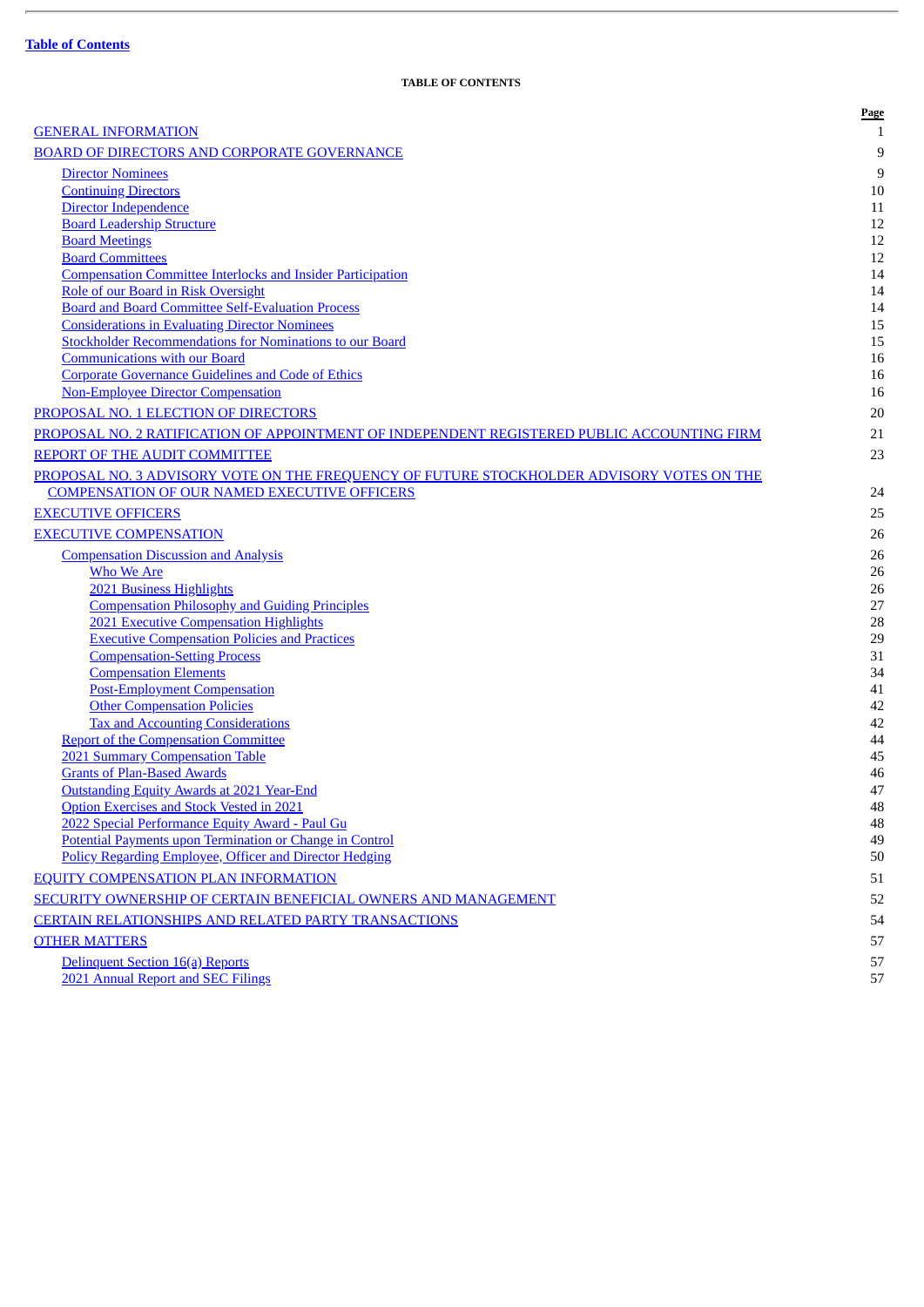<span id="page-2-0"></span>

|                                                                                                        | Page         |
|--------------------------------------------------------------------------------------------------------|--------------|
| <b>GENERAL INFORMATION</b>                                                                             | $\mathbf{1}$ |
| <b>BOARD OF DIRECTORS AND CORPORATE GOVERNANCE</b>                                                     | 9            |
| <b>Director Nominees</b>                                                                               | 9            |
| <b>Continuing Directors</b>                                                                            | 10           |
| Director Independence                                                                                  | 11           |
| <b>Board Leadership Structure</b>                                                                      | 12           |
| <b>Board Meetings</b>                                                                                  | 12           |
| <b>Board Committees</b>                                                                                | 12           |
| <b>Compensation Committee Interlocks and Insider Participation</b>                                     | 14           |
| Role of our Board in Risk Oversight                                                                    | 14           |
| <b>Board and Board Committee Self-Evaluation Process</b>                                               | 14           |
| <b>Considerations in Evaluating Director Nominees</b>                                                  | 15           |
| <b>Stockholder Recommendations for Nominations to our Board</b>                                        | 15           |
| <b>Communications with our Board</b>                                                                   | 16           |
| <b>Corporate Governance Guidelines and Code of Ethics</b><br><b>Non-Employee Director Compensation</b> | 16<br>16     |
|                                                                                                        |              |
| PROPOSAL NO. 1 ELECTION OF DIRECTORS                                                                   | 20           |
| PROPOSAL NO. 2 RATIFICATION OF APPOINTMENT OF INDEPENDENT REGISTERED PUBLIC ACCOUNTING FIRM            | 21           |
| REPORT OF THE AUDIT COMMITTEE                                                                          | 23           |
| PROPOSAL NO. 3 ADVISORY VOTE ON THE FREQUENCY OF FUTURE STOCKHOLDER ADVISORY VOTES ON THE              |              |
| <b>COMPENSATION OF OUR NAMED EXECUTIVE OFFICERS</b>                                                    | 24           |
| <b>EXECUTIVE OFFICERS</b>                                                                              | 25           |
| <b>EXECUTIVE COMPENSATION</b>                                                                          | 26           |
| <b>Compensation Discussion and Analysis</b>                                                            | 26           |
| <b>Who We Are</b>                                                                                      | 26           |
| 2021 Business Highlights                                                                               | 26           |
| <b>Compensation Philosophy and Guiding Principles</b>                                                  | 27           |
| <b>2021 Executive Compensation Highlights</b>                                                          | 28           |
| <b>Executive Compensation Policies and Practices</b>                                                   | 29           |
| <b>Compensation-Setting Process</b>                                                                    | 31           |
| <b>Compensation Elements</b>                                                                           | 34           |
| <b>Post-Employment Compensation</b>                                                                    | 41           |
| <b>Other Compensation Policies</b>                                                                     | 42           |
| <b>Tax and Accounting Considerations</b><br><b>Report of the Compensation Committee</b>                | 42<br>44     |
| 2021 Summary Compensation Table                                                                        | 45           |
| <b>Grants of Plan-Based Awards</b>                                                                     | 46           |
| <b>Outstanding Equity Awards at 2021 Year-End</b>                                                      | 47           |
| <b>Option Exercises and Stock Vested in 2021</b>                                                       | 48           |
| 2022 Special Performance Equity Award - Paul Gu                                                        | 48           |
| Potential Payments upon Termination or Change in Control                                               | 49           |
| Policy Regarding Employee, Officer and Director Hedging                                                | 50           |
| <b>EQUITY COMPENSATION PLAN INFORMATION</b>                                                            | 51           |
| SECURITY OWNERSHIP OF CERTAIN BENEFICIAL OWNERS AND MANAGEMENT                                         | 52           |
| CERTAIN RELATIONSHIPS AND RELATED PARTY TRANSACTIONS                                                   | 54           |
| <b>OTHER MATTERS</b>                                                                                   | 57           |
| Delinquent Section 16(a) Reports                                                                       | 57           |
| 2021 Annual Report and SEC Filings                                                                     | 57           |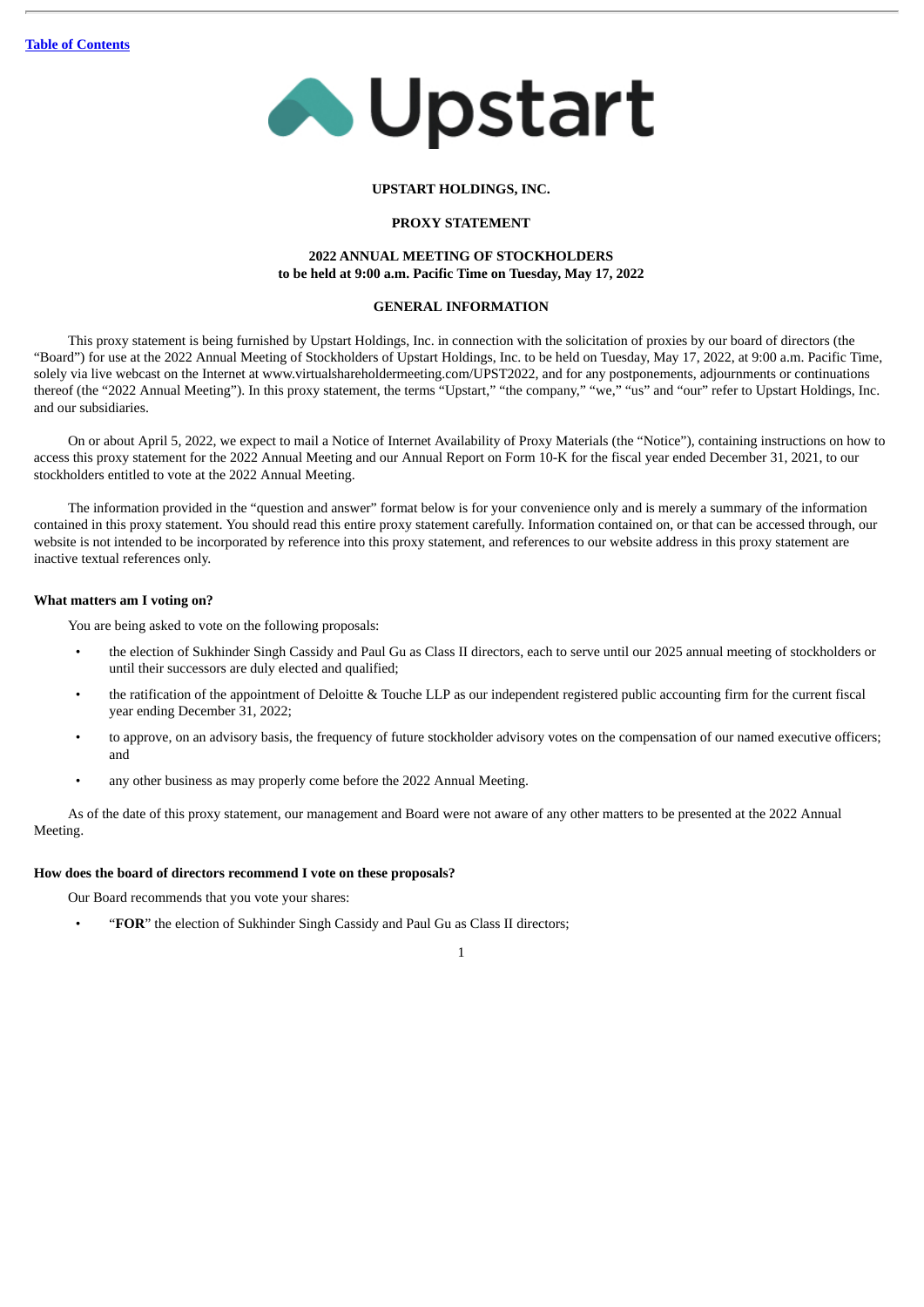

#### **UPSTART HOLDINGS, INC.**

# **PROXY STATEMENT**

# **2022 ANNUAL MEETING OF STOCKHOLDERS to be held at 9:00 a.m. Pacific Time on Tuesday, May 17, 2022**

# **GENERAL INFORMATION**

<span id="page-3-0"></span>This proxy statement is being furnished by Upstart Holdings, Inc. in connection with the solicitation of proxies by our board of directors (the "Board") for use at the 2022 Annual Meeting of Stockholders of Upstart Holdings, Inc. to be held on Tuesday, May 17, 2022, at 9:00 a.m. Pacific Time, solely via live webcast on the Internet at www.virtualshareholdermeeting.com/UPST2022, and for any postponements, adjournments or continuations thereof (the "2022 Annual Meeting"). In this proxy statement, the terms "Upstart," "the company," "we," "us" and "our" refer to Upstart Holdings, Inc. and our subsidiaries.

On or about April 5, 2022, we expect to mail a Notice of Internet Availability of Proxy Materials (the "Notice"), containing instructions on how to access this proxy statement for the 2022 Annual Meeting and our Annual Report on Form 10-K for the fiscal year ended December 31, 2021, to our stockholders entitled to vote at the 2022 Annual Meeting.

The information provided in the "question and answer" format below is for your convenience only and is merely a summary of the information contained in this proxy statement. You should read this entire proxy statement carefully. Information contained on, or that can be accessed through, our website is not intended to be incorporated by reference into this proxy statement, and references to our website address in this proxy statement are inactive textual references only.

# **What matters am I voting on?**

You are being asked to vote on the following proposals:

- the election of Sukhinder Singh Cassidy and Paul Gu as Class II directors, each to serve until our 2025 annual meeting of stockholders or until their successors are duly elected and qualified;
- the ratification of the appointment of Deloitte & Touche LLP as our independent registered public accounting firm for the current fiscal year ending December 31, 2022;
- to approve, on an advisory basis, the frequency of future stockholder advisory votes on the compensation of our named executive officers; and
- any other business as may properly come before the 2022 Annual Meeting.

As of the date of this proxy statement, our management and Board were not aware of any other matters to be presented at the 2022 Annual Meeting.

# **How does the board of directors recommend I vote on these proposals?**

Our Board recommends that you vote your shares:

• "**FOR**" the election of Sukhinder Singh Cassidy and Paul Gu as Class II directors;

<sup>1</sup>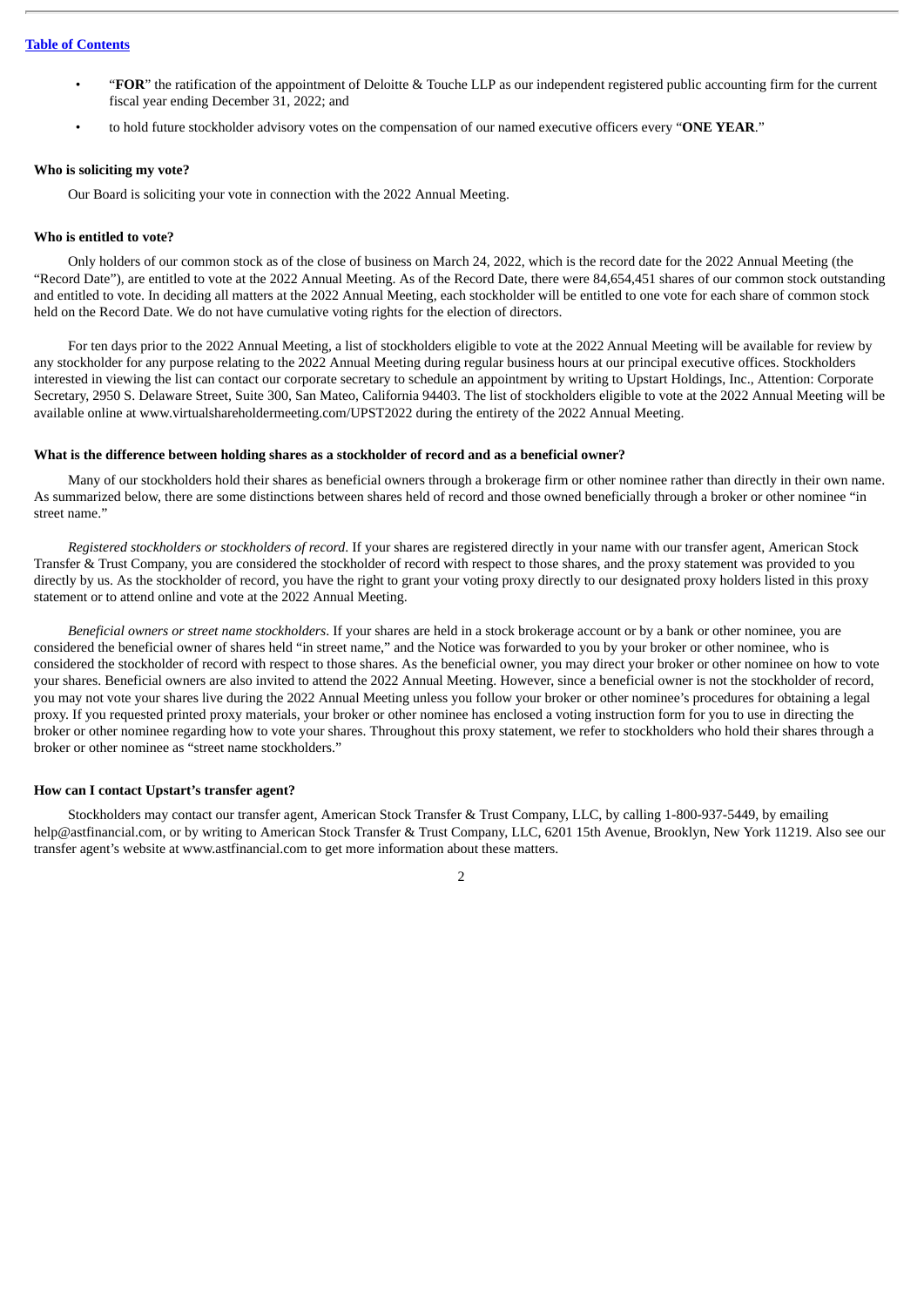- "**FOR**" the ratification of the appointment of Deloitte & Touche LLP as our independent registered public accounting firm for the current fiscal year ending December 31, 2022; and
- to hold future stockholder advisory votes on the compensation of our named executive officers every "**ONE YEAR**."

#### **Who is soliciting my vote?**

Our Board is soliciting your vote in connection with the 2022 Annual Meeting.

#### **Who is entitled to vote?**

Only holders of our common stock as of the close of business on March 24, 2022, which is the record date for the 2022 Annual Meeting (the "Record Date"), are entitled to vote at the 2022 Annual Meeting. As of the Record Date, there were 84,654,451 shares of our common stock outstanding and entitled to vote. In deciding all matters at the 2022 Annual Meeting, each stockholder will be entitled to one vote for each share of common stock held on the Record Date. We do not have cumulative voting rights for the election of directors.

For ten days prior to the 2022 Annual Meeting, a list of stockholders eligible to vote at the 2022 Annual Meeting will be available for review by any stockholder for any purpose relating to the 2022 Annual Meeting during regular business hours at our principal executive offices. Stockholders interested in viewing the list can contact our corporate secretary to schedule an appointment by writing to Upstart Holdings, Inc., Attention: Corporate Secretary, 2950 S. Delaware Street, Suite 300, San Mateo, California 94403. The list of stockholders eligible to vote at the 2022 Annual Meeting will be available online at www.virtualshareholdermeeting.com/UPST2022 during the entirety of the 2022 Annual Meeting.

#### **What is the difference between holding shares as a stockholder of record and as a beneficial owner?**

Many of our stockholders hold their shares as beneficial owners through a brokerage firm or other nominee rather than directly in their own name. As summarized below, there are some distinctions between shares held of record and those owned beneficially through a broker or other nominee "in street name."

*Registered stockholders or stockholders of record*. If your shares are registered directly in your name with our transfer agent, American Stock Transfer & Trust Company, you are considered the stockholder of record with respect to those shares, and the proxy statement was provided to you directly by us. As the stockholder of record, you have the right to grant your voting proxy directly to our designated proxy holders listed in this proxy statement or to attend online and vote at the 2022 Annual Meeting.

*Beneficial owners or street name stockholders*. If your shares are held in a stock brokerage account or by a bank or other nominee, you are considered the beneficial owner of shares held "in street name," and the Notice was forwarded to you by your broker or other nominee, who is considered the stockholder of record with respect to those shares. As the beneficial owner, you may direct your broker or other nominee on how to vote your shares. Beneficial owners are also invited to attend the 2022 Annual Meeting. However, since a beneficial owner is not the stockholder of record, you may not vote your shares live during the 2022 Annual Meeting unless you follow your broker or other nominee's procedures for obtaining a legal proxy. If you requested printed proxy materials, your broker or other nominee has enclosed a voting instruction form for you to use in directing the broker or other nominee regarding how to vote your shares. Throughout this proxy statement, we refer to stockholders who hold their shares through a broker or other nominee as "street name stockholders."

# **How can I contact Upstart's transfer agent?**

Stockholders may contact our transfer agent, American Stock Transfer & Trust Company, LLC, by calling 1-800-937-5449, by emailing help@astfinancial.com, or by writing to American Stock Transfer & Trust Company, LLC, 6201 15th Avenue, Brooklyn, New York 11219. Also see our transfer agent's website at www.astfinancial.com to get more information about these matters.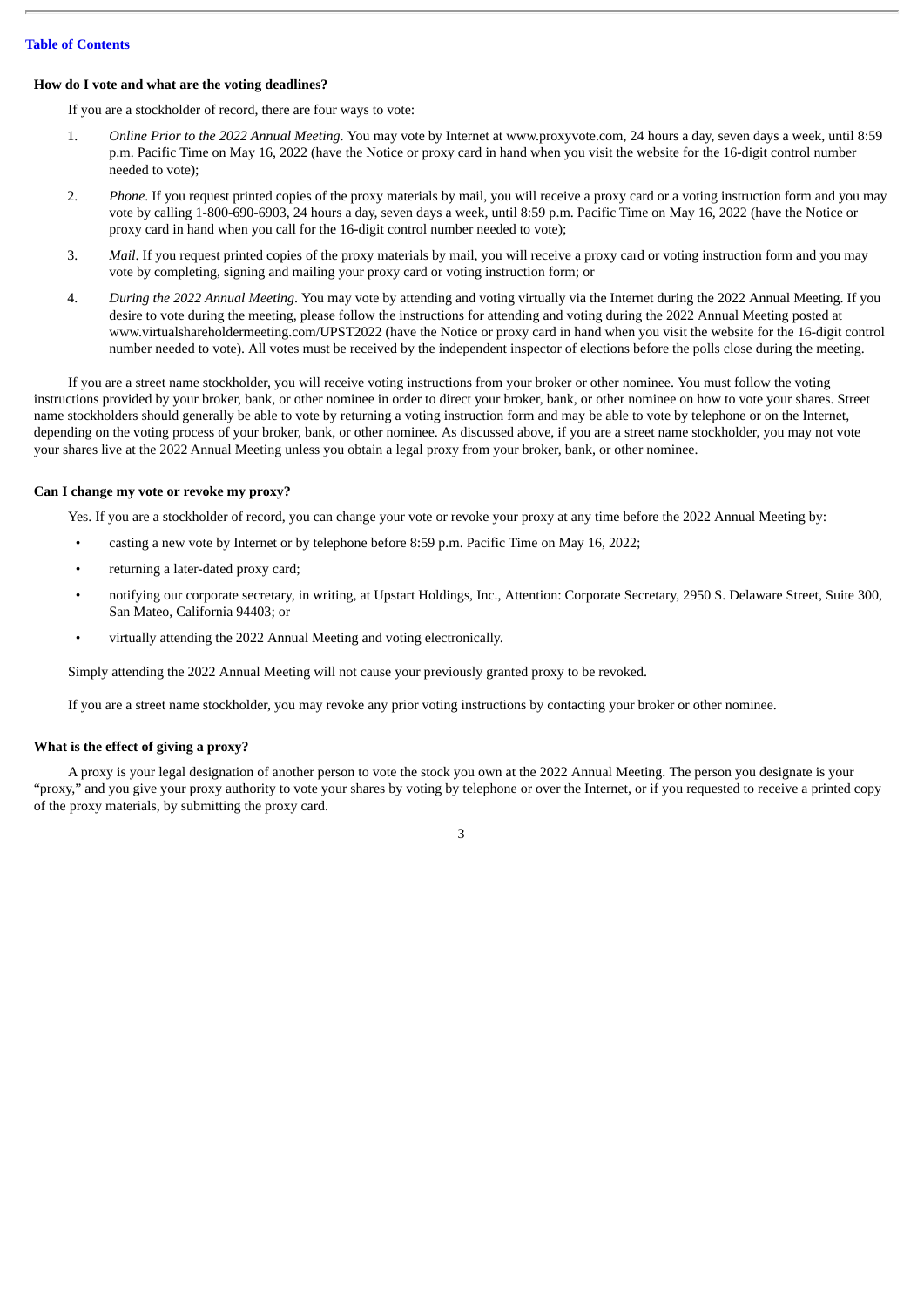#### **How do I vote and what are the voting deadlines?**

If you are a stockholder of record, there are four ways to vote:

- 1. *Online Prior to the 2022 Annual Meeting*. You may vote by Internet at www.proxyvote.com, 24 hours a day, seven days a week, until 8:59 p.m. Pacific Time on May 16, 2022 (have the Notice or proxy card in hand when you visit the website for the 16-digit control number needed to vote);
- 2. *Phone*. If you request printed copies of the proxy materials by mail, you will receive a proxy card or a voting instruction form and you may vote by calling 1-800-690-6903, 24 hours a day, seven days a week, until 8:59 p.m. Pacific Time on May 16, 2022 (have the Notice or proxy card in hand when you call for the 16-digit control number needed to vote);
- 3. *Mail*. If you request printed copies of the proxy materials by mail, you will receive a proxy card or voting instruction form and you may vote by completing, signing and mailing your proxy card or voting instruction form; or
- 4. *During the 2022 Annual Meeting*. You may vote by attending and voting virtually via the Internet during the 2022 Annual Meeting. If you desire to vote during the meeting, please follow the instructions for attending and voting during the 2022 Annual Meeting posted at www.virtualshareholdermeeting.com/UPST2022 (have the Notice or proxy card in hand when you visit the website for the 16-digit control number needed to vote). All votes must be received by the independent inspector of elections before the polls close during the meeting.

If you are a street name stockholder, you will receive voting instructions from your broker or other nominee. You must follow the voting instructions provided by your broker, bank, or other nominee in order to direct your broker, bank, or other nominee on how to vote your shares. Street name stockholders should generally be able to vote by returning a voting instruction form and may be able to vote by telephone or on the Internet, depending on the voting process of your broker, bank, or other nominee. As discussed above, if you are a street name stockholder, you may not vote your shares live at the 2022 Annual Meeting unless you obtain a legal proxy from your broker, bank, or other nominee.

#### **Can I change my vote or revoke my proxy?**

Yes. If you are a stockholder of record, you can change your vote or revoke your proxy at any time before the 2022 Annual Meeting by:

- casting a new vote by Internet or by telephone before 8:59 p.m. Pacific Time on May 16, 2022;
- returning a later-dated proxy card;
- notifying our corporate secretary, in writing, at Upstart Holdings, Inc., Attention: Corporate Secretary, 2950 S. Delaware Street, Suite 300, San Mateo, California 94403; or
- virtually attending the 2022 Annual Meeting and voting electronically.

Simply attending the 2022 Annual Meeting will not cause your previously granted proxy to be revoked.

If you are a street name stockholder, you may revoke any prior voting instructions by contacting your broker or other nominee.

# **What is the effect of giving a proxy?**

A proxy is your legal designation of another person to vote the stock you own at the 2022 Annual Meeting. The person you designate is your "proxy," and you give your proxy authority to vote your shares by voting by telephone or over the Internet, or if you requested to receive a printed copy of the proxy materials, by submitting the proxy card.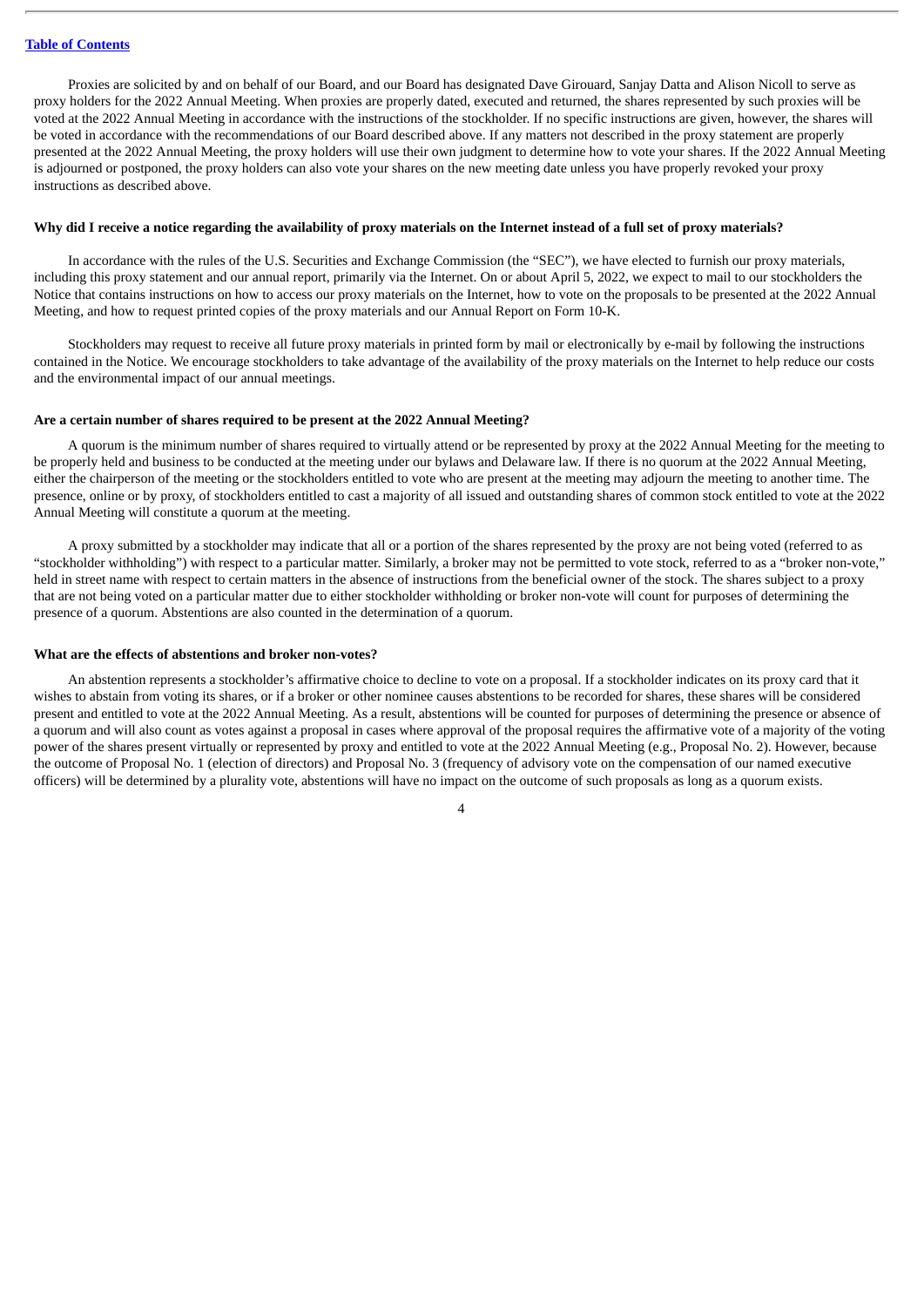Proxies are solicited by and on behalf of our Board, and our Board has designated Dave Girouard, Sanjay Datta and Alison Nicoll to serve as proxy holders for the 2022 Annual Meeting. When proxies are properly dated, executed and returned, the shares represented by such proxies will be voted at the 2022 Annual Meeting in accordance with the instructions of the stockholder. If no specific instructions are given, however, the shares will be voted in accordance with the recommendations of our Board described above. If any matters not described in the proxy statement are properly presented at the 2022 Annual Meeting, the proxy holders will use their own judgment to determine how to vote your shares. If the 2022 Annual Meeting is adjourned or postponed, the proxy holders can also vote your shares on the new meeting date unless you have properly revoked your proxy instructions as described above.

#### Why did I receive a notice regarding the availability of proxy materials on the Internet instead of a full set of proxy materials?

In accordance with the rules of the U.S. Securities and Exchange Commission (the "SEC"), we have elected to furnish our proxy materials, including this proxy statement and our annual report, primarily via the Internet. On or about April 5, 2022, we expect to mail to our stockholders the Notice that contains instructions on how to access our proxy materials on the Internet, how to vote on the proposals to be presented at the 2022 Annual Meeting, and how to request printed copies of the proxy materials and our Annual Report on Form 10-K.

Stockholders may request to receive all future proxy materials in printed form by mail or electronically by e-mail by following the instructions contained in the Notice. We encourage stockholders to take advantage of the availability of the proxy materials on the Internet to help reduce our costs and the environmental impact of our annual meetings.

# **Are a certain number of shares required to be present at the 2022 Annual Meeting?**

A quorum is the minimum number of shares required to virtually attend or be represented by proxy at the 2022 Annual Meeting for the meeting to be properly held and business to be conducted at the meeting under our bylaws and Delaware law. If there is no quorum at the 2022 Annual Meeting, either the chairperson of the meeting or the stockholders entitled to vote who are present at the meeting may adjourn the meeting to another time. The presence, online or by proxy, of stockholders entitled to cast a majority of all issued and outstanding shares of common stock entitled to vote at the 2022 Annual Meeting will constitute a quorum at the meeting.

A proxy submitted by a stockholder may indicate that all or a portion of the shares represented by the proxy are not being voted (referred to as "stockholder withholding") with respect to a particular matter. Similarly, a broker may not be permitted to vote stock, referred to as a "broker non-vote," held in street name with respect to certain matters in the absence of instructions from the beneficial owner of the stock. The shares subject to a proxy that are not being voted on a particular matter due to either stockholder withholding or broker non-vote will count for purposes of determining the presence of a quorum. Abstentions are also counted in the determination of a quorum.

#### **What are the effects of abstentions and broker non-votes?**

An abstention represents a stockholder's affirmative choice to decline to vote on a proposal. If a stockholder indicates on its proxy card that it wishes to abstain from voting its shares, or if a broker or other nominee causes abstentions to be recorded for shares, these shares will be considered present and entitled to vote at the 2022 Annual Meeting. As a result, abstentions will be counted for purposes of determining the presence or absence of a quorum and will also count as votes against a proposal in cases where approval of the proposal requires the affirmative vote of a majority of the voting power of the shares present virtually or represented by proxy and entitled to vote at the 2022 Annual Meeting (e.g., Proposal No. 2). However, because the outcome of Proposal No. 1 (election of directors) and Proposal No. 3 (frequency of advisory vote on the compensation of our named executive officers) will be determined by a plurality vote, abstentions will have no impact on the outcome of such proposals as long as a quorum exists.

 $\overline{A}$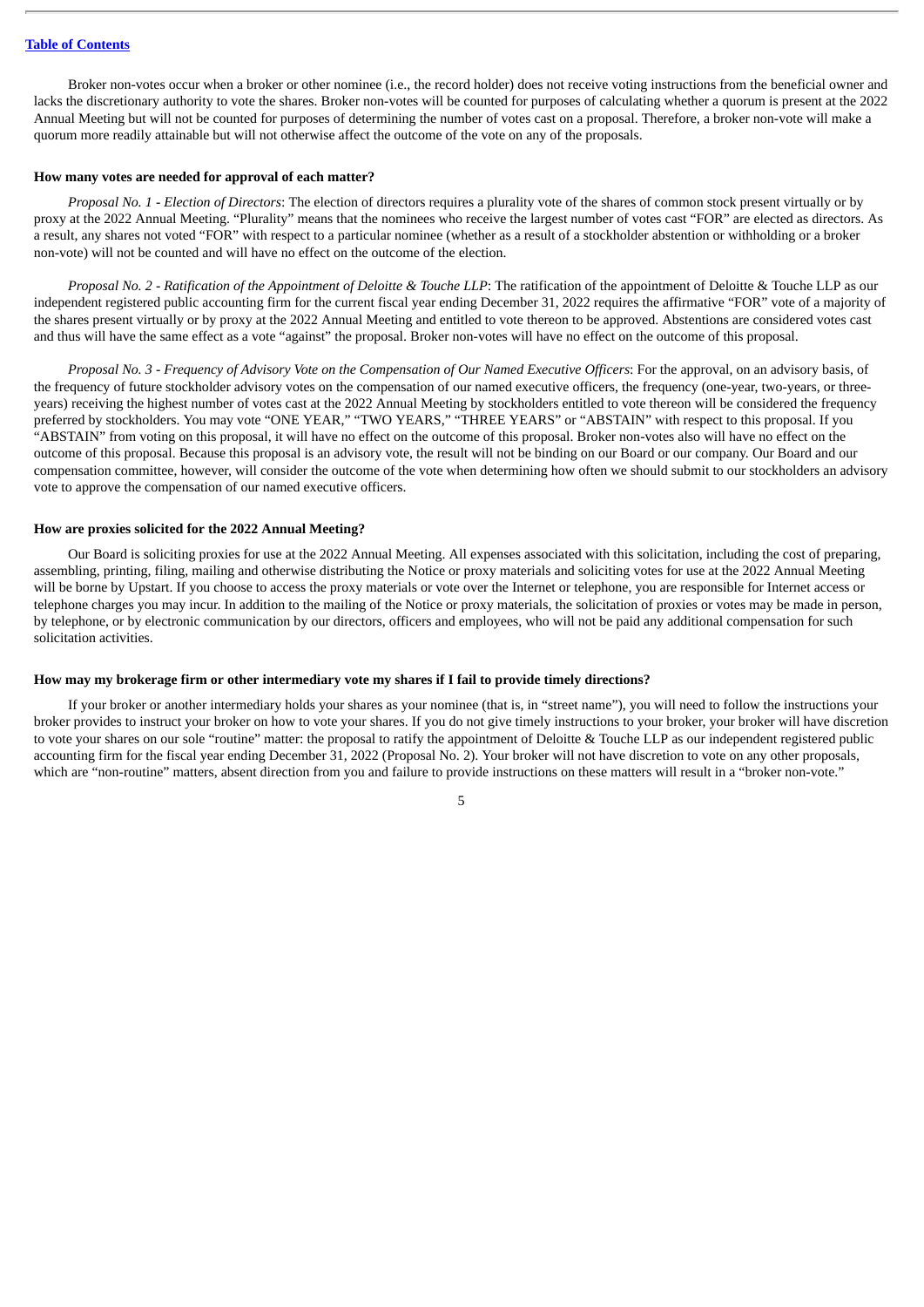Broker non-votes occur when a broker or other nominee (i.e., the record holder) does not receive voting instructions from the beneficial owner and lacks the discretionary authority to vote the shares. Broker non-votes will be counted for purposes of calculating whether a quorum is present at the 2022 Annual Meeting but will not be counted for purposes of determining the number of votes cast on a proposal. Therefore, a broker non-vote will make a quorum more readily attainable but will not otherwise affect the outcome of the vote on any of the proposals.

# **How many votes are needed for approval of each matter?**

*Proposal No. 1 - Election of Directors*: The election of directors requires a plurality vote of the shares of common stock present virtually or by proxy at the 2022 Annual Meeting. "Plurality" means that the nominees who receive the largest number of votes cast "FOR" are elected as directors. As a result, any shares not voted "FOR" with respect to a particular nominee (whether as a result of a stockholder abstention or withholding or a broker non-vote) will not be counted and will have no effect on the outcome of the election.

Proposal No. 2 - Ratification of the Appointment of Deloitte & Touche LLP: The ratification of the appointment of Deloitte & Touche LLP as our independent registered public accounting firm for the current fiscal year ending December 31, 2022 requires the affirmative "FOR" vote of a majority of the shares present virtually or by proxy at the 2022 Annual Meeting and entitled to vote thereon to be approved. Abstentions are considered votes cast and thus will have the same effect as a vote "against" the proposal. Broker non-votes will have no effect on the outcome of this proposal.

Proposal No. 3 - Frequency of Advisory Vote on the Compensation of Our Named Executive Officers: For the approval, on an advisory basis, of the frequency of future stockholder advisory votes on the compensation of our named executive officers, the frequency (one-year, two-years, or threeyears) receiving the highest number of votes cast at the 2022 Annual Meeting by stockholders entitled to vote thereon will be considered the frequency preferred by stockholders. You may vote "ONE YEAR," "TWO YEARS," "THREE YEARS" or "ABSTAIN" with respect to this proposal. If you "ABSTAIN" from voting on this proposal, it will have no effect on the outcome of this proposal. Broker non-votes also will have no effect on the outcome of this proposal. Because this proposal is an advisory vote, the result will not be binding on our Board or our company. Our Board and our compensation committee, however, will consider the outcome of the vote when determining how often we should submit to our stockholders an advisory vote to approve the compensation of our named executive officers.

#### **How are proxies solicited for the 2022 Annual Meeting?**

Our Board is soliciting proxies for use at the 2022 Annual Meeting. All expenses associated with this solicitation, including the cost of preparing, assembling, printing, filing, mailing and otherwise distributing the Notice or proxy materials and soliciting votes for use at the 2022 Annual Meeting will be borne by Upstart. If you choose to access the proxy materials or vote over the Internet or telephone, you are responsible for Internet access or telephone charges you may incur. In addition to the mailing of the Notice or proxy materials, the solicitation of proxies or votes may be made in person, by telephone, or by electronic communication by our directors, officers and employees, who will not be paid any additional compensation for such solicitation activities.

# How may my brokerage firm or other intermediary vote my shares if I fail to provide timely directions?

If your broker or another intermediary holds your shares as your nominee (that is, in "street name"), you will need to follow the instructions your broker provides to instruct your broker on how to vote your shares. If you do not give timely instructions to your broker, your broker will have discretion to vote your shares on our sole "routine" matter: the proposal to ratify the appointment of Deloitte & Touche LLP as our independent registered public accounting firm for the fiscal year ending December 31, 2022 (Proposal No. 2). Your broker will not have discretion to vote on any other proposals, which are "non-routine" matters, absent direction from you and failure to provide instructions on these matters will result in a "broker non-vote."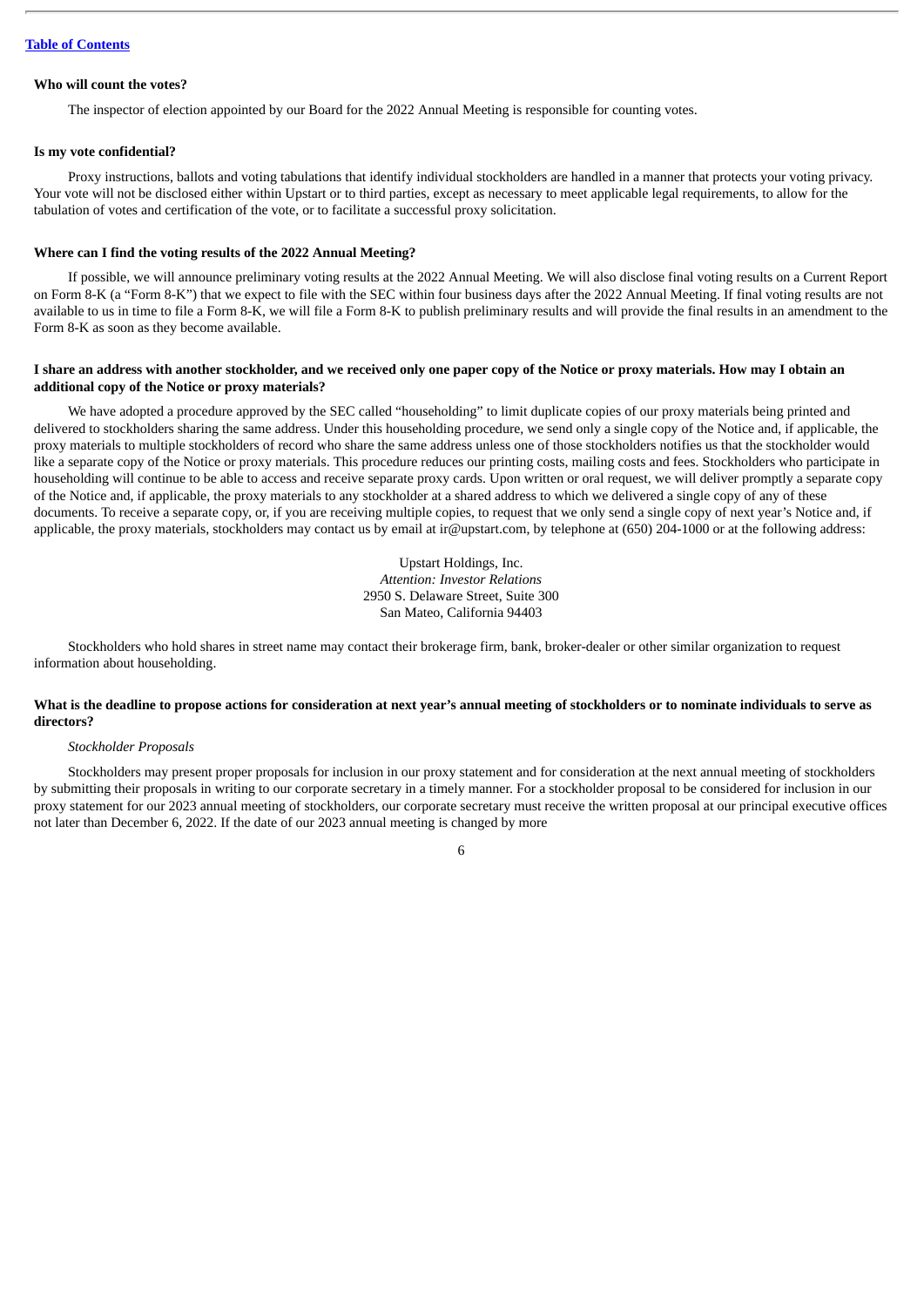# **Who will count the votes?**

The inspector of election appointed by our Board for the 2022 Annual Meeting is responsible for counting votes.

#### **Is my vote confidential?**

Proxy instructions, ballots and voting tabulations that identify individual stockholders are handled in a manner that protects your voting privacy. Your vote will not be disclosed either within Upstart or to third parties, except as necessary to meet applicable legal requirements, to allow for the tabulation of votes and certification of the vote, or to facilitate a successful proxy solicitation.

# **Where can I find the voting results of the 2022 Annual Meeting?**

If possible, we will announce preliminary voting results at the 2022 Annual Meeting. We will also disclose final voting results on a Current Report on Form 8-K (a "Form 8-K") that we expect to file with the SEC within four business days after the 2022 Annual Meeting. If final voting results are not available to us in time to file a Form 8-K, we will file a Form 8-K to publish preliminary results and will provide the final results in an amendment to the Form 8-K as soon as they become available.

# I share an address with another stockholder, and we received only one paper copy of the Notice or proxy materials. How may I obtain an **additional copy of the Notice or proxy materials?**

We have adopted a procedure approved by the SEC called "householding" to limit duplicate copies of our proxy materials being printed and delivered to stockholders sharing the same address. Under this householding procedure, we send only a single copy of the Notice and, if applicable, the proxy materials to multiple stockholders of record who share the same address unless one of those stockholders notifies us that the stockholder would like a separate copy of the Notice or proxy materials. This procedure reduces our printing costs, mailing costs and fees. Stockholders who participate in householding will continue to be able to access and receive separate proxy cards. Upon written or oral request, we will deliver promptly a separate copy of the Notice and, if applicable, the proxy materials to any stockholder at a shared address to which we delivered a single copy of any of these documents. To receive a separate copy, or, if you are receiving multiple copies, to request that we only send a single copy of next year's Notice and, if applicable, the proxy materials, stockholders may contact us by email at ir@upstart.com, by telephone at (650) 204-1000 or at the following address:

> Upstart Holdings, Inc. *Attention: Investor Relations* 2950 S. Delaware Street, Suite 300 San Mateo, California 94403

Stockholders who hold shares in street name may contact their brokerage firm, bank, broker-dealer or other similar organization to request information about householding.

# What is the deadline to propose actions for consideration at next year's annual meeting of stockholders or to nominate individuals to serve as **directors?**

#### *Stockholder Proposals*

Stockholders may present proper proposals for inclusion in our proxy statement and for consideration at the next annual meeting of stockholders by submitting their proposals in writing to our corporate secretary in a timely manner. For a stockholder proposal to be considered for inclusion in our proxy statement for our 2023 annual meeting of stockholders, our corporate secretary must receive the written proposal at our principal executive offices not later than December 6, 2022. If the date of our 2023 annual meeting is changed by more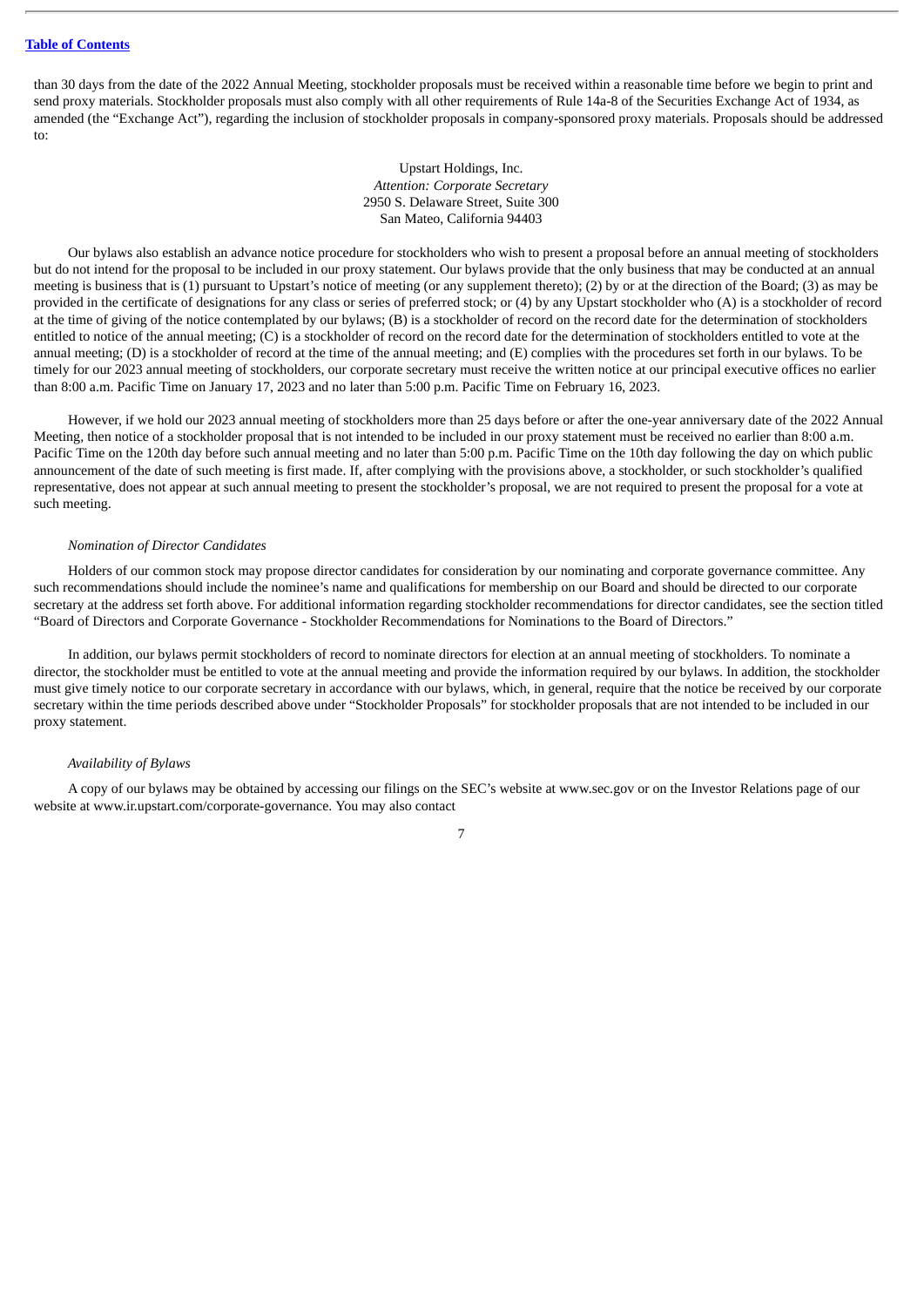than 30 days from the date of the 2022 Annual Meeting, stockholder proposals must be received within a reasonable time before we begin to print and send proxy materials. Stockholder proposals must also comply with all other requirements of Rule 14a-8 of the Securities Exchange Act of 1934, as amended (the "Exchange Act"), regarding the inclusion of stockholder proposals in company-sponsored proxy materials. Proposals should be addressed to:

> Upstart Holdings, Inc. *Attention: Corporate Secretary* 2950 S. Delaware Street, Suite 300 San Mateo, California 94403

Our bylaws also establish an advance notice procedure for stockholders who wish to present a proposal before an annual meeting of stockholders but do not intend for the proposal to be included in our proxy statement. Our bylaws provide that the only business that may be conducted at an annual meeting is business that is (1) pursuant to Upstart's notice of meeting (or any supplement thereto); (2) by or at the direction of the Board; (3) as may be provided in the certificate of designations for any class or series of preferred stock; or (4) by any Upstart stockholder who (A) is a stockholder of record at the time of giving of the notice contemplated by our bylaws; (B) is a stockholder of record on the record date for the determination of stockholders entitled to notice of the annual meeting; (C) is a stockholder of record on the record date for the determination of stockholders entitled to vote at the annual meeting; (D) is a stockholder of record at the time of the annual meeting; and (E) complies with the procedures set forth in our bylaws. To be timely for our 2023 annual meeting of stockholders, our corporate secretary must receive the written notice at our principal executive offices no earlier than 8:00 a.m. Pacific Time on January 17, 2023 and no later than 5:00 p.m. Pacific Time on February 16, 2023.

However, if we hold our 2023 annual meeting of stockholders more than 25 days before or after the one-year anniversary date of the 2022 Annual Meeting, then notice of a stockholder proposal that is not intended to be included in our proxy statement must be received no earlier than 8:00 a.m. Pacific Time on the 120th day before such annual meeting and no later than 5:00 p.m. Pacific Time on the 10th day following the day on which public announcement of the date of such meeting is first made. If, after complying with the provisions above, a stockholder, or such stockholder's qualified representative, does not appear at such annual meeting to present the stockholder's proposal, we are not required to present the proposal for a vote at such meeting.

#### *Nomination of Director Candidates*

Holders of our common stock may propose director candidates for consideration by our nominating and corporate governance committee. Any such recommendations should include the nominee's name and qualifications for membership on our Board and should be directed to our corporate secretary at the address set forth above. For additional information regarding stockholder recommendations for director candidates, see the section titled "Board of Directors and Corporate Governance - Stockholder Recommendations for Nominations to the Board of Directors."

In addition, our bylaws permit stockholders of record to nominate directors for election at an annual meeting of stockholders. To nominate a director, the stockholder must be entitled to vote at the annual meeting and provide the information required by our bylaws. In addition, the stockholder must give timely notice to our corporate secretary in accordance with our bylaws, which, in general, require that the notice be received by our corporate secretary within the time periods described above under "Stockholder Proposals" for stockholder proposals that are not intended to be included in our proxy statement.

#### *Availability of Bylaws*

A copy of our bylaws may be obtained by accessing our filings on the SEC's website at www.sec.gov or on the Investor Relations page of our website at www.ir.upstart.com/corporate-governance. You may also contact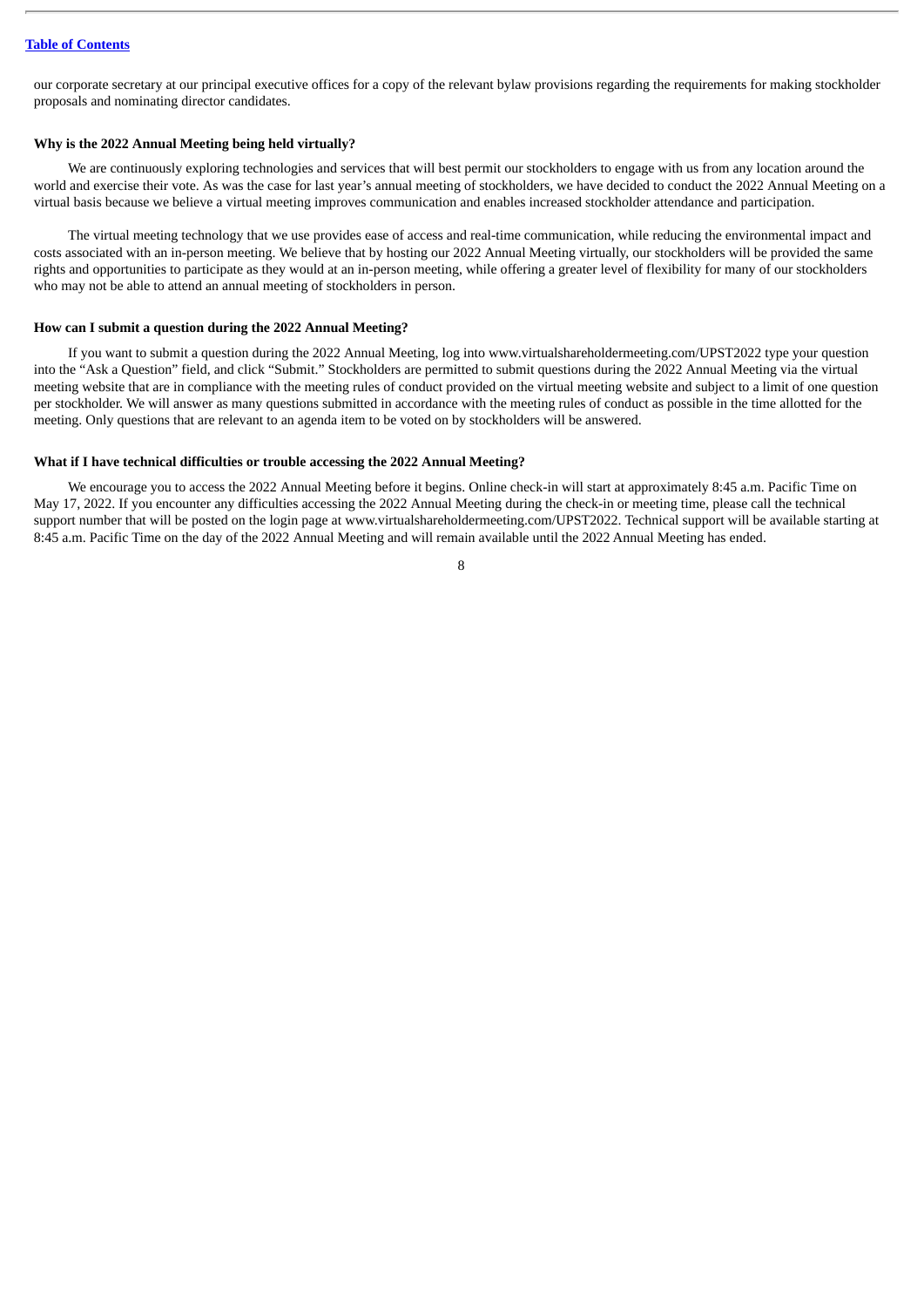our corporate secretary at our principal executive offices for a copy of the relevant bylaw provisions regarding the requirements for making stockholder proposals and nominating director candidates.

# **Why is the 2022 Annual Meeting being held virtually?**

We are continuously exploring technologies and services that will best permit our stockholders to engage with us from any location around the world and exercise their vote. As was the case for last year's annual meeting of stockholders, we have decided to conduct the 2022 Annual Meeting on a virtual basis because we believe a virtual meeting improves communication and enables increased stockholder attendance and participation.

The virtual meeting technology that we use provides ease of access and real-time communication, while reducing the environmental impact and costs associated with an in-person meeting. We believe that by hosting our 2022 Annual Meeting virtually, our stockholders will be provided the same rights and opportunities to participate as they would at an in-person meeting, while offering a greater level of flexibility for many of our stockholders who may not be able to attend an annual meeting of stockholders in person.

# **How can I submit a question during the 2022 Annual Meeting?**

If you want to submit a question during the 2022 Annual Meeting, log into www.virtualshareholdermeeting.com/UPST2022 type your question into the "Ask a Question" field, and click "Submit." Stockholders are permitted to submit questions during the 2022 Annual Meeting via the virtual meeting website that are in compliance with the meeting rules of conduct provided on the virtual meeting website and subject to a limit of one question per stockholder. We will answer as many questions submitted in accordance with the meeting rules of conduct as possible in the time allotted for the meeting. Only questions that are relevant to an agenda item to be voted on by stockholders will be answered.

#### **What if I have technical difficulties or trouble accessing the 2022 Annual Meeting?**

We encourage you to access the 2022 Annual Meeting before it begins. Online check-in will start at approximately 8:45 a.m. Pacific Time on May 17, 2022. If you encounter any difficulties accessing the 2022 Annual Meeting during the check-in or meeting time, please call the technical support number that will be posted on the login page at www.virtualshareholdermeeting.com/UPST2022. Technical support will be available starting at 8:45 a.m. Pacific Time on the day of the 2022 Annual Meeting and will remain available until the 2022 Annual Meeting has ended.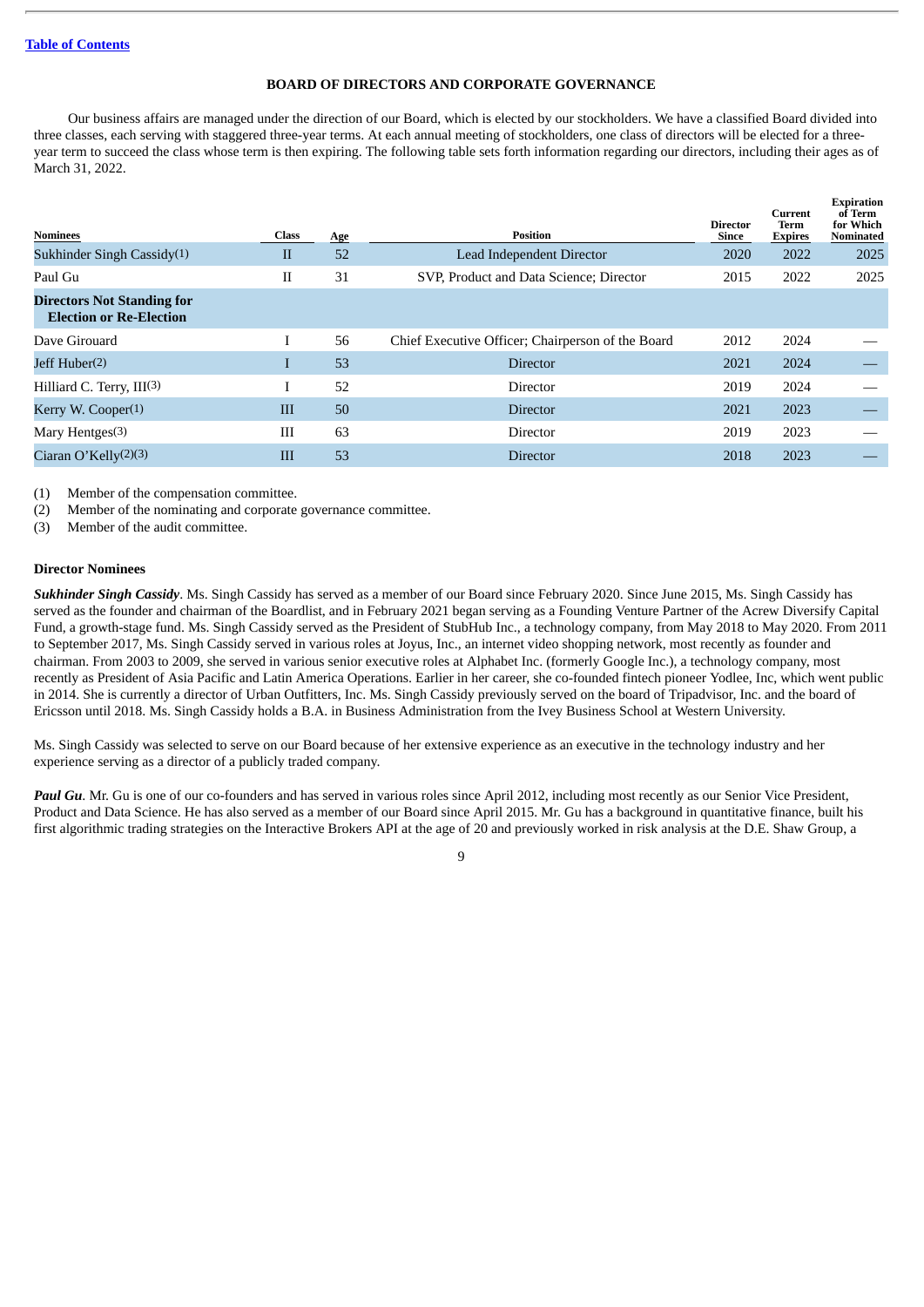# **BOARD OF DIRECTORS AND CORPORATE GOVERNANCE**

<span id="page-11-0"></span>Our business affairs are managed under the direction of our Board, which is elected by our stockholders. We have a classified Board divided into three classes, each serving with staggered three-year terms. At each annual meeting of stockholders, one class of directors will be elected for a threeyear term to succeed the class whose term is then expiring. The following table sets forth information regarding our directors, including their ages as of March 31, 2022.

**Expiration**

| <b>Nominees</b>                                                     | Class        | Age | <b>Position</b>                                   | <b>Director</b><br>Since | Current<br>Term<br><b>Expires</b> | of Term<br>for Which<br>Nominated |
|---------------------------------------------------------------------|--------------|-----|---------------------------------------------------|--------------------------|-----------------------------------|-----------------------------------|
| Sukhinder Singh Cassidy $(1)$                                       | $\mathbf{I}$ | 52  | Lead Independent Director                         | 2020                     | 2022                              | 2025                              |
| Paul Gu                                                             | П            | 31  | SVP, Product and Data Science; Director           | 2015                     | 2022                              | 2025                              |
| <b>Directors Not Standing for</b><br><b>Election or Re-Election</b> |              |     |                                                   |                          |                                   |                                   |
| Dave Girouard                                                       |              | 56  | Chief Executive Officer; Chairperson of the Board | 2012                     | 2024                              |                                   |
| Jeff Huber <sup>(2)</sup>                                           |              | 53  | <b>Director</b>                                   | 2021                     | 2024                              |                                   |
| Hilliard C. Terry, III(3)                                           | I            | 52  | Director                                          | 2019                     | 2024                              |                                   |
| Kerry W. Cooper $(1)$                                               | III          | 50  | <b>Director</b>                                   | 2021                     | 2023                              |                                   |
| Mary Hentges $(3)$                                                  | III          | 63  | Director                                          | 2019                     | 2023                              |                                   |
| Ciaran O'Kelly $(2)(3)$                                             | Ш            | 53  | <b>Director</b>                                   | 2018                     | 2023                              |                                   |

(1) Member of the compensation committee.

(2) Member of the nominating and corporate governance committee.

(3) Member of the audit committee.

# <span id="page-11-1"></span>**Director Nominees**

*Sukhinder Singh Cassidy*. Ms. Singh Cassidy has served as a member of our Board since February 2020. Since June 2015, Ms. Singh Cassidy has served as the founder and chairman of the Boardlist, and in February 2021 began serving as a Founding Venture Partner of the Acrew Diversify Capital Fund, a growth-stage fund. Ms. Singh Cassidy served as the President of StubHub Inc., a technology company, from May 2018 to May 2020. From 2011 to September 2017, Ms. Singh Cassidy served in various roles at Joyus, Inc., an internet video shopping network, most recently as founder and chairman. From 2003 to 2009, she served in various senior executive roles at Alphabet Inc. (formerly Google Inc.), a technology company, most recently as President of Asia Pacific and Latin America Operations. Earlier in her career, she co-founded fintech pioneer Yodlee, Inc, which went public in 2014. She is currently a director of Urban Outfitters, Inc. Ms. Singh Cassidy previously served on the board of Tripadvisor, Inc. and the board of Ericsson until 2018. Ms. Singh Cassidy holds a B.A. in Business Administration from the Ivey Business School at Western University.

Ms. Singh Cassidy was selected to serve on our Board because of her extensive experience as an executive in the technology industry and her experience serving as a director of a publicly traded company.

*Paul Gu*. Mr. Gu is one of our co-founders and has served in various roles since April 2012, including most recently as our Senior Vice President, Product and Data Science. He has also served as a member of our Board since April 2015. Mr. Gu has a background in quantitative finance, built his first algorithmic trading strategies on the Interactive Brokers API at the age of 20 and previously worked in risk analysis at the D.E. Shaw Group, a

 $\overline{q}$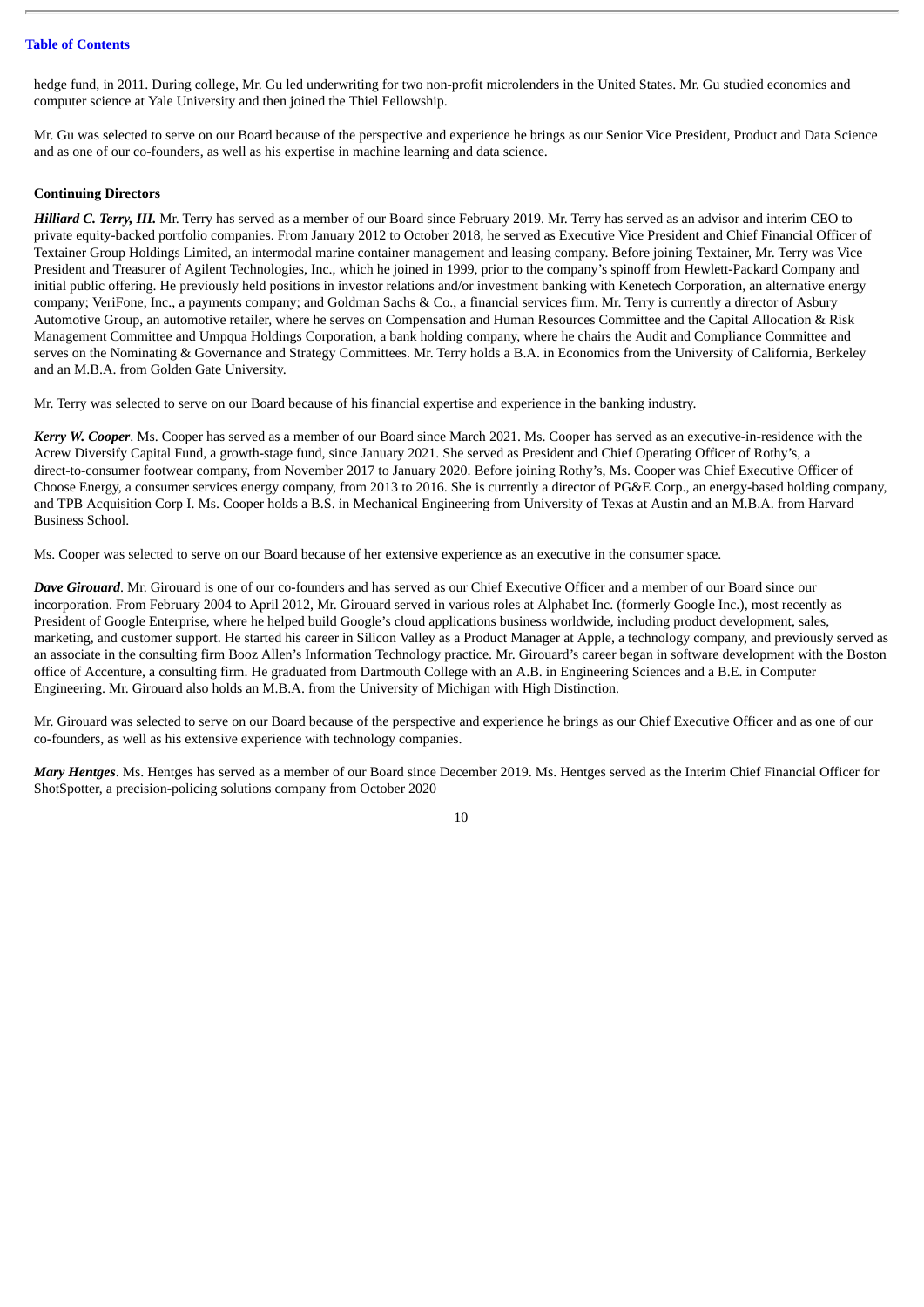hedge fund, in 2011. During college, Mr. Gu led underwriting for two non-profit microlenders in the United States. Mr. Gu studied economics and computer science at Yale University and then joined the Thiel Fellowship.

Mr. Gu was selected to serve on our Board because of the perspective and experience he brings as our Senior Vice President, Product and Data Science and as one of our co-founders, as well as his expertise in machine learning and data science.

# <span id="page-12-0"></span>**Continuing Directors**

*Hilliard C. Terry, III.* Mr. Terry has served as a member of our Board since February 2019. Mr. Terry has served as an advisor and interim CEO to private equity-backed portfolio companies. From January 2012 to October 2018, he served as Executive Vice President and Chief Financial Officer of Textainer Group Holdings Limited, an intermodal marine container management and leasing company. Before joining Textainer, Mr. Terry was Vice President and Treasurer of Agilent Technologies, Inc., which he joined in 1999, prior to the company's spinoff from Hewlett-Packard Company and initial public offering. He previously held positions in investor relations and/or investment banking with Kenetech Corporation, an alternative energy company; VeriFone, Inc., a payments company; and Goldman Sachs & Co., a financial services firm. Mr. Terry is currently a director of Asbury Automotive Group, an automotive retailer, where he serves on Compensation and Human Resources Committee and the Capital Allocation & Risk Management Committee and Umpqua Holdings Corporation, a bank holding company, where he chairs the Audit and Compliance Committee and serves on the Nominating & Governance and Strategy Committees. Mr. Terry holds a B.A. in Economics from the University of California, Berkeley and an M.B.A. from Golden Gate University.

Mr. Terry was selected to serve on our Board because of his financial expertise and experience in the banking industry.

*Kerry W. Cooper*. Ms. Cooper has served as a member of our Board since March 2021. Ms. Cooper has served as an executive-in-residence with the Acrew Diversify Capital Fund, a growth-stage fund, since January 2021. She served as President and Chief Operating Officer of Rothy's, a direct-to-consumer footwear company, from November 2017 to January 2020. Before joining Rothy's, Ms. Cooper was Chief Executive Officer of Choose Energy, a consumer services energy company, from 2013 to 2016. She is currently a director of PG&E Corp., an energy-based holding company, and TPB Acquisition Corp I. Ms. Cooper holds a B.S. in Mechanical Engineering from University of Texas at Austin and an M.B.A. from Harvard Business School.

Ms. Cooper was selected to serve on our Board because of her extensive experience as an executive in the consumer space.

*Dave Girouard*. Mr. Girouard is one of our co-founders and has served as our Chief Executive Officer and a member of our Board since our incorporation. From February 2004 to April 2012, Mr. Girouard served in various roles at Alphabet Inc. (formerly Google Inc.), most recently as President of Google Enterprise, where he helped build Google's cloud applications business worldwide, including product development, sales, marketing, and customer support. He started his career in Silicon Valley as a Product Manager at Apple, a technology company, and previously served as an associate in the consulting firm Booz Allen's Information Technology practice. Mr. Girouard's career began in software development with the Boston office of Accenture, a consulting firm. He graduated from Dartmouth College with an A.B. in Engineering Sciences and a B.E. in Computer Engineering. Mr. Girouard also holds an M.B.A. from the University of Michigan with High Distinction.

Mr. Girouard was selected to serve on our Board because of the perspective and experience he brings as our Chief Executive Officer and as one of our co-founders, as well as his extensive experience with technology companies.

*Mary Hentges*. Ms. Hentges has served as a member of our Board since December 2019. Ms. Hentges served as the Interim Chief Financial Officer for ShotSpotter, a precision-policing solutions company from October 2020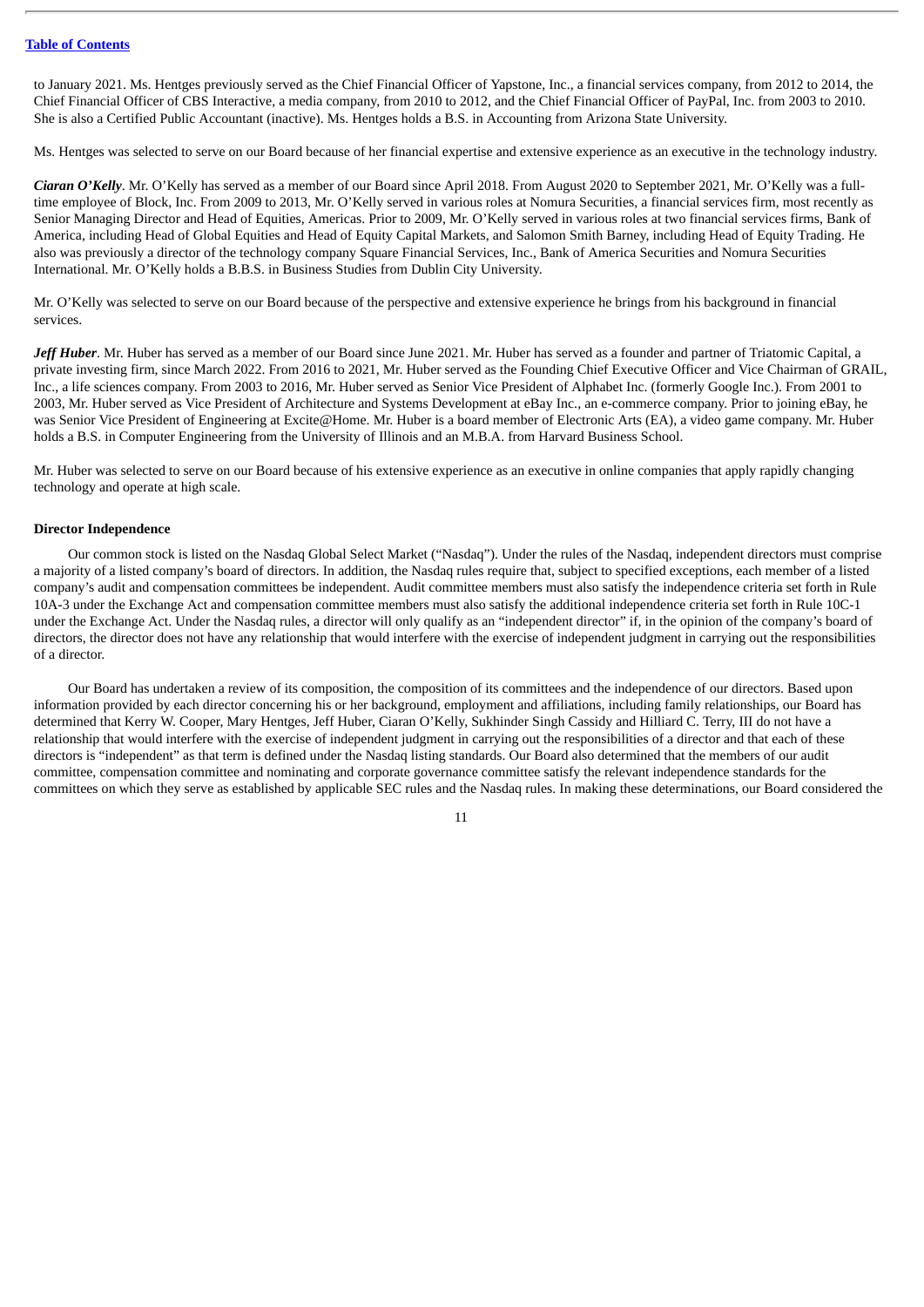to January 2021. Ms. Hentges previously served as the Chief Financial Officer of Yapstone, Inc., a financial services company, from 2012 to 2014, the Chief Financial Officer of CBS Interactive, a media company, from 2010 to 2012, and the Chief Financial Officer of PayPal, Inc. from 2003 to 2010. She is also a Certified Public Accountant (inactive). Ms. Hentges holds a B.S. in Accounting from Arizona State University.

Ms. Hentges was selected to serve on our Board because of her financial expertise and extensive experience as an executive in the technology industry.

*Ciaran O'Kelly*. Mr. O'Kelly has served as a member of our Board since April 2018. From August 2020 to September 2021, Mr. O'Kelly was a fulltime employee of Block, Inc. From 2009 to 2013, Mr. O'Kelly served in various roles at Nomura Securities, a financial services firm, most recently as Senior Managing Director and Head of Equities, Americas. Prior to 2009, Mr. O'Kelly served in various roles at two financial services firms, Bank of America, including Head of Global Equities and Head of Equity Capital Markets, and Salomon Smith Barney, including Head of Equity Trading. He also was previously a director of the technology company Square Financial Services, Inc., Bank of America Securities and Nomura Securities International. Mr. O'Kelly holds a B.B.S. in Business Studies from Dublin City University.

Mr. O'Kelly was selected to serve on our Board because of the perspective and extensive experience he brings from his background in financial services.

*Jeff Huber*. Mr. Huber has served as a member of our Board since June 2021. Mr. Huber has served as a founder and partner of Triatomic Capital, a private investing firm, since March 2022. From 2016 to 2021, Mr. Huber served as the Founding Chief Executive Officer and Vice Chairman of GRAIL, Inc., a life sciences company. From 2003 to 2016, Mr. Huber served as Senior Vice President of Alphabet Inc. (formerly Google Inc.). From 2001 to 2003, Mr. Huber served as Vice President of Architecture and Systems Development at eBay Inc., an e-commerce company. Prior to joining eBay, he was Senior Vice President of Engineering at Excite@Home. Mr. Huber is a board member of Electronic Arts (EA), a video game company. Mr. Huber holds a B.S. in Computer Engineering from the University of Illinois and an M.B.A. from Harvard Business School.

Mr. Huber was selected to serve on our Board because of his extensive experience as an executive in online companies that apply rapidly changing technology and operate at high scale.

#### <span id="page-13-0"></span>**Director Independence**

Our common stock is listed on the Nasdaq Global Select Market ("Nasdaq"). Under the rules of the Nasdaq, independent directors must comprise a majority of a listed company's board of directors. In addition, the Nasdaq rules require that, subject to specified exceptions, each member of a listed company's audit and compensation committees be independent. Audit committee members must also satisfy the independence criteria set forth in Rule 10A-3 under the Exchange Act and compensation committee members must also satisfy the additional independence criteria set forth in Rule 10C-1 under the Exchange Act. Under the Nasdaq rules, a director will only qualify as an "independent director" if, in the opinion of the company's board of directors, the director does not have any relationship that would interfere with the exercise of independent judgment in carrying out the responsibilities of a director.

Our Board has undertaken a review of its composition, the composition of its committees and the independence of our directors. Based upon information provided by each director concerning his or her background, employment and affiliations, including family relationships, our Board has determined that Kerry W. Cooper, Mary Hentges, Jeff Huber, Ciaran O'Kelly, Sukhinder Singh Cassidy and Hilliard C. Terry, III do not have a relationship that would interfere with the exercise of independent judgment in carrying out the responsibilities of a director and that each of these directors is "independent" as that term is defined under the Nasdaq listing standards. Our Board also determined that the members of our audit committee, compensation committee and nominating and corporate governance committee satisfy the relevant independence standards for the committees on which they serve as established by applicable SEC rules and the Nasdaq rules. In making these determinations, our Board considered the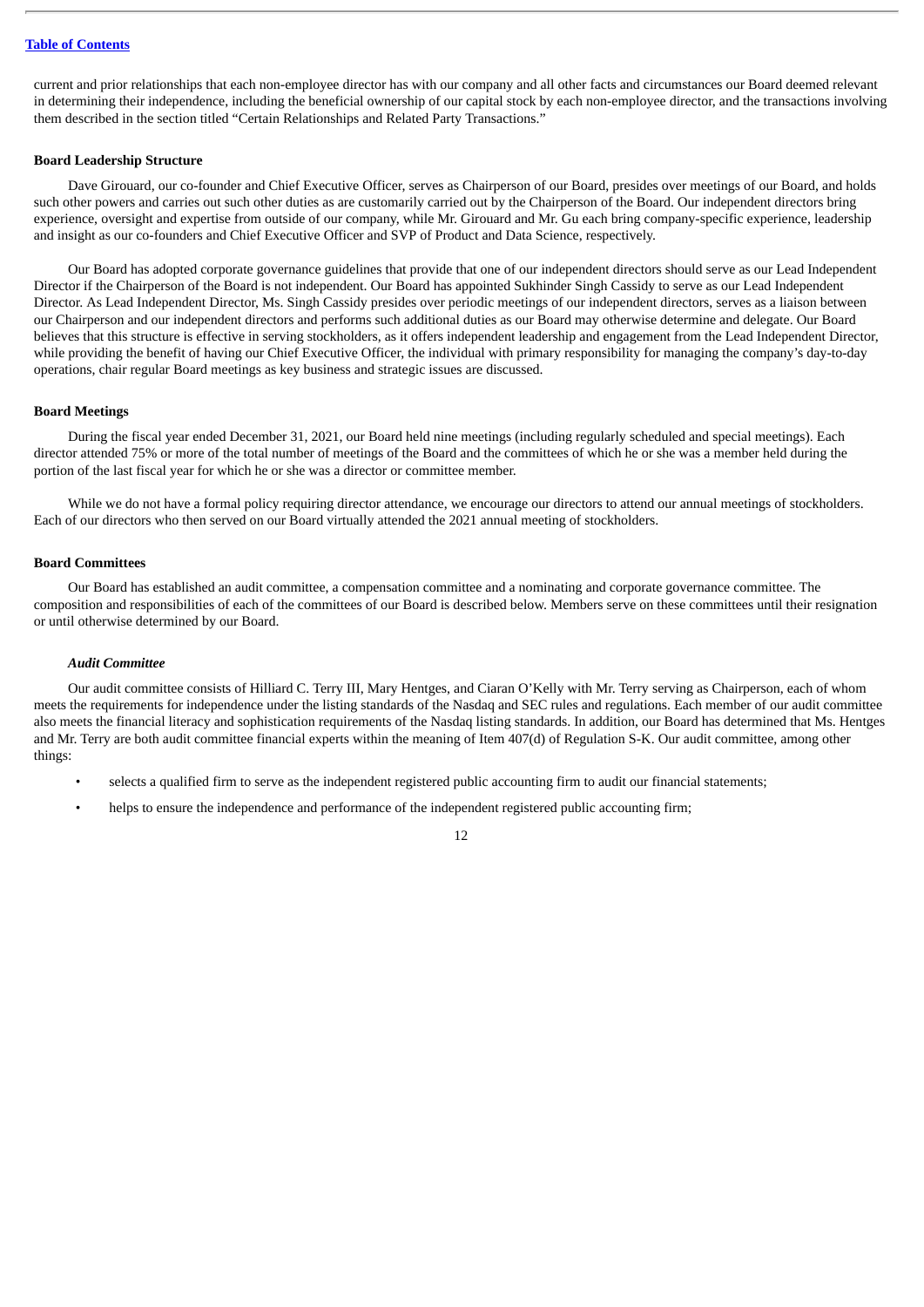current and prior relationships that each non-employee director has with our company and all other facts and circumstances our Board deemed relevant in determining their independence, including the beneficial ownership of our capital stock by each non-employee director, and the transactions involving them described in the section titled "Certain Relationships and Related Party Transactions."

## <span id="page-14-0"></span>**Board Leadership Structure**

Dave Girouard, our co-founder and Chief Executive Officer, serves as Chairperson of our Board, presides over meetings of our Board, and holds such other powers and carries out such other duties as are customarily carried out by the Chairperson of the Board. Our independent directors bring experience, oversight and expertise from outside of our company, while Mr. Girouard and Mr. Gu each bring company-specific experience, leadership and insight as our co-founders and Chief Executive Officer and SVP of Product and Data Science, respectively.

Our Board has adopted corporate governance guidelines that provide that one of our independent directors should serve as our Lead Independent Director if the Chairperson of the Board is not independent. Our Board has appointed Sukhinder Singh Cassidy to serve as our Lead Independent Director. As Lead Independent Director, Ms. Singh Cassidy presides over periodic meetings of our independent directors, serves as a liaison between our Chairperson and our independent directors and performs such additional duties as our Board may otherwise determine and delegate. Our Board believes that this structure is effective in serving stockholders, as it offers independent leadership and engagement from the Lead Independent Director, while providing the benefit of having our Chief Executive Officer, the individual with primary responsibility for managing the company's day-to-day operations, chair regular Board meetings as key business and strategic issues are discussed.

#### <span id="page-14-1"></span>**Board Meetings**

During the fiscal year ended December 31, 2021, our Board held nine meetings (including regularly scheduled and special meetings). Each director attended 75% or more of the total number of meetings of the Board and the committees of which he or she was a member held during the portion of the last fiscal year for which he or she was a director or committee member.

While we do not have a formal policy requiring director attendance, we encourage our directors to attend our annual meetings of stockholders. Each of our directors who then served on our Board virtually attended the 2021 annual meeting of stockholders.

# <span id="page-14-2"></span>**Board Committees**

Our Board has established an audit committee, a compensation committee and a nominating and corporate governance committee. The composition and responsibilities of each of the committees of our Board is described below. Members serve on these committees until their resignation or until otherwise determined by our Board.

# *Audit Committee*

Our audit committee consists of Hilliard C. Terry III, Mary Hentges, and Ciaran O'Kelly with Mr. Terry serving as Chairperson, each of whom meets the requirements for independence under the listing standards of the Nasdaq and SEC rules and regulations. Each member of our audit committee also meets the financial literacy and sophistication requirements of the Nasdaq listing standards. In addition, our Board has determined that Ms. Hentges and Mr. Terry are both audit committee financial experts within the meaning of Item 407(d) of Regulation S-K. Our audit committee, among other things:

- selects a qualified firm to serve as the independent registered public accounting firm to audit our financial statements;
- helps to ensure the independence and performance of the independent registered public accounting firm;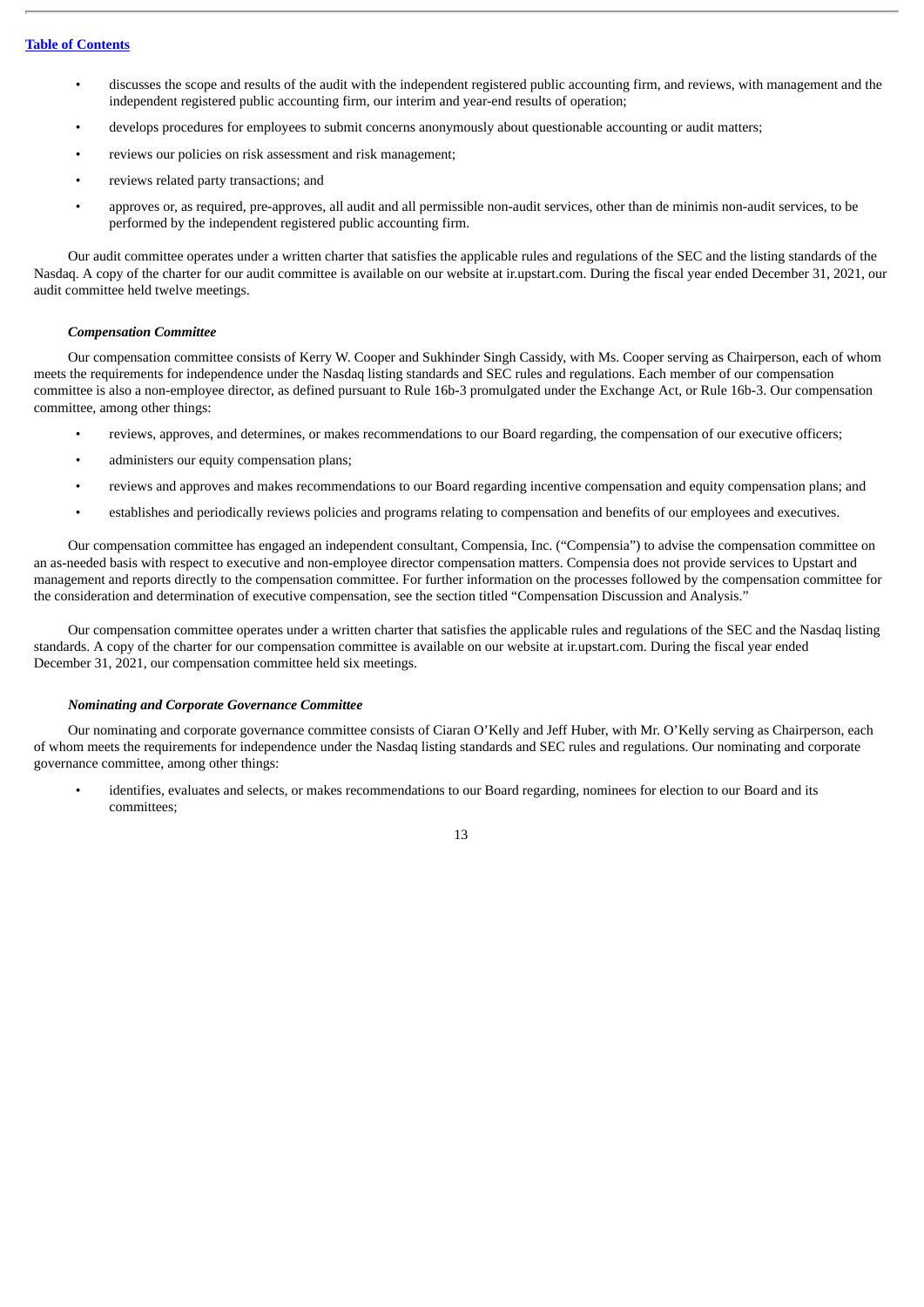- discusses the scope and results of the audit with the independent registered public accounting firm, and reviews, with management and the independent registered public accounting firm, our interim and year-end results of operation;
- develops procedures for employees to submit concerns anonymously about questionable accounting or audit matters;
- reviews our policies on risk assessment and risk management;
- reviews related party transactions; and
- approves or, as required, pre-approves, all audit and all permissible non-audit services, other than de minimis non-audit services, to be performed by the independent registered public accounting firm.

Our audit committee operates under a written charter that satisfies the applicable rules and regulations of the SEC and the listing standards of the Nasdaq. A copy of the charter for our audit committee is available on our website at ir.upstart.com. During the fiscal year ended December 31, 2021, our audit committee held twelve meetings.

# *Compensation Committee*

Our compensation committee consists of Kerry W. Cooper and Sukhinder Singh Cassidy, with Ms. Cooper serving as Chairperson, each of whom meets the requirements for independence under the Nasdaq listing standards and SEC rules and regulations. Each member of our compensation committee is also a non-employee director, as defined pursuant to Rule 16b-3 promulgated under the Exchange Act, or Rule 16b-3. Our compensation committee, among other things:

- reviews, approves, and determines, or makes recommendations to our Board regarding, the compensation of our executive officers;
- administers our equity compensation plans;
- reviews and approves and makes recommendations to our Board regarding incentive compensation and equity compensation plans; and
- establishes and periodically reviews policies and programs relating to compensation and benefits of our employees and executives.

Our compensation committee has engaged an independent consultant, Compensia, Inc. ("Compensia") to advise the compensation committee on an as-needed basis with respect to executive and non-employee director compensation matters. Compensia does not provide services to Upstart and management and reports directly to the compensation committee. For further information on the processes followed by the compensation committee for the consideration and determination of executive compensation, see the section titled "Compensation Discussion and Analysis."

Our compensation committee operates under a written charter that satisfies the applicable rules and regulations of the SEC and the Nasdaq listing standards. A copy of the charter for our compensation committee is available on our website at ir.upstart.com. During the fiscal year ended December 31, 2021, our compensation committee held six meetings.

# *Nominating and Corporate Governance Committee*

Our nominating and corporate governance committee consists of Ciaran O'Kelly and Jeff Huber, with Mr. O'Kelly serving as Chairperson, each of whom meets the requirements for independence under the Nasdaq listing standards and SEC rules and regulations. Our nominating and corporate governance committee, among other things:

• identifies, evaluates and selects, or makes recommendations to our Board regarding, nominees for election to our Board and its committees;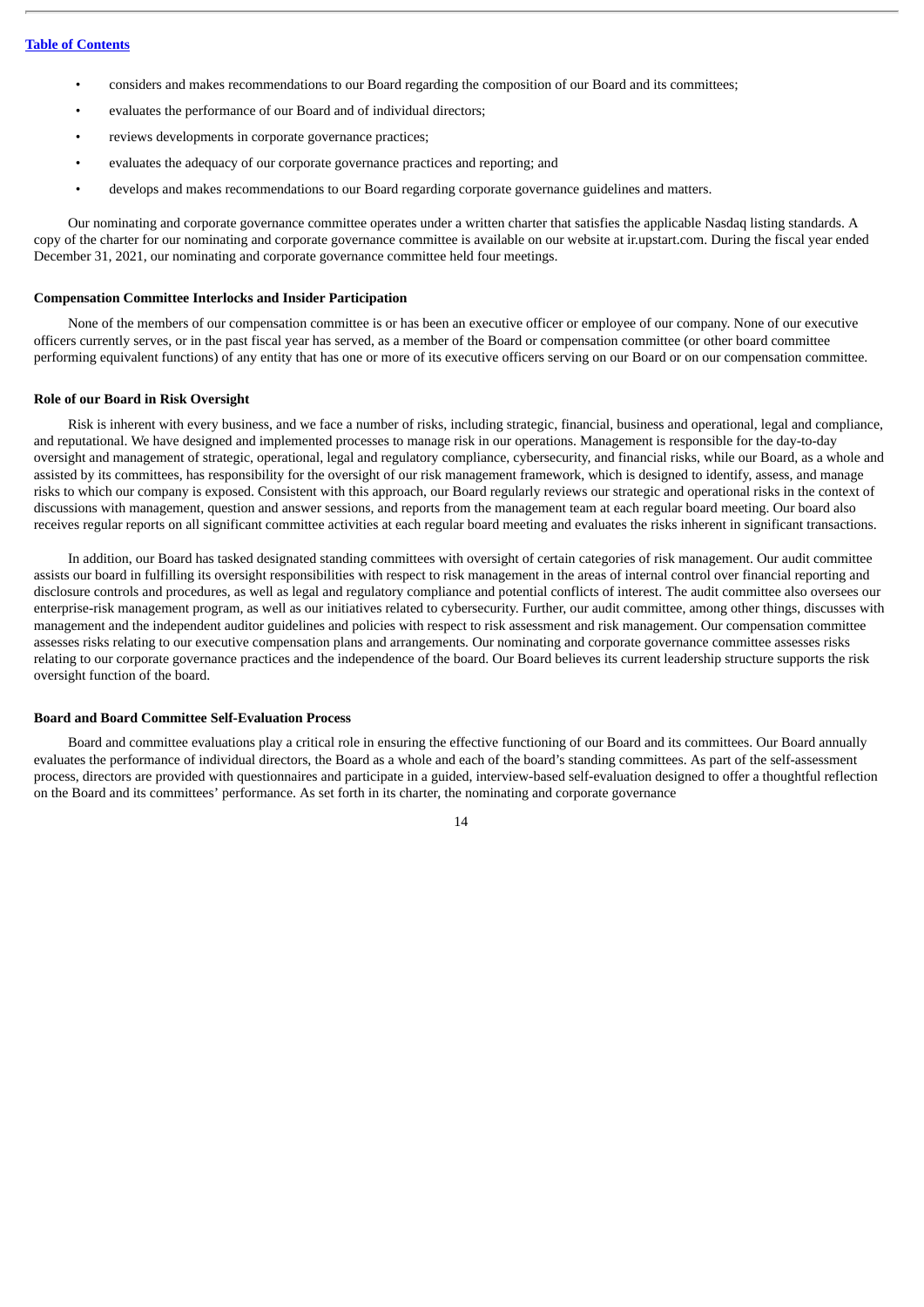- considers and makes recommendations to our Board regarding the composition of our Board and its committees;
- evaluates the performance of our Board and of individual directors;
- reviews developments in corporate governance practices;
- evaluates the adequacy of our corporate governance practices and reporting; and
- develops and makes recommendations to our Board regarding corporate governance guidelines and matters.

Our nominating and corporate governance committee operates under a written charter that satisfies the applicable Nasdaq listing standards. A copy of the charter for our nominating and corporate governance committee is available on our website at ir.upstart.com. During the fiscal year ended December 31, 2021, our nominating and corporate governance committee held four meetings.

# <span id="page-16-0"></span>**Compensation Committee Interlocks and Insider Participation**

None of the members of our compensation committee is or has been an executive officer or employee of our company. None of our executive officers currently serves, or in the past fiscal year has served, as a member of the Board or compensation committee (or other board committee performing equivalent functions) of any entity that has one or more of its executive officers serving on our Board or on our compensation committee.

#### <span id="page-16-1"></span>**Role of our Board in Risk Oversight**

Risk is inherent with every business, and we face a number of risks, including strategic, financial, business and operational, legal and compliance, and reputational. We have designed and implemented processes to manage risk in our operations. Management is responsible for the day-to-day oversight and management of strategic, operational, legal and regulatory compliance, cybersecurity, and financial risks, while our Board, as a whole and assisted by its committees, has responsibility for the oversight of our risk management framework, which is designed to identify, assess, and manage risks to which our company is exposed. Consistent with this approach, our Board regularly reviews our strategic and operational risks in the context of discussions with management, question and answer sessions, and reports from the management team at each regular board meeting. Our board also receives regular reports on all significant committee activities at each regular board meeting and evaluates the risks inherent in significant transactions.

In addition, our Board has tasked designated standing committees with oversight of certain categories of risk management. Our audit committee assists our board in fulfilling its oversight responsibilities with respect to risk management in the areas of internal control over financial reporting and disclosure controls and procedures, as well as legal and regulatory compliance and potential conflicts of interest. The audit committee also oversees our enterprise-risk management program, as well as our initiatives related to cybersecurity. Further, our audit committee, among other things, discusses with management and the independent auditor guidelines and policies with respect to risk assessment and risk management. Our compensation committee assesses risks relating to our executive compensation plans and arrangements. Our nominating and corporate governance committee assesses risks relating to our corporate governance practices and the independence of the board. Our Board believes its current leadership structure supports the risk oversight function of the board.

#### <span id="page-16-2"></span>**Board and Board Committee Self-Evaluation Process**

Board and committee evaluations play a critical role in ensuring the effective functioning of our Board and its committees. Our Board annually evaluates the performance of individual directors, the Board as a whole and each of the board's standing committees. As part of the self-assessment process, directors are provided with questionnaires and participate in a guided, interview-based self-evaluation designed to offer a thoughtful reflection on the Board and its committees' performance. As set forth in its charter, the nominating and corporate governance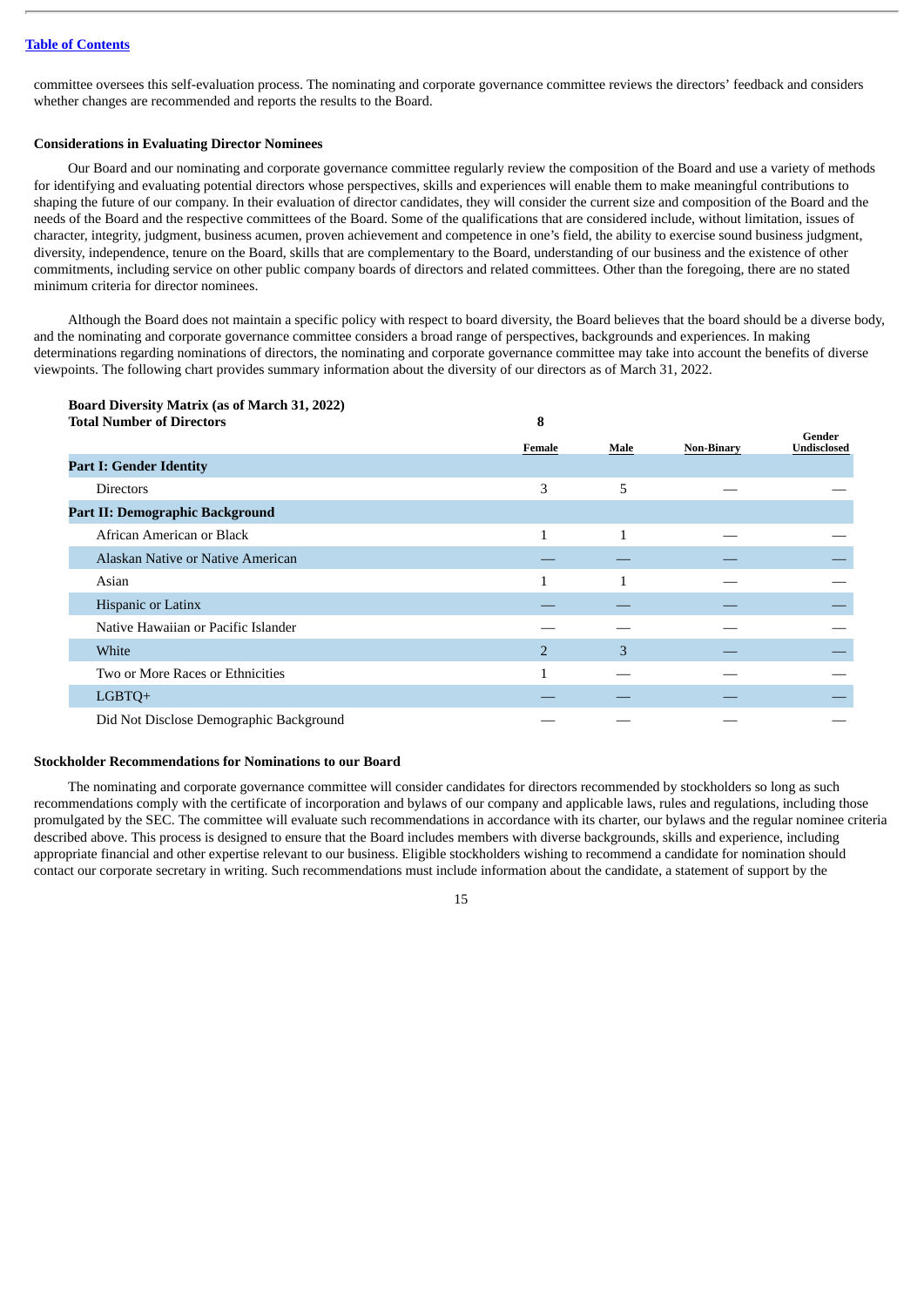committee oversees this self-evaluation process. The nominating and corporate governance committee reviews the directors' feedback and considers whether changes are recommended and reports the results to the Board.

# <span id="page-17-0"></span>**Considerations in Evaluating Director Nominees**

Our Board and our nominating and corporate governance committee regularly review the composition of the Board and use a variety of methods for identifying and evaluating potential directors whose perspectives, skills and experiences will enable them to make meaningful contributions to shaping the future of our company. In their evaluation of director candidates, they will consider the current size and composition of the Board and the needs of the Board and the respective committees of the Board. Some of the qualifications that are considered include, without limitation, issues of character, integrity, judgment, business acumen, proven achievement and competence in one's field, the ability to exercise sound business judgment, diversity, independence, tenure on the Board, skills that are complementary to the Board, understanding of our business and the existence of other commitments, including service on other public company boards of directors and related committees. Other than the foregoing, there are no stated minimum criteria for director nominees.

Although the Board does not maintain a specific policy with respect to board diversity, the Board believes that the board should be a diverse body, and the nominating and corporate governance committee considers a broad range of perspectives, backgrounds and experiences. In making determinations regarding nominations of directors, the nominating and corporate governance committee may take into account the benefits of diverse viewpoints. The following chart provides summary information about the diversity of our directors as of March 31, 2022.

# **Board Diversity Matrix (as of March 31, 2022) Total Number of Directors 8 Female Male Non-Binary Gender Undisclosed Part I: Gender Identity** Directors 3 5 — — **Part II: Demographic Background** African American or Black 1 and 1 1 and 1 1 and 1 1 and 1 1 and 1 1 and 1 1 and 1 1 and 1 1 and 1 1 and 1 1 and 1 1 and 1 1 and 1 1 and 1 and 1 and 1 and 1 and 1 and 1 and 1 and 1 and 1 and 1 and 1 and 1 and 1 and 1 and 1 Alaskan Native or Native American Asian  $\overline{1}$  and  $\overline{1}$  and  $\overline{1}$  and  $\overline{1}$  and  $\overline{1}$  and  $\overline{1}$  and  $\overline{1}$  and  $\overline{1}$  and  $\overline{1}$  and  $\overline{1}$  and  $\overline{1}$  and  $\overline{1}$  and  $\overline{1}$  and  $\overline{1}$  and  $\overline{1}$  and  $\overline{1}$  and  $\overline{1}$ Hispanic or Latinx Native Hawaiian or Pacific Islander White 2 3 — — Two or More Races or Ethnicities **1** — <sup>1</sup>  $\textrm{LGBTQ+} \hspace{2.5cm} \hspace{2.5cm} \hspace{2.5cm} \hspace{2.5cm} \hspace{2.5cm} \hspace{2.5cm} \hspace{2.5cm} \hspace{2.5cm} \hspace{2.5cm} \hspace{2.5cm} \hspace{2.5cm} \hspace{2.5cm} \hspace{2.5cm} \hspace{2.5cm} \hspace{2.5cm} \hspace{2.5cm} \hspace{2.5cm} \hspace{2.5cm} \hspace{2.5cm} \hspace{2.5cm} \hspace{2.5cm} \hspace{2.5cm} \hspace{2.5cm} \hspace{$ Did Not Disclose Demographic Background

#### <span id="page-17-1"></span>**Stockholder Recommendations for Nominations to our Board**

The nominating and corporate governance committee will consider candidates for directors recommended by stockholders so long as such recommendations comply with the certificate of incorporation and bylaws of our company and applicable laws, rules and regulations, including those promulgated by the SEC. The committee will evaluate such recommendations in accordance with its charter, our bylaws and the regular nominee criteria described above. This process is designed to ensure that the Board includes members with diverse backgrounds, skills and experience, including appropriate financial and other expertise relevant to our business. Eligible stockholders wishing to recommend a candidate for nomination should contact our corporate secretary in writing. Such recommendations must include information about the candidate, a statement of support by the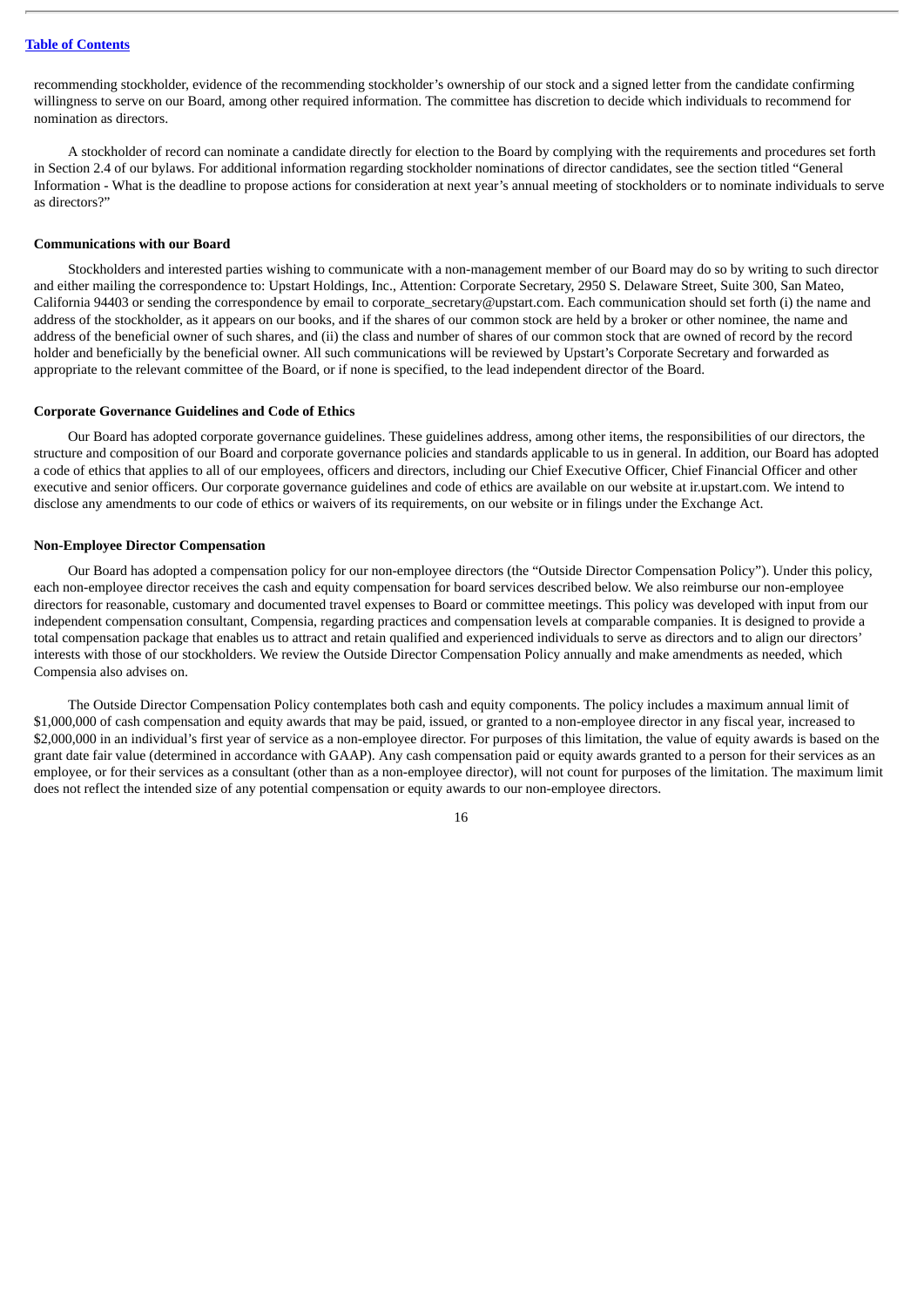recommending stockholder, evidence of the recommending stockholder's ownership of our stock and a signed letter from the candidate confirming willingness to serve on our Board, among other required information. The committee has discretion to decide which individuals to recommend for nomination as directors.

A stockholder of record can nominate a candidate directly for election to the Board by complying with the requirements and procedures set forth in Section 2.4 of our bylaws. For additional information regarding stockholder nominations of director candidates, see the section titled "General Information - What is the deadline to propose actions for consideration at next year's annual meeting of stockholders or to nominate individuals to serve as directors?"

# <span id="page-18-0"></span>**Communications with our Board**

Stockholders and interested parties wishing to communicate with a non-management member of our Board may do so by writing to such director and either mailing the correspondence to: Upstart Holdings, Inc., Attention: Corporate Secretary, 2950 S. Delaware Street, Suite 300, San Mateo, California 94403 or sending the correspondence by email to corporate\_secretary@upstart.com. Each communication should set forth (i) the name and address of the stockholder, as it appears on our books, and if the shares of our common stock are held by a broker or other nominee, the name and address of the beneficial owner of such shares, and (ii) the class and number of shares of our common stock that are owned of record by the record holder and beneficially by the beneficial owner. All such communications will be reviewed by Upstart's Corporate Secretary and forwarded as appropriate to the relevant committee of the Board, or if none is specified, to the lead independent director of the Board.

#### <span id="page-18-1"></span>**Corporate Governance Guidelines and Code of Ethics**

Our Board has adopted corporate governance guidelines. These guidelines address, among other items, the responsibilities of our directors, the structure and composition of our Board and corporate governance policies and standards applicable to us in general. In addition, our Board has adopted a code of ethics that applies to all of our employees, officers and directors, including our Chief Executive Officer, Chief Financial Officer and other executive and senior officers. Our corporate governance guidelines and code of ethics are available on our website at ir.upstart.com. We intend to disclose any amendments to our code of ethics or waivers of its requirements, on our website or in filings under the Exchange Act.

# <span id="page-18-2"></span>**Non-Employee Director Compensation**

Our Board has adopted a compensation policy for our non-employee directors (the "Outside Director Compensation Policy"). Under this policy, each non-employee director receives the cash and equity compensation for board services described below. We also reimburse our non-employee directors for reasonable, customary and documented travel expenses to Board or committee meetings. This policy was developed with input from our independent compensation consultant, Compensia, regarding practices and compensation levels at comparable companies. It is designed to provide a total compensation package that enables us to attract and retain qualified and experienced individuals to serve as directors and to align our directors' interests with those of our stockholders. We review the Outside Director Compensation Policy annually and make amendments as needed, which Compensia also advises on.

The Outside Director Compensation Policy contemplates both cash and equity components. The policy includes a maximum annual limit of \$1,000,000 of cash compensation and equity awards that may be paid, issued, or granted to a non-employee director in any fiscal year, increased to \$2,000,000 in an individual's first year of service as a non-employee director. For purposes of this limitation, the value of equity awards is based on the grant date fair value (determined in accordance with GAAP). Any cash compensation paid or equity awards granted to a person for their services as an employee, or for their services as a consultant (other than as a non-employee director), will not count for purposes of the limitation. The maximum limit does not reflect the intended size of any potential compensation or equity awards to our non-employee directors.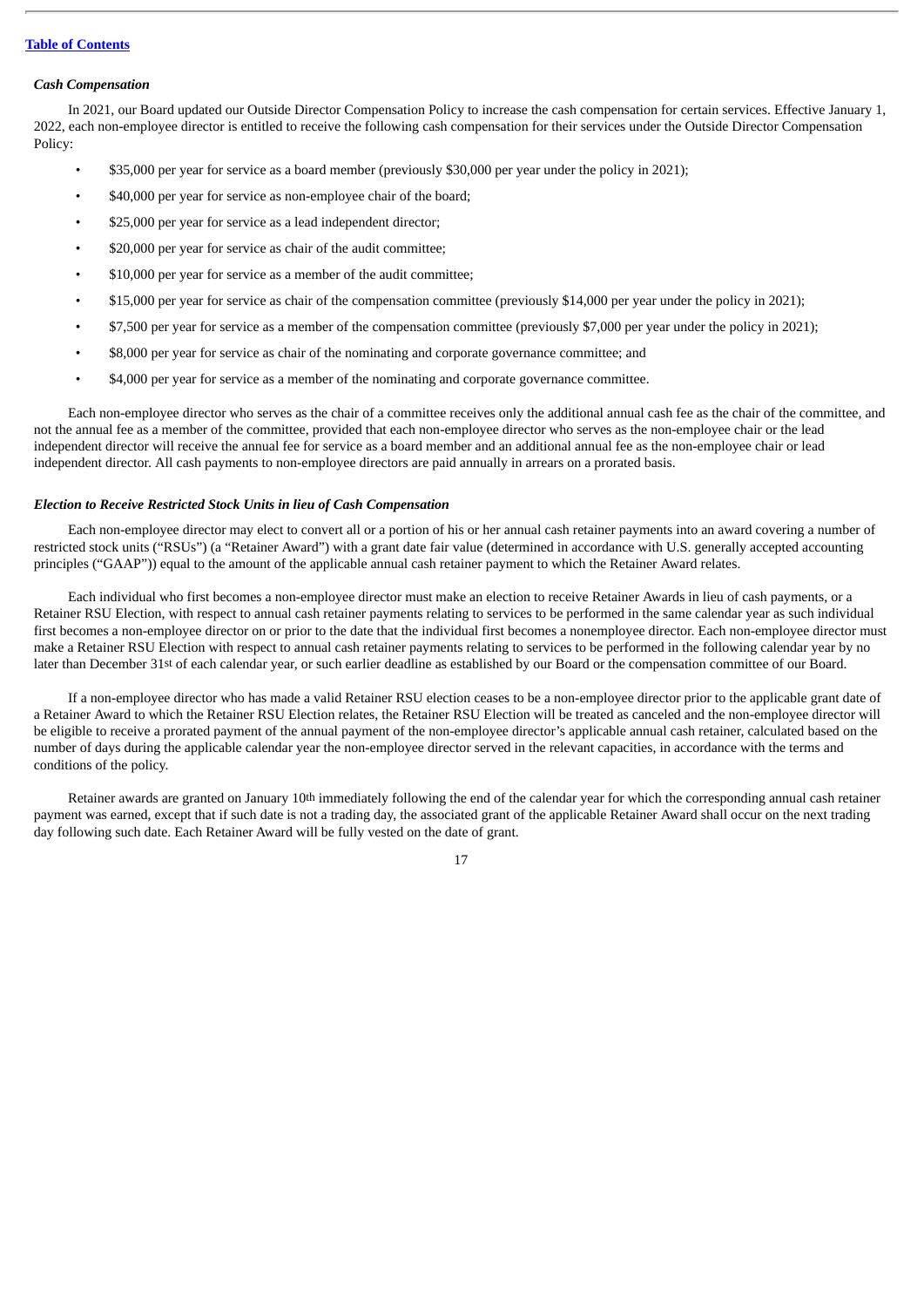#### *Cash Compensation*

In 2021, our Board updated our Outside Director Compensation Policy to increase the cash compensation for certain services. Effective January 1, 2022, each non-employee director is entitled to receive the following cash compensation for their services under the Outside Director Compensation Policy:

- \$35,000 per year for service as a board member (previously \$30,000 per year under the policy in 2021);
- \$40,000 per year for service as non-employee chair of the board;
- \$25,000 per year for service as a lead independent director;
- \$20,000 per year for service as chair of the audit committee;
- \$10,000 per year for service as a member of the audit committee;
- \$15,000 per year for service as chair of the compensation committee (previously \$14,000 per year under the policy in 2021);
- \$7,500 per year for service as a member of the compensation committee (previously \$7,000 per year under the policy in 2021);
- \$8,000 per year for service as chair of the nominating and corporate governance committee; and
- \$4,000 per year for service as a member of the nominating and corporate governance committee.

Each non-employee director who serves as the chair of a committee receives only the additional annual cash fee as the chair of the committee, and not the annual fee as a member of the committee, provided that each non-employee director who serves as the non-employee chair or the lead independent director will receive the annual fee for service as a board member and an additional annual fee as the non-employee chair or lead independent director. All cash payments to non-employee directors are paid annually in arrears on a prorated basis.

# *Election to Receive Restricted Stock Units in lieu of Cash Compensation*

Each non-employee director may elect to convert all or a portion of his or her annual cash retainer payments into an award covering a number of restricted stock units ("RSUs") (a "Retainer Award") with a grant date fair value (determined in accordance with U.S. generally accepted accounting principles ("GAAP")) equal to the amount of the applicable annual cash retainer payment to which the Retainer Award relates.

Each individual who first becomes a non-employee director must make an election to receive Retainer Awards in lieu of cash payments, or a Retainer RSU Election, with respect to annual cash retainer payments relating to services to be performed in the same calendar year as such individual first becomes a non-employee director on or prior to the date that the individual first becomes a nonemployee director. Each non-employee director must make a Retainer RSU Election with respect to annual cash retainer payments relating to services to be performed in the following calendar year by no later than December 31st of each calendar year, or such earlier deadline as established by our Board or the compensation committee of our Board.

If a non-employee director who has made a valid Retainer RSU election ceases to be a non-employee director prior to the applicable grant date of a Retainer Award to which the Retainer RSU Election relates, the Retainer RSU Election will be treated as canceled and the non-employee director will be eligible to receive a prorated payment of the annual payment of the non-employee director's applicable annual cash retainer, calculated based on the number of days during the applicable calendar year the non-employee director served in the relevant capacities, in accordance with the terms and conditions of the policy.

Retainer awards are granted on January 10th immediately following the end of the calendar year for which the corresponding annual cash retainer payment was earned, except that if such date is not a trading day, the associated grant of the applicable Retainer Award shall occur on the next trading day following such date. Each Retainer Award will be fully vested on the date of grant.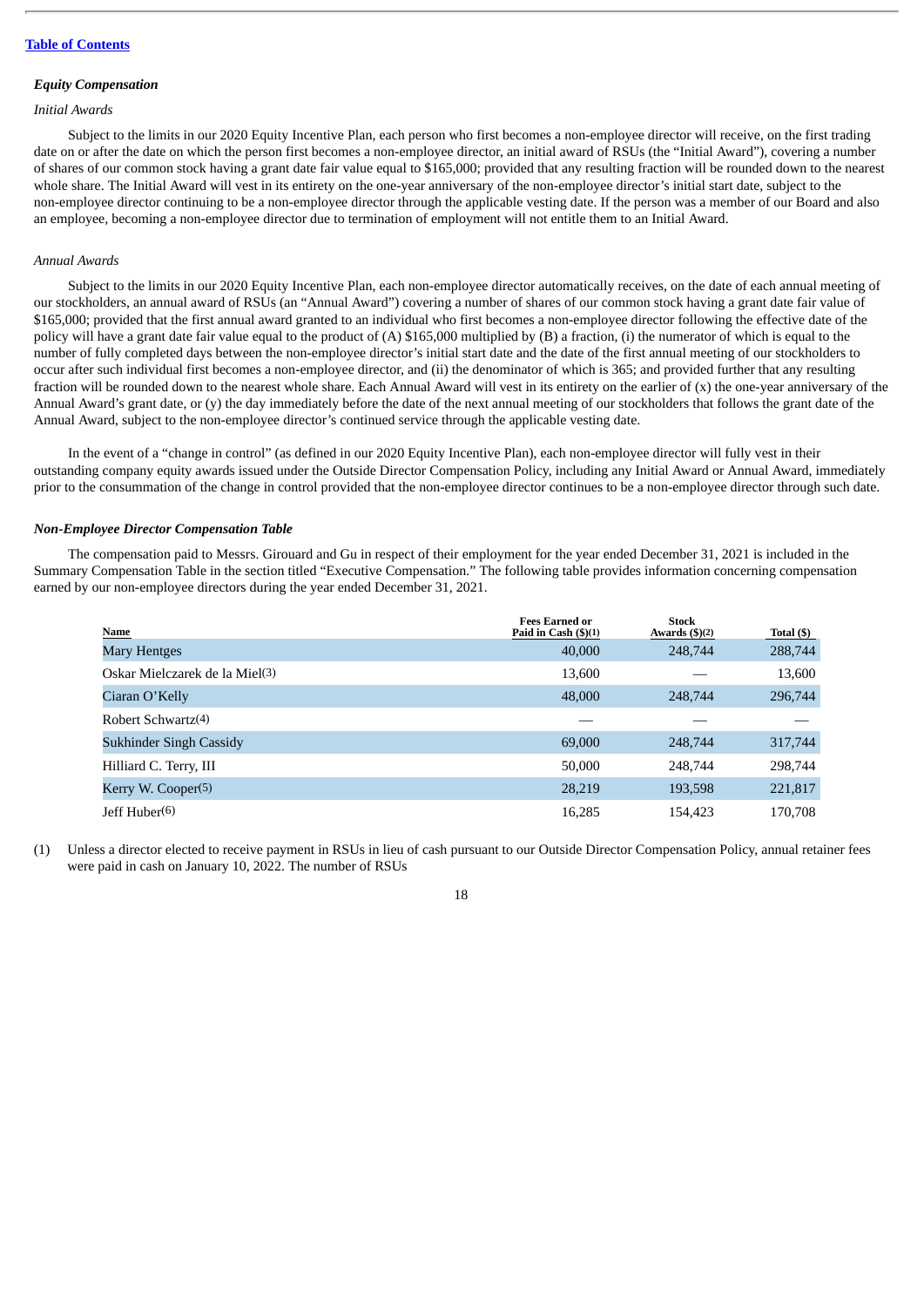#### *Equity Compensation*

# *Initial Awards*

Subject to the limits in our 2020 Equity Incentive Plan, each person who first becomes a non-employee director will receive, on the first trading date on or after the date on which the person first becomes a non-employee director, an initial award of RSUs (the "Initial Award"), covering a number of shares of our common stock having a grant date fair value equal to \$165,000; provided that any resulting fraction will be rounded down to the nearest whole share. The Initial Award will vest in its entirety on the one-year anniversary of the non-employee director's initial start date, subject to the non-employee director continuing to be a non-employee director through the applicable vesting date. If the person was a member of our Board and also an employee, becoming a non-employee director due to termination of employment will not entitle them to an Initial Award.

# *Annual Awards*

Subject to the limits in our 2020 Equity Incentive Plan, each non-employee director automatically receives, on the date of each annual meeting of our stockholders, an annual award of RSUs (an "Annual Award") covering a number of shares of our common stock having a grant date fair value of \$165,000; provided that the first annual award granted to an individual who first becomes a non-employee director following the effective date of the policy will have a grant date fair value equal to the product of (A) \$165,000 multiplied by (B) a fraction, (i) the numerator of which is equal to the number of fully completed days between the non-employee director's initial start date and the date of the first annual meeting of our stockholders to occur after such individual first becomes a non-employee director, and (ii) the denominator of which is 365; and provided further that any resulting fraction will be rounded down to the nearest whole share. Each Annual Award will vest in its entirety on the earlier of (x) the one-year anniversary of the Annual Award's grant date, or (y) the day immediately before the date of the next annual meeting of our stockholders that follows the grant date of the Annual Award, subject to the non-employee director's continued service through the applicable vesting date.

In the event of a "change in control" (as defined in our 2020 Equity Incentive Plan), each non-employee director will fully vest in their outstanding company equity awards issued under the Outside Director Compensation Policy, including any Initial Award or Annual Award, immediately prior to the consummation of the change in control provided that the non-employee director continues to be a non-employee director through such date.

#### *Non-Employee Director Compensation Table*

The compensation paid to Messrs. Girouard and Gu in respect of their employment for the year ended December 31, 2021 is included in the Summary Compensation Table in the section titled "Executive Compensation." The following table provides information concerning compensation earned by our non-employee directors during the year ended December 31, 2021.

| <b>Name</b>                                | <b>Fees Earned or</b><br>Paid in Cash $(\frac{5}{1})$ | Stock<br>Awards $(\text{$}5)(2)$ | Total (\$) |
|--------------------------------------------|-------------------------------------------------------|----------------------------------|------------|
| Mary Hentges                               | 40,000                                                | 248,744                          | 288,744    |
| Oskar Mielczarek de la Miel <sup>(3)</sup> | 13,600                                                |                                  | 13,600     |
| Ciaran O'Kelly                             | 48,000                                                | 248,744                          | 296,744    |
| Robert Schwartz $(4)$                      |                                                       |                                  |            |
| <b>Sukhinder Singh Cassidy</b>             | 69,000                                                | 248,744                          | 317,744    |
| Hilliard C. Terry, III                     | 50,000                                                | 248,744                          | 298,744    |
| Kerry W. Cooper <sup>(5)</sup>             | 28,219                                                | 193,598                          | 221,817    |
| Jeff Huber(6)                              | 16.285                                                | 154,423                          | 170.708    |

(1) Unless a director elected to receive payment in RSUs in lieu of cash pursuant to our Outside Director Compensation Policy, annual retainer fees were paid in cash on January 10, 2022. The number of RSUs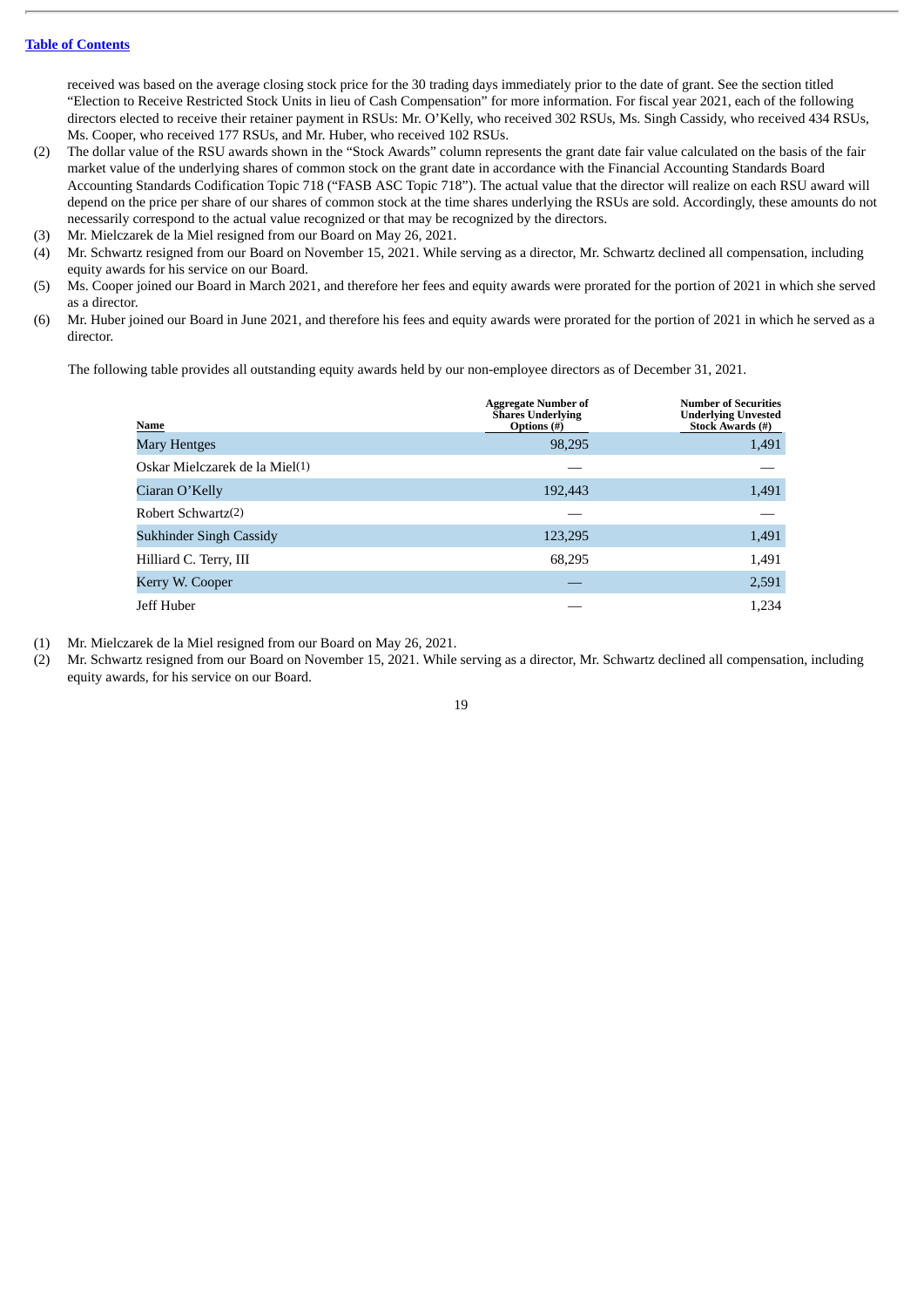received was based on the average closing stock price for the 30 trading days immediately prior to the date of grant. See the section titled "Election to Receive Restricted Stock Units in lieu of Cash Compensation" for more information. For fiscal year 2021, each of the following directors elected to receive their retainer payment in RSUs: Mr. O'Kelly, who received 302 RSUs, Ms. Singh Cassidy, who received 434 RSUs, Ms. Cooper, who received 177 RSUs, and Mr. Huber, who received 102 RSUs.

- (2) The dollar value of the RSU awards shown in the "Stock Awards" column represents the grant date fair value calculated on the basis of the fair market value of the underlying shares of common stock on the grant date in accordance with the Financial Accounting Standards Board Accounting Standards Codification Topic 718 ("FASB ASC Topic 718"). The actual value that the director will realize on each RSU award will depend on the price per share of our shares of common stock at the time shares underlying the RSUs are sold. Accordingly, these amounts do not necessarily correspond to the actual value recognized or that may be recognized by the directors.
- (3) Mr. Mielczarek de la Miel resigned from our Board on May 26, 2021.
- (4) Mr. Schwartz resigned from our Board on November 15, 2021. While serving as a director, Mr. Schwartz declined all compensation, including equity awards for his service on our Board.
- (5) Ms. Cooper joined our Board in March 2021, and therefore her fees and equity awards were prorated for the portion of 2021 in which she served as a director.
- (6) Mr. Huber joined our Board in June 2021, and therefore his fees and equity awards were prorated for the portion of 2021 in which he served as a director.

The following table provides all outstanding equity awards held by our non-employee directors as of December 31, 2021.

| Name                           | <b>Aggregate Number of</b><br><b>Shares Underlying</b><br>Options (#) | <b>Number of Securities</b><br><b>Underlying Unvested</b><br><b>Stock Awards (#)</b> |
|--------------------------------|-----------------------------------------------------------------------|--------------------------------------------------------------------------------------|
| Mary Hentges                   | 98,295                                                                | 1,491                                                                                |
| Oskar Mielczarek de la Miel(1) |                                                                       |                                                                                      |
| Ciaran O'Kelly                 | 192,443                                                               | 1,491                                                                                |
| Robert Schwartz(2)             |                                                                       |                                                                                      |
| <b>Sukhinder Singh Cassidy</b> | 123,295                                                               | 1,491                                                                                |
| Hilliard C. Terry, III         | 68,295                                                                | 1,491                                                                                |
| Kerry W. Cooper                |                                                                       | 2,591                                                                                |
| Jeff Huber                     |                                                                       | 1,234                                                                                |

- (1) Mr. Mielczarek de la Miel resigned from our Board on May 26, 2021.
- (2) Mr. Schwartz resigned from our Board on November 15, 2021. While serving as a director, Mr. Schwartz declined all compensation, including equity awards, for his service on our Board.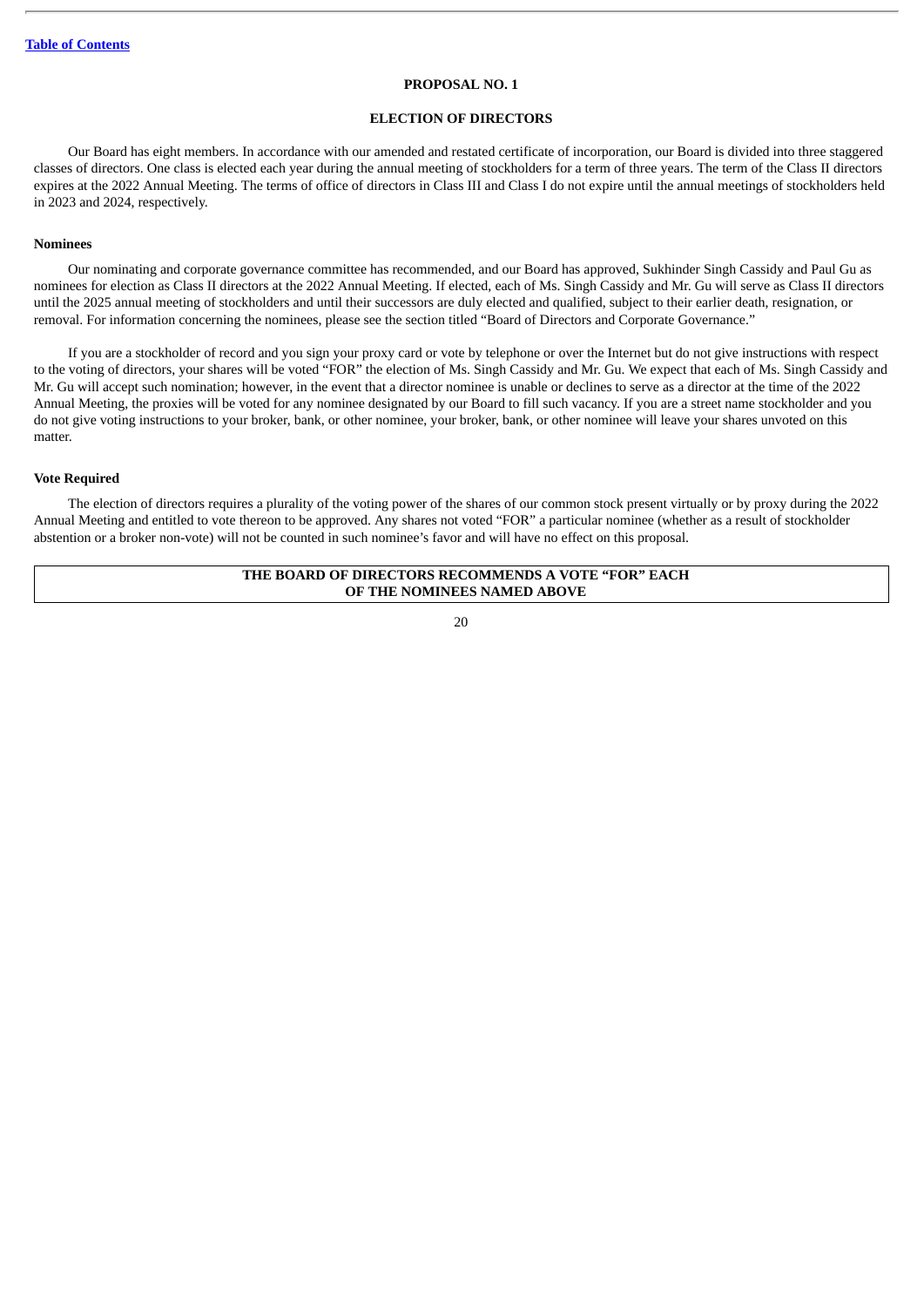#### **PROPOSAL NO. 1**

#### **ELECTION OF DIRECTORS**

<span id="page-22-0"></span>Our Board has eight members. In accordance with our amended and restated certificate of incorporation, our Board is divided into three staggered classes of directors. One class is elected each year during the annual meeting of stockholders for a term of three years. The term of the Class II directors expires at the 2022 Annual Meeting. The terms of office of directors in Class III and Class I do not expire until the annual meetings of stockholders held in 2023 and 2024, respectively.

# **Nominees**

Our nominating and corporate governance committee has recommended, and our Board has approved, Sukhinder Singh Cassidy and Paul Gu as nominees for election as Class II directors at the 2022 Annual Meeting. If elected, each of Ms. Singh Cassidy and Mr. Gu will serve as Class II directors until the 2025 annual meeting of stockholders and until their successors are duly elected and qualified, subject to their earlier death, resignation, or removal. For information concerning the nominees, please see the section titled "Board of Directors and Corporate Governance."

If you are a stockholder of record and you sign your proxy card or vote by telephone or over the Internet but do not give instructions with respect to the voting of directors, your shares will be voted "FOR" the election of Ms. Singh Cassidy and Mr. Gu. We expect that each of Ms. Singh Cassidy and Mr. Gu will accept such nomination; however, in the event that a director nominee is unable or declines to serve as a director at the time of the 2022 Annual Meeting, the proxies will be voted for any nominee designated by our Board to fill such vacancy. If you are a street name stockholder and you do not give voting instructions to your broker, bank, or other nominee, your broker, bank, or other nominee will leave your shares unvoted on this matter.

#### **Vote Required**

The election of directors requires a plurality of the voting power of the shares of our common stock present virtually or by proxy during the 2022 Annual Meeting and entitled to vote thereon to be approved. Any shares not voted "FOR" a particular nominee (whether as a result of stockholder abstention or a broker non-vote) will not be counted in such nominee's favor and will have no effect on this proposal.

# **THE BOARD OF DIRECTORS RECOMMENDS A VOTE "FOR" EACH OF THE NOMINEES NAMED ABOVE**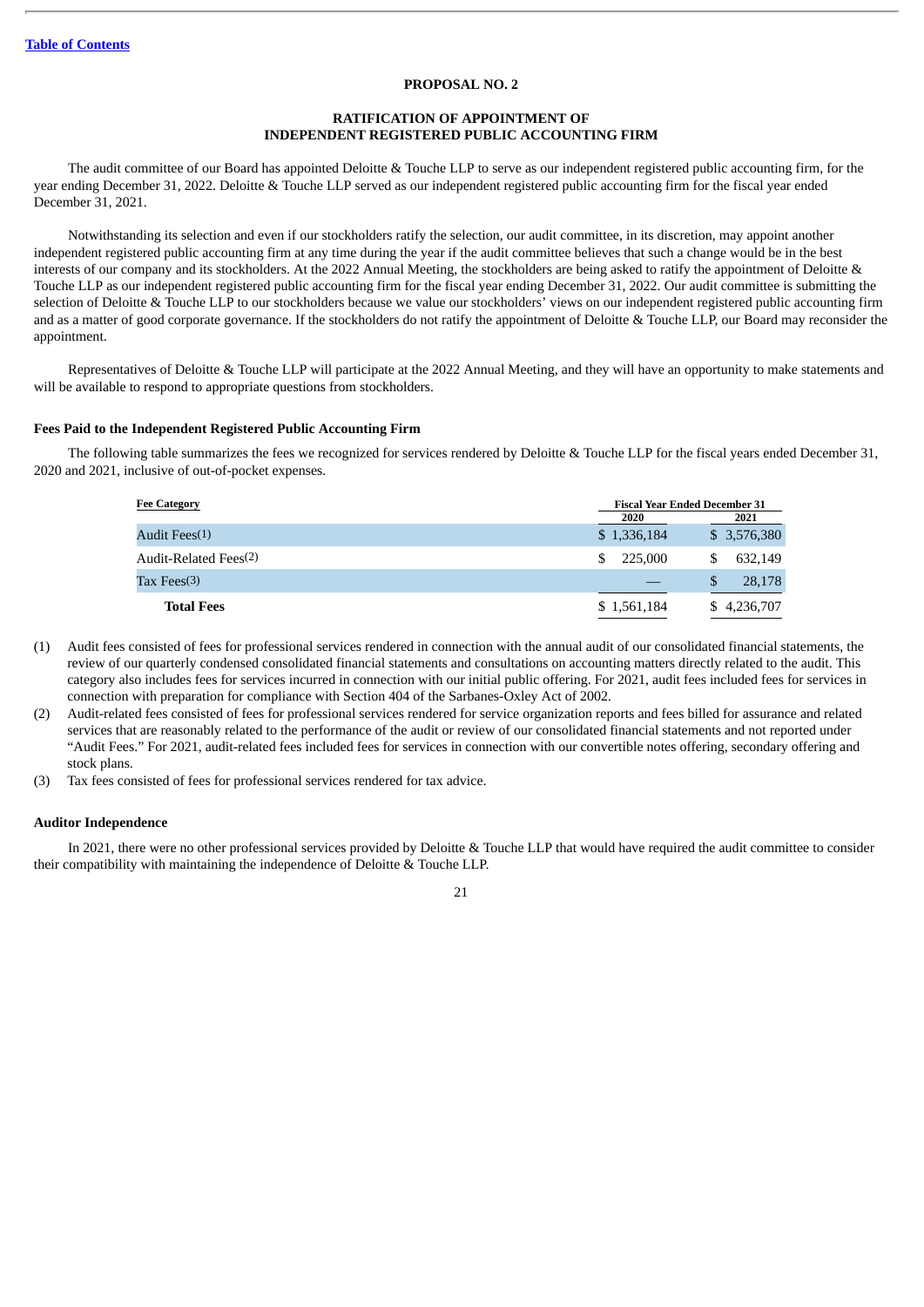# **PROPOSAL NO. 2**

# **RATIFICATION OF APPOINTMENT OF INDEPENDENT REGISTERED PUBLIC ACCOUNTING FIRM**

<span id="page-23-0"></span>The audit committee of our Board has appointed Deloitte & Touche LLP to serve as our independent registered public accounting firm, for the year ending December 31, 2022. Deloitte & Touche LLP served as our independent registered public accounting firm for the fiscal year ended December 31, 2021.

Notwithstanding its selection and even if our stockholders ratify the selection, our audit committee, in its discretion, may appoint another independent registered public accounting firm at any time during the year if the audit committee believes that such a change would be in the best interests of our company and its stockholders. At the 2022 Annual Meeting, the stockholders are being asked to ratify the appointment of Deloitte & Touche LLP as our independent registered public accounting firm for the fiscal year ending December 31, 2022. Our audit committee is submitting the selection of Deloitte & Touche LLP to our stockholders because we value our stockholders' views on our independent registered public accounting firm and as a matter of good corporate governance. If the stockholders do not ratify the appointment of Deloitte & Touche LLP, our Board may reconsider the appointment.

Representatives of Deloitte & Touche LLP will participate at the 2022 Annual Meeting, and they will have an opportunity to make statements and will be available to respond to appropriate questions from stockholders.

#### **Fees Paid to the Independent Registered Public Accounting Firm**

The following table summarizes the fees we recognized for services rendered by Deloitte & Touche LLP for the fiscal years ended December 31, 2020 and 2021, inclusive of out-of-pocket expenses.

| <b>Fee Category</b>   |              | <b>Fiscal Year Ended December 31</b> |  |  |
|-----------------------|--------------|--------------------------------------|--|--|
|                       | 2020         | 2021                                 |  |  |
| Audit Fees(1)         | \$1,336,184  | \$3,576,380                          |  |  |
| Audit-Related Fees(2) | 225,000<br>S | 632,149<br>S                         |  |  |
| Tax Fees(3)           |              | 28,178<br>S                          |  |  |
| <b>Total Fees</b>     | \$1,561,184  | \$4,236,707                          |  |  |

- (1) Audit fees consisted of fees for professional services rendered in connection with the annual audit of our consolidated financial statements, the review of our quarterly condensed consolidated financial statements and consultations on accounting matters directly related to the audit. This category also includes fees for services incurred in connection with our initial public offering. For 2021, audit fees included fees for services in connection with preparation for compliance with Section 404 of the Sarbanes-Oxley Act of 2002.
- (2) Audit-related fees consisted of fees for professional services rendered for service organization reports and fees billed for assurance and related services that are reasonably related to the performance of the audit or review of our consolidated financial statements and not reported under "Audit Fees." For 2021, audit-related fees included fees for services in connection with our convertible notes offering, secondary offering and stock plans.
- (3) Tax fees consisted of fees for professional services rendered for tax advice.

# **Auditor Independence**

In 2021, there were no other professional services provided by Deloitte & Touche LLP that would have required the audit committee to consider their compatibility with maintaining the independence of Deloitte & Touche LLP.

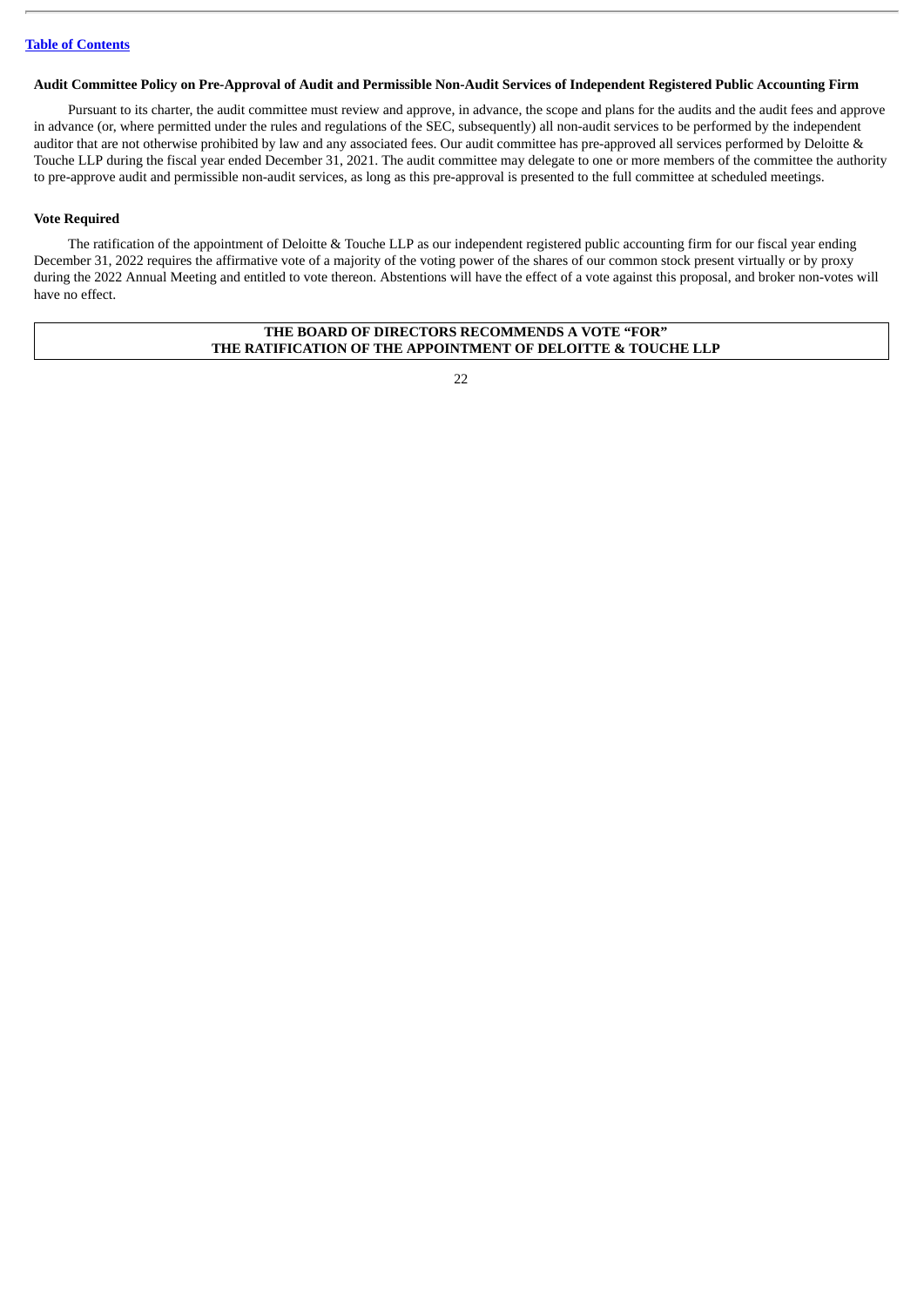# Audit Committee Policy on Pre-Approval of Audit and Permissible Non-Audit Services of Independent Registered Public Accounting Firm

Pursuant to its charter, the audit committee must review and approve, in advance, the scope and plans for the audits and the audit fees and approve in advance (or, where permitted under the rules and regulations of the SEC, subsequently) all non-audit services to be performed by the independent auditor that are not otherwise prohibited by law and any associated fees. Our audit committee has pre-approved all services performed by Deloitte & Touche LLP during the fiscal year ended December 31, 2021. The audit committee may delegate to one or more members of the committee the authority to pre-approve audit and permissible non-audit services, as long as this pre-approval is presented to the full committee at scheduled meetings.

# **Vote Required**

The ratification of the appointment of Deloitte & Touche LLP as our independent registered public accounting firm for our fiscal year ending December 31, 2022 requires the affirmative vote of a majority of the voting power of the shares of our common stock present virtually or by proxy during the 2022 Annual Meeting and entitled to vote thereon. Abstentions will have the effect of a vote against this proposal, and broker non-votes will have no effect.

# **THE BOARD OF DIRECTORS RECOMMENDS A VOTE "FOR" THE RATIFICATION OF THE APPOINTMENT OF DELOITTE & TOUCHE LLP**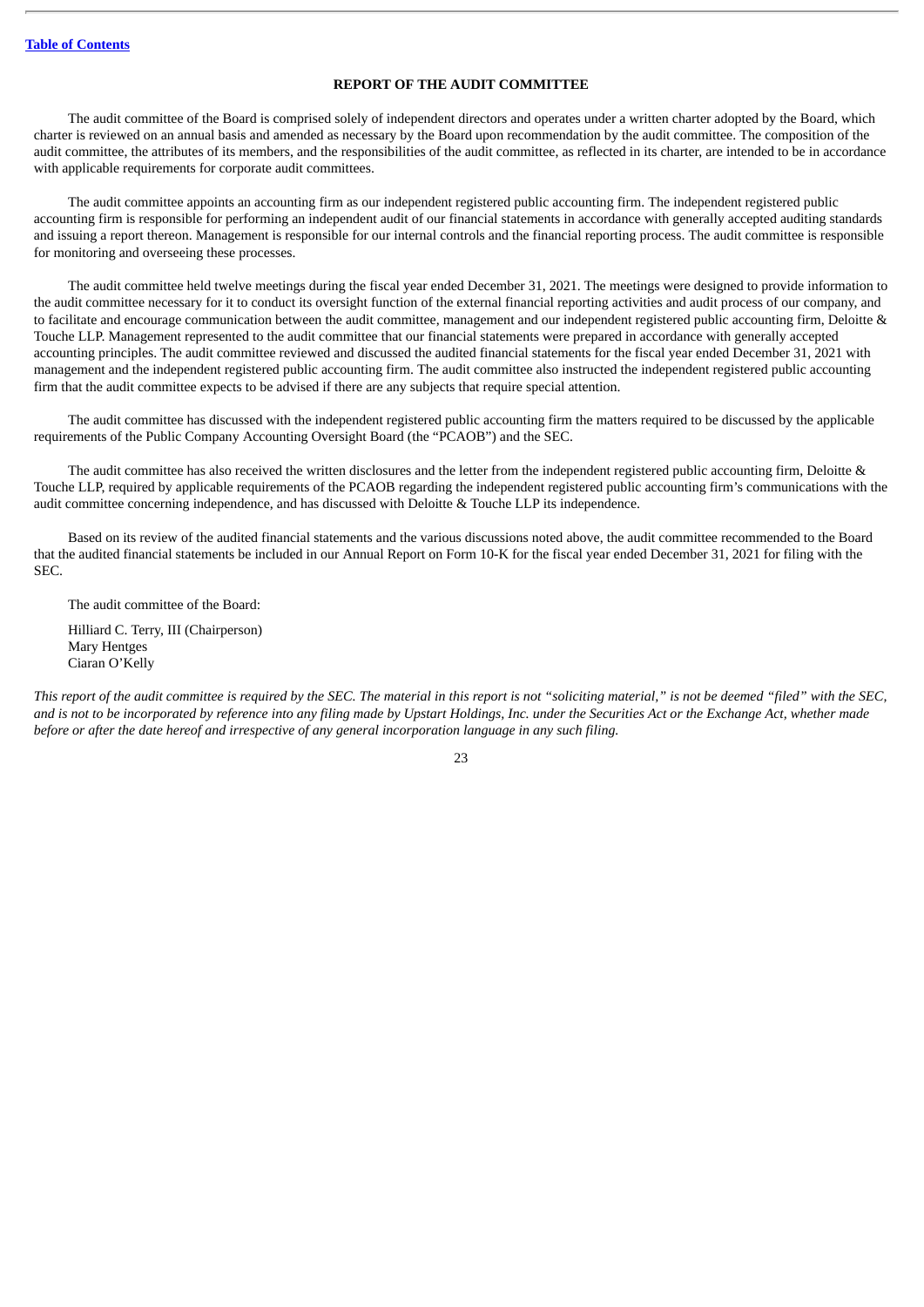# **REPORT OF THE AUDIT COMMITTEE**

<span id="page-25-0"></span>The audit committee of the Board is comprised solely of independent directors and operates under a written charter adopted by the Board, which charter is reviewed on an annual basis and amended as necessary by the Board upon recommendation by the audit committee. The composition of the audit committee, the attributes of its members, and the responsibilities of the audit committee, as reflected in its charter, are intended to be in accordance with applicable requirements for corporate audit committees.

The audit committee appoints an accounting firm as our independent registered public accounting firm. The independent registered public accounting firm is responsible for performing an independent audit of our financial statements in accordance with generally accepted auditing standards and issuing a report thereon. Management is responsible for our internal controls and the financial reporting process. The audit committee is responsible for monitoring and overseeing these processes.

The audit committee held twelve meetings during the fiscal year ended December 31, 2021. The meetings were designed to provide information to the audit committee necessary for it to conduct its oversight function of the external financial reporting activities and audit process of our company, and to facilitate and encourage communication between the audit committee, management and our independent registered public accounting firm, Deloitte & Touche LLP. Management represented to the audit committee that our financial statements were prepared in accordance with generally accepted accounting principles. The audit committee reviewed and discussed the audited financial statements for the fiscal year ended December 31, 2021 with management and the independent registered public accounting firm. The audit committee also instructed the independent registered public accounting firm that the audit committee expects to be advised if there are any subjects that require special attention.

The audit committee has discussed with the independent registered public accounting firm the matters required to be discussed by the applicable requirements of the Public Company Accounting Oversight Board (the "PCAOB") and the SEC.

The audit committee has also received the written disclosures and the letter from the independent registered public accounting firm, Deloitte & Touche LLP, required by applicable requirements of the PCAOB regarding the independent registered public accounting firm's communications with the audit committee concerning independence, and has discussed with Deloitte & Touche LLP its independence.

Based on its review of the audited financial statements and the various discussions noted above, the audit committee recommended to the Board that the audited financial statements be included in our Annual Report on Form 10-K for the fiscal year ended December 31, 2021 for filing with the SEC.

The audit committee of the Board: Hilliard C. Terry, III (Chairperson)

Mary Hentges Ciaran O'Kelly

This report of the audit committee is required by the SEC. The material in this report is not "soliciting material," is not be deemed "filed" with the SEC, and is not to be incorporated by reference into any filing made by Upstart Holdings, Inc. under the Securities Act or the Exchange Act, whether made before or after the date hereof and irrespective of any general incorporation language in any such filing.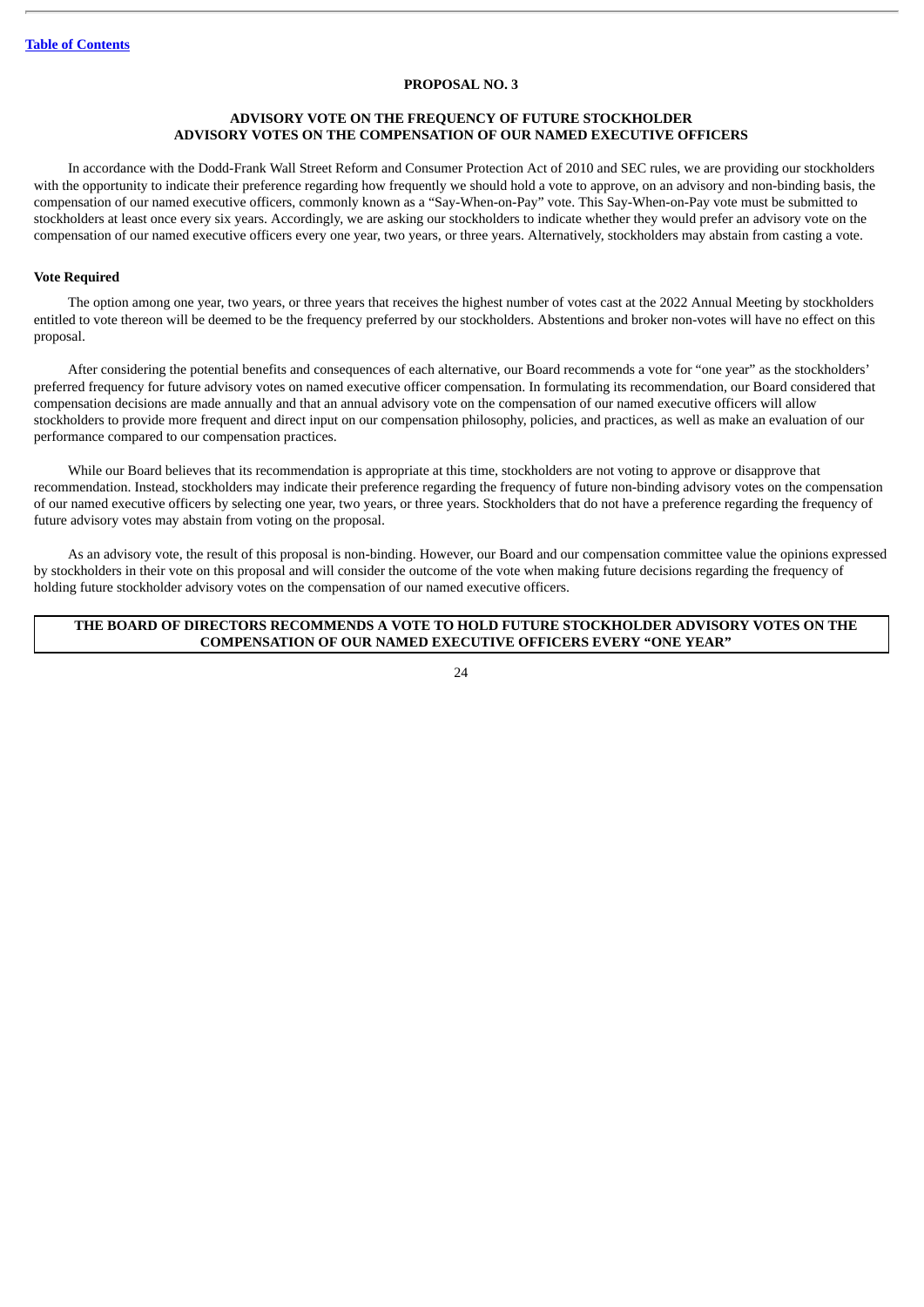# **PROPOSAL NO. 3**

# **ADVISORY VOTE ON THE FREQUENCY OF FUTURE STOCKHOLDER ADVISORY VOTES ON THE COMPENSATION OF OUR NAMED EXECUTIVE OFFICERS**

<span id="page-26-0"></span>In accordance with the Dodd-Frank Wall Street Reform and Consumer Protection Act of 2010 and SEC rules, we are providing our stockholders with the opportunity to indicate their preference regarding how frequently we should hold a vote to approve, on an advisory and non-binding basis, the compensation of our named executive officers, commonly known as a "Say-When-on-Pay" vote. This Say-When-on-Pay vote must be submitted to stockholders at least once every six years. Accordingly, we are asking our stockholders to indicate whether they would prefer an advisory vote on the compensation of our named executive officers every one year, two years, or three years. Alternatively, stockholders may abstain from casting a vote.

# **Vote Required**

The option among one year, two years, or three years that receives the highest number of votes cast at the 2022 Annual Meeting by stockholders entitled to vote thereon will be deemed to be the frequency preferred by our stockholders. Abstentions and broker non-votes will have no effect on this proposal.

After considering the potential benefits and consequences of each alternative, our Board recommends a vote for "one year" as the stockholders' preferred frequency for future advisory votes on named executive officer compensation. In formulating its recommendation, our Board considered that compensation decisions are made annually and that an annual advisory vote on the compensation of our named executive officers will allow stockholders to provide more frequent and direct input on our compensation philosophy, policies, and practices, as well as make an evaluation of our performance compared to our compensation practices.

While our Board believes that its recommendation is appropriate at this time, stockholders are not voting to approve or disapprove that recommendation. Instead, stockholders may indicate their preference regarding the frequency of future non-binding advisory votes on the compensation of our named executive officers by selecting one year, two years, or three years. Stockholders that do not have a preference regarding the frequency of future advisory votes may abstain from voting on the proposal.

As an advisory vote, the result of this proposal is non-binding. However, our Board and our compensation committee value the opinions expressed by stockholders in their vote on this proposal and will consider the outcome of the vote when making future decisions regarding the frequency of holding future stockholder advisory votes on the compensation of our named executive officers.

# **THE BOARD OF DIRECTORS RECOMMENDS A VOTE TO HOLD FUTURE STOCKHOLDER ADVISORY VOTES ON THE COMPENSATION OF OUR NAMED EXECUTIVE OFFICERS EVERY "ONE YEAR"**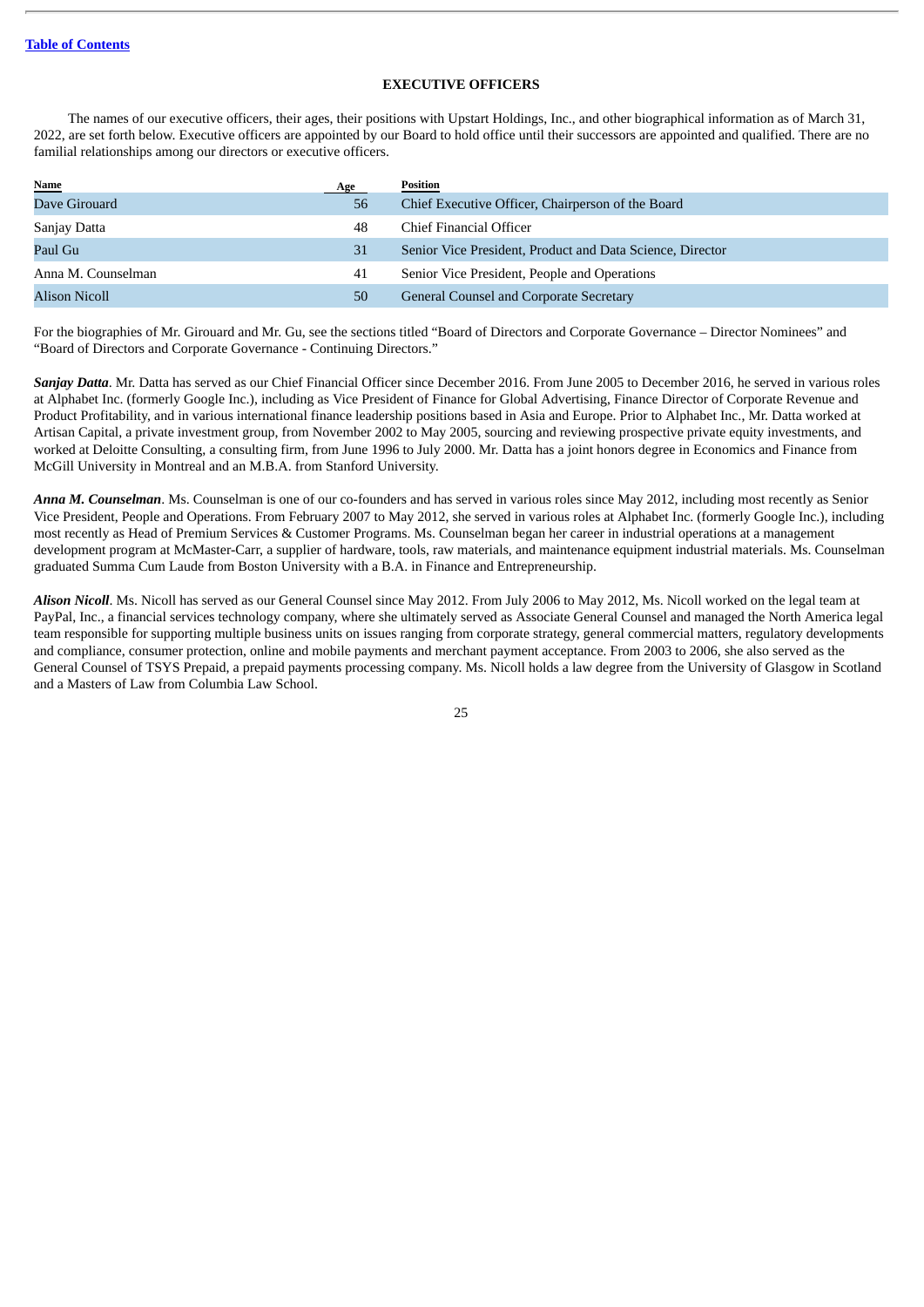# **EXECUTIVE OFFICERS**

<span id="page-27-0"></span>The names of our executive officers, their ages, their positions with Upstart Holdings, Inc., and other biographical information as of March 31, 2022, are set forth below. Executive officers are appointed by our Board to hold office until their successors are appointed and qualified. There are no familial relationships among our directors or executive officers.

| <b>Name</b>        | Age | <b>Position</b>                                           |
|--------------------|-----|-----------------------------------------------------------|
| Dave Girouard      | 56  | Chief Executive Officer, Chairperson of the Board         |
| Sanjay Datta       | 48  | Chief Financial Officer                                   |
| Paul Gu            | 31  | Senior Vice President, Product and Data Science, Director |
| Anna M. Counselman | 41  | Senior Vice President, People and Operations              |
| Alison Nicoll      | 50  | General Counsel and Corporate Secretary                   |

For the biographies of Mr. Girouard and Mr. Gu, see the sections titled "Board of Directors and Corporate Governance – Director Nominees" and "Board of Directors and Corporate Governance - Continuing Directors."

*Sanjay Datta*. Mr. Datta has served as our Chief Financial Officer since December 2016. From June 2005 to December 2016, he served in various roles at Alphabet Inc. (formerly Google Inc.), including as Vice President of Finance for Global Advertising, Finance Director of Corporate Revenue and Product Profitability, and in various international finance leadership positions based in Asia and Europe. Prior to Alphabet Inc., Mr. Datta worked at Artisan Capital, a private investment group, from November 2002 to May 2005, sourcing and reviewing prospective private equity investments, and worked at Deloitte Consulting, a consulting firm, from June 1996 to July 2000. Mr. Datta has a joint honors degree in Economics and Finance from McGill University in Montreal and an M.B.A. from Stanford University.

*Anna M. Counselman*. Ms. Counselman is one of our co-founders and has served in various roles since May 2012, including most recently as Senior Vice President, People and Operations. From February 2007 to May 2012, she served in various roles at Alphabet Inc. (formerly Google Inc.), including most recently as Head of Premium Services & Customer Programs. Ms. Counselman began her career in industrial operations at a management development program at McMaster-Carr, a supplier of hardware, tools, raw materials, and maintenance equipment industrial materials. Ms. Counselman graduated Summa Cum Laude from Boston University with a B.A. in Finance and Entrepreneurship.

*Alison Nicoll*. Ms. Nicoll has served as our General Counsel since May 2012. From July 2006 to May 2012, Ms. Nicoll worked on the legal team at PayPal, Inc., a financial services technology company, where she ultimately served as Associate General Counsel and managed the North America legal team responsible for supporting multiple business units on issues ranging from corporate strategy, general commercial matters, regulatory developments and compliance, consumer protection, online and mobile payments and merchant payment acceptance. From 2003 to 2006, she also served as the General Counsel of TSYS Prepaid, a prepaid payments processing company. Ms. Nicoll holds a law degree from the University of Glasgow in Scotland and a Masters of Law from Columbia Law School.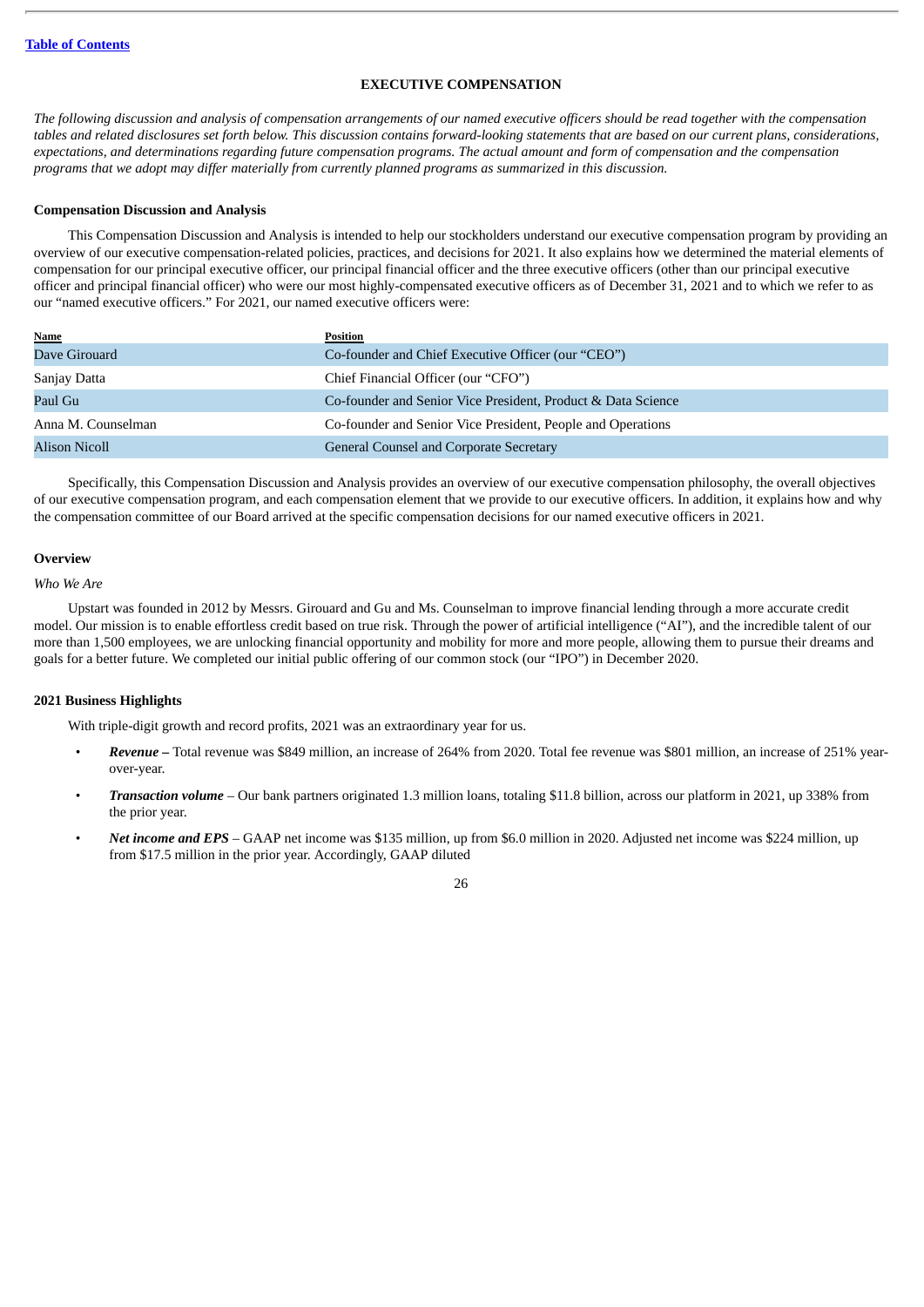# **EXECUTIVE COMPENSATION**

<span id="page-28-0"></span>The following discussion and analysis of compensation arrangements of our named executive officers should be read together with the compensation tables and related disclosures set forth below. This discussion contains forward-looking statements that are based on our current plans, considerations, expectations, and determinations regarding future compensation programs. The actual amount and form of compensation and the compensation *programs that we adopt may differ materially from currently planned programs as summarized in this discussion.*

# <span id="page-28-1"></span>**Compensation Discussion and Analysis**

This Compensation Discussion and Analysis is intended to help our stockholders understand our executive compensation program by providing an overview of our executive compensation-related policies, practices, and decisions for 2021. It also explains how we determined the material elements of compensation for our principal executive officer, our principal financial officer and the three executive officers (other than our principal executive officer and principal financial officer) who were our most highly-compensated executive officers as of December 31, 2021 and to which we refer to as our "named executive officers." For 2021, our named executive officers were:

| Name               | Position                                                     |
|--------------------|--------------------------------------------------------------|
| Dave Girouard      | Co-founder and Chief Executive Officer (our "CEO")           |
| Sanjay Datta       | Chief Financial Officer (our "CFO")                          |
| Paul Gu            | Co-founder and Senior Vice President, Product & Data Science |
| Anna M. Counselman | Co-founder and Senior Vice President, People and Operations  |
| Alison Nicoll      | General Counsel and Corporate Secretary                      |

Specifically, this Compensation Discussion and Analysis provides an overview of our executive compensation philosophy, the overall objectives of our executive compensation program, and each compensation element that we provide to our executive officers. In addition, it explains how and why the compensation committee of our Board arrived at the specific compensation decisions for our named executive officers in 2021.

# **Overview**

<span id="page-28-2"></span>*Who We Are*

Upstart was founded in 2012 by Messrs. Girouard and Gu and Ms. Counselman to improve financial lending through a more accurate credit model. Our mission is to enable effortless credit based on true risk. Through the power of artificial intelligence ("AI"), and the incredible talent of our more than 1,500 employees, we are unlocking financial opportunity and mobility for more and more people, allowing them to pursue their dreams and goals for a better future. We completed our initial public offering of our common stock (our "IPO") in December 2020.

# <span id="page-28-3"></span>**2021 Business Highlights**

With triple-digit growth and record profits, 2021 was an extraordinary year for us.

- *Revenue –* Total revenue was \$849 million, an increase of 264% from 2020. Total fee revenue was \$801 million, an increase of 251% yearover-year.
- *Transaction volume* Our bank partners originated 1.3 million loans, totaling \$11.8 billion, across our platform in 2021, up 338% from the prior year.
- *Net income and EPS* GAAP net income was \$135 million, up from \$6.0 million in 2020. Adjusted net income was \$224 million, up from \$17.5 million in the prior year. Accordingly, GAAP diluted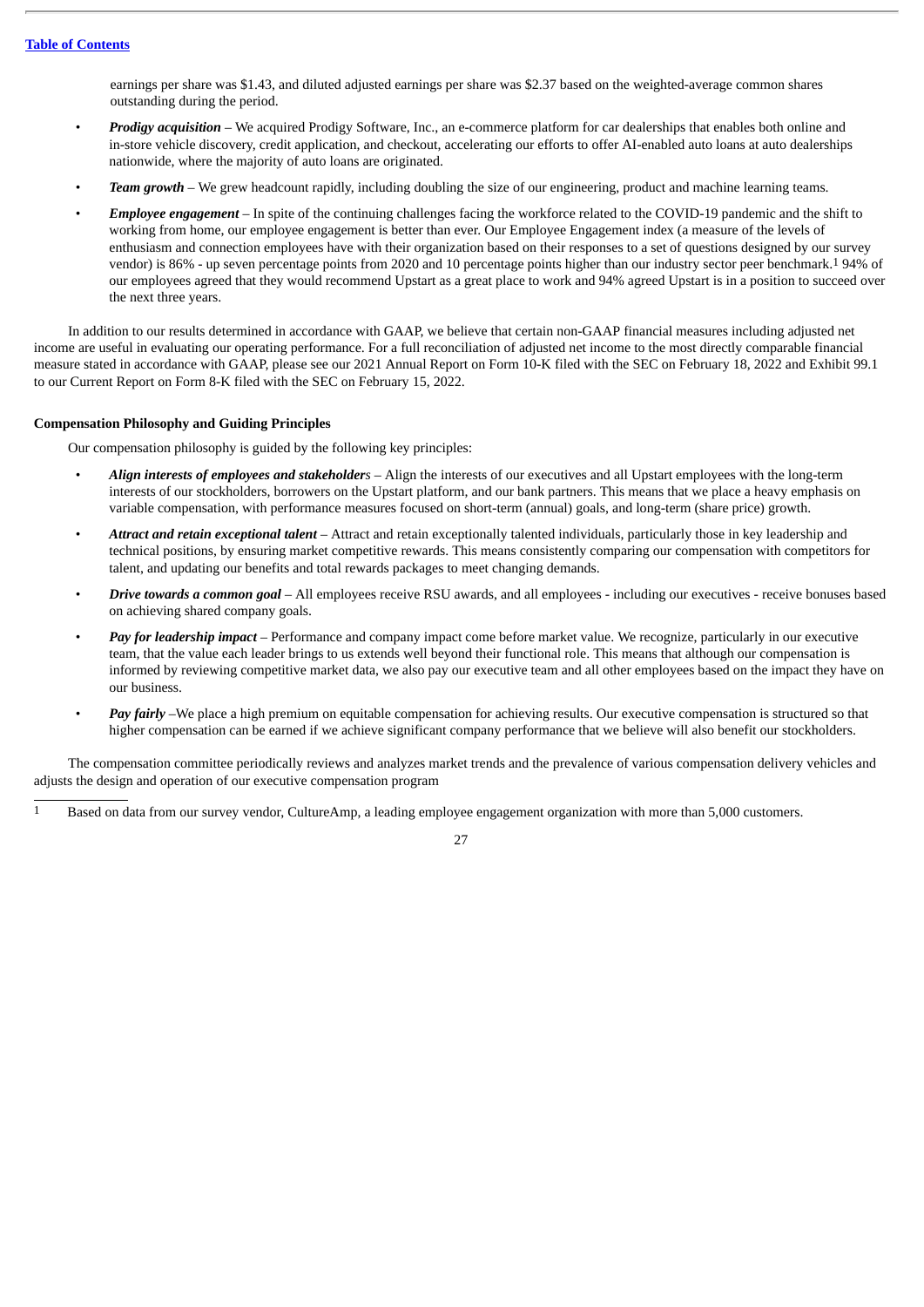earnings per share was \$1.43, and diluted adjusted earnings per share was \$2.37 based on the weighted-average common shares outstanding during the period.

- *Prodigy acquisition* We acquired Prodigy Software, Inc., an e-commerce platform for car dealerships that enables both online and in-store vehicle discovery, credit application, and checkout, accelerating our efforts to offer AI-enabled auto loans at auto dealerships nationwide, where the majority of auto loans are originated.
- *Team growth* We grew headcount rapidly, including doubling the size of our engineering, product and machine learning teams.
- *Employee engagement* In spite of the continuing challenges facing the workforce related to the COVID-19 pandemic and the shift to working from home, our employee engagement is better than ever. Our Employee Engagement index (a measure of the levels of enthusiasm and connection employees have with their organization based on their responses to a set of questions designed by our survey vendor) is 86% - up seven percentage points from 2020 and 10 percentage points higher than our industry sector peer benchmark.1 94% of our employees agreed that they would recommend Upstart as a great place to work and 94% agreed Upstart is in a position to succeed over the next three years.

In addition to our results determined in accordance with GAAP, we believe that certain non-GAAP financial measures including adjusted net income are useful in evaluating our operating performance. For a full reconciliation of adjusted net income to the most directly comparable financial measure stated in accordance with GAAP, please see our 2021 Annual Report on Form 10-K filed with the SEC on February 18, 2022 and Exhibit 99.1 to our Current Report on Form 8-K filed with the SEC on February 15, 2022.

# <span id="page-29-0"></span>**Compensation Philosophy and Guiding Principles**

Our compensation philosophy is guided by the following key principles:

- *Align interests of employees and stakeholders* Align the interests of our executives and all Upstart employees with the long-term interests of our stockholders, borrowers on the Upstart platform, and our bank partners. This means that we place a heavy emphasis on variable compensation, with performance measures focused on short-term (annual) goals, and long-term (share price) growth.
- *Attract and retain exceptional talent* Attract and retain exceptionally talented individuals, particularly those in key leadership and technical positions, by ensuring market competitive rewards. This means consistently comparing our compensation with competitors for talent, and updating our benefits and total rewards packages to meet changing demands.
- *Drive towards a common goal* All employees receive RSU awards, and all employees including our executives receive bonuses based on achieving shared company goals.
- *Pay for leadership impact* Performance and company impact come before market value. We recognize, particularly in our executive team, that the value each leader brings to us extends well beyond their functional role. This means that although our compensation is informed by reviewing competitive market data, we also pay our executive team and all other employees based on the impact they have on our business.
- *Pay fairly* –We place a high premium on equitable compensation for achieving results. Our executive compensation is structured so that higher compensation can be earned if we achieve significant company performance that we believe will also benefit our stockholders.

The compensation committee periodically reviews and analyzes market trends and the prevalence of various compensation delivery vehicles and adjusts the design and operation of our executive compensation program

<sup>1</sup> Based on data from our survey vendor, CultureAmp, a leading employee engagement organization with more than 5,000 customers.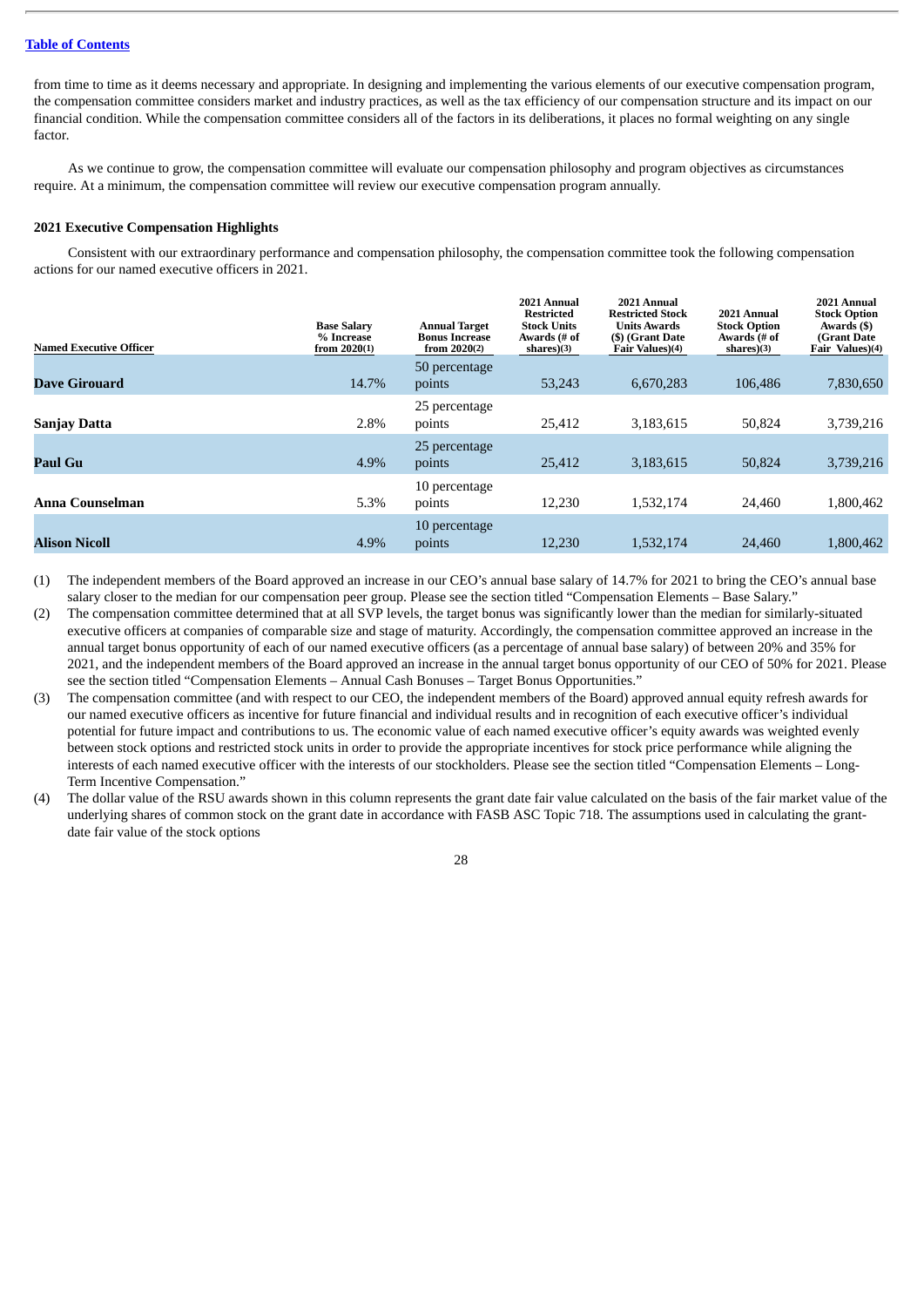from time to time as it deems necessary and appropriate. In designing and implementing the various elements of our executive compensation program, the compensation committee considers market and industry practices, as well as the tax efficiency of our compensation structure and its impact on our financial condition. While the compensation committee considers all of the factors in its deliberations, it places no formal weighting on any single factor*.*

As we continue to grow, the compensation committee will evaluate our compensation philosophy and program objectives as circumstances require. At a minimum, the compensation committee will review our executive compensation program annually.

#### <span id="page-30-0"></span>**2021 Executive Compensation Highlights**

Consistent with our extraordinary performance and compensation philosophy, the compensation committee took the following compensation actions for our named executive officers in 2021.

| Named Executive Officer | <b>Base Salary</b><br>% Increase<br>from $2020(1)$ | <b>Annual Target</b><br><b>Bonus Increase</b><br>from 2020(2) | 2021 Annual<br><b>Restricted</b><br><b>Stock Units</b><br>Awards (# of<br>shares $(3)$ | 2021 Annual<br><b>Restricted Stock</b><br><b>Units Awards</b><br>(\$) (Grant Date<br>Fair Values)(4) | 2021 Annual<br><b>Stock Option</b><br>Awards (# of<br>shares)(3) | 2021 Annual<br><b>Stock Option</b><br>Awards (\$)<br>(Grant Date)<br>Fair Values)(4) |
|-------------------------|----------------------------------------------------|---------------------------------------------------------------|----------------------------------------------------------------------------------------|------------------------------------------------------------------------------------------------------|------------------------------------------------------------------|--------------------------------------------------------------------------------------|
|                         |                                                    | 50 percentage                                                 |                                                                                        |                                                                                                      |                                                                  |                                                                                      |
| <b>Dave Girouard</b>    | 14.7%                                              | points                                                        | 53,243                                                                                 | 6,670,283                                                                                            | 106,486                                                          | 7,830,650                                                                            |
| <b>Sanjay Datta</b>     | 2.8%                                               | 25 percentage<br>points                                       | 25,412                                                                                 | 3,183,615                                                                                            | 50.824                                                           | 3,739,216                                                                            |
| Paul Gu                 | 4.9%                                               | 25 percentage<br>points                                       | 25,412                                                                                 | 3,183,615                                                                                            | 50,824                                                           | 3,739,216                                                                            |
| Anna Counselman         | 5.3%                                               | 10 percentage<br>points                                       | 12,230                                                                                 | 1,532,174                                                                                            | 24,460                                                           | 1,800,462                                                                            |
| <b>Alison Nicoll</b>    | 4.9%                                               | 10 percentage<br>points                                       | 12,230                                                                                 | 1,532,174                                                                                            | 24,460                                                           | 1,800,462                                                                            |

- (1) The independent members of the Board approved an increase in our CEO's annual base salary of 14.7% for 2021 to bring the CEO's annual base salary closer to the median for our compensation peer group. Please see the section titled "Compensation Elements – Base Salary."
- (2) The compensation committee determined that at all SVP levels, the target bonus was significantly lower than the median for similarly-situated executive officers at companies of comparable size and stage of maturity. Accordingly, the compensation committee approved an increase in the annual target bonus opportunity of each of our named executive officers (as a percentage of annual base salary) of between 20% and 35% for 2021, and the independent members of the Board approved an increase in the annual target bonus opportunity of our CEO of 50% for 2021. Please see the section titled "Compensation Elements – Annual Cash Bonuses – Target Bonus Opportunities."
- (3) The compensation committee (and with respect to our CEO, the independent members of the Board) approved annual equity refresh awards for our named executive officers as incentive for future financial and individual results and in recognition of each executive officer's individual potential for future impact and contributions to us. The economic value of each named executive officer's equity awards was weighted evenly between stock options and restricted stock units in order to provide the appropriate incentives for stock price performance while aligning the interests of each named executive officer with the interests of our stockholders. Please see the section titled "Compensation Elements – Long-Term Incentive Compensation."
- (4) The dollar value of the RSU awards shown in this column represents the grant date fair value calculated on the basis of the fair market value of the underlying shares of common stock on the grant date in accordance with FASB ASC Topic 718. The assumptions used in calculating the grantdate fair value of the stock options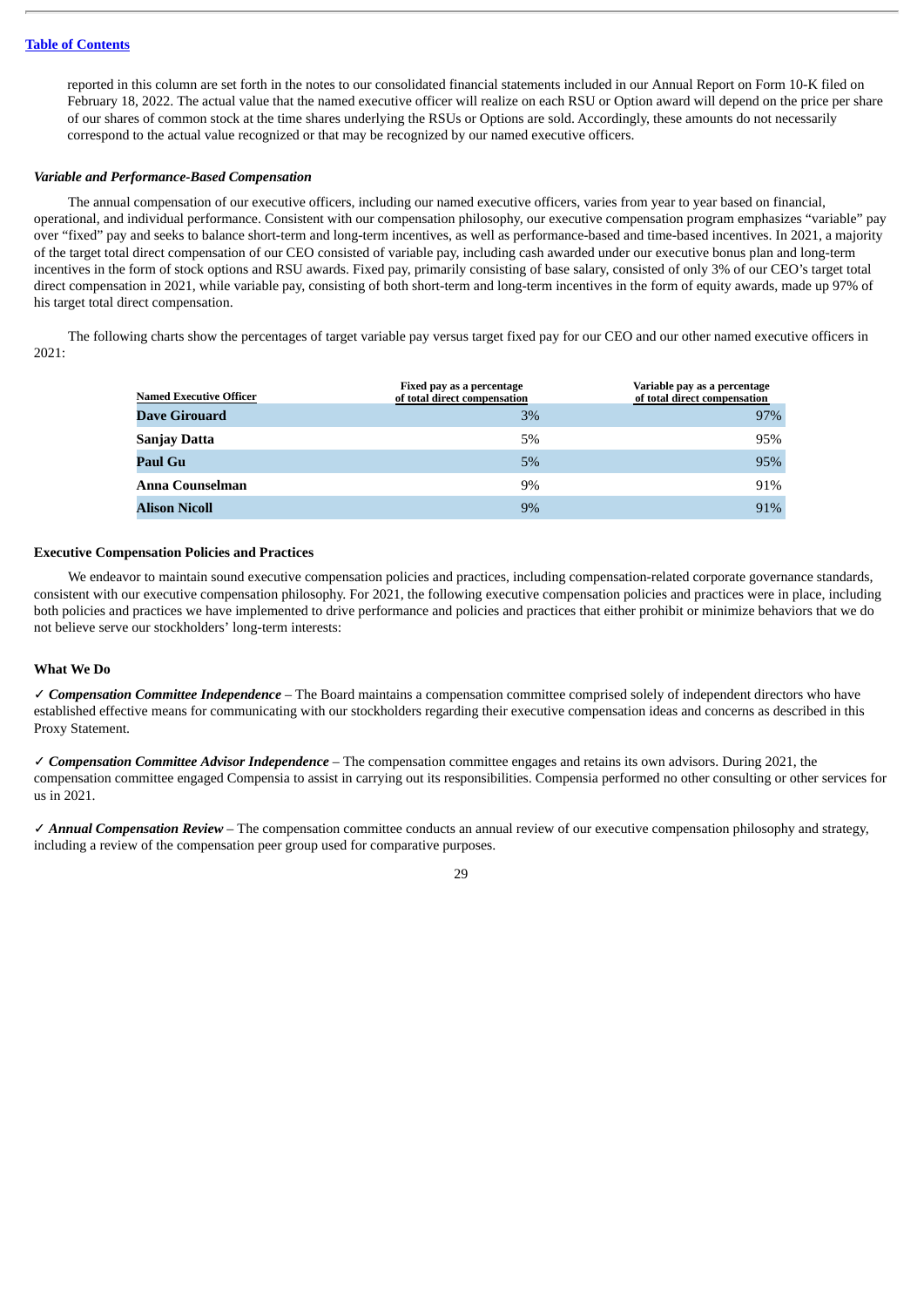reported in this column are set forth in the notes to our consolidated financial statements included in our Annual Report on Form 10-K filed on February 18, 2022. The actual value that the named executive officer will realize on each RSU or Option award will depend on the price per share of our shares of common stock at the time shares underlying the RSUs or Options are sold. Accordingly, these amounts do not necessarily correspond to the actual value recognized or that may be recognized by our named executive officers.

#### *Variable and Performance-Based Compensation*

The annual compensation of our executive officers, including our named executive officers, varies from year to year based on financial, operational, and individual performance. Consistent with our compensation philosophy, our executive compensation program emphasizes "variable" pay over "fixed" pay and seeks to balance short-term and long-term incentives, as well as performance-based and time-based incentives. In 2021, a majority of the target total direct compensation of our CEO consisted of variable pay, including cash awarded under our executive bonus plan and long-term incentives in the form of stock options and RSU awards. Fixed pay, primarily consisting of base salary, consisted of only 3% of our CEO's target total direct compensation in 2021, while variable pay, consisting of both short-term and long-term incentives in the form of equity awards, made up 97% of his target total direct compensation.

The following charts show the percentages of target variable pay versus target fixed pay for our CEO and our other named executive officers in 2021:

| Named Executive Officer | Fixed pay as a percentage<br>of total direct compensation | Variable pay as a percentage<br>of total direct compensation |
|-------------------------|-----------------------------------------------------------|--------------------------------------------------------------|
| Dave Girouard           | 3%                                                        | 97%                                                          |
| Sanjay Datta            | 5%                                                        | 95%                                                          |
| Paul Gu                 | 5%                                                        | 95%                                                          |
| Anna Counselman         | 9%                                                        | 91%                                                          |
| Alison Nicoll           | 9%                                                        | 91%                                                          |

#### <span id="page-31-0"></span>**Executive Compensation Policies and Practices**

We endeavor to maintain sound executive compensation policies and practices, including compensation-related corporate governance standards, consistent with our executive compensation philosophy. For 2021, the following executive compensation policies and practices were in place, including both policies and practices we have implemented to drive performance and policies and practices that either prohibit or minimize behaviors that we do not believe serve our stockholders' long-term interests:

#### **What We Do**

✓ *Compensation Committee Independence* – The Board maintains a compensation committee comprised solely of independent directors who have established effective means for communicating with our stockholders regarding their executive compensation ideas and concerns as described in this Proxy Statement.

✓ *Compensation Committee Advisor Independence* – The compensation committee engages and retains its own advisors. During 2021, the compensation committee engaged Compensia to assist in carrying out its responsibilities. Compensia performed no other consulting or other services for us in 2021.

✓ *Annual Compensation Review* – The compensation committee conducts an annual review of our executive compensation philosophy and strategy, including a review of the compensation peer group used for comparative purposes.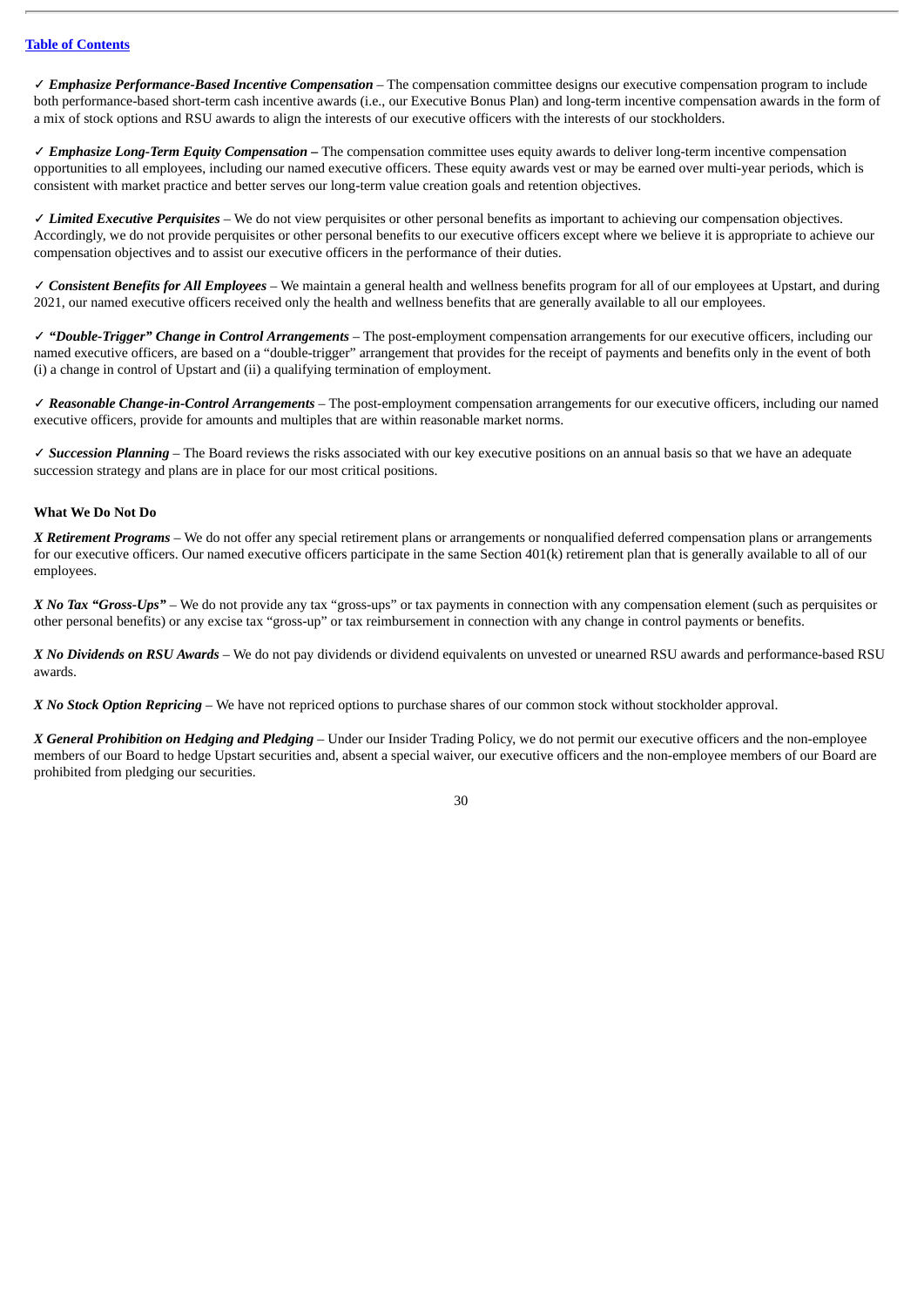✓ *Emphasize Performance-Based Incentive Compensation* – The compensation committee designs our executive compensation program to include both performance-based short-term cash incentive awards (i.e., our Executive Bonus Plan) and long-term incentive compensation awards in the form of a mix of stock options and RSU awards to align the interests of our executive officers with the interests of our stockholders.

✓ *Emphasize Long-Term Equity Compensation –* The compensation committee uses equity awards to deliver long-term incentive compensation opportunities to all employees, including our named executive officers. These equity awards vest or may be earned over multi-year periods, which is consistent with market practice and better serves our long-term value creation goals and retention objectives.

✓ *Limited Executive Perquisites* – We do not view perquisites or other personal benefits as important to achieving our compensation objectives. Accordingly, we do not provide perquisites or other personal benefits to our executive officers except where we believe it is appropriate to achieve our compensation objectives and to assist our executive officers in the performance of their duties.

✓ *Consistent Benefits for All Employees –* We maintain a general health and wellness benefits program for all of our employees at Upstart, and during 2021, our named executive officers received only the health and wellness benefits that are generally available to all our employees.

✓ *"Double-Trigger" Change in Control Arrangements* – The post-employment compensation arrangements for our executive officers, including our named executive officers, are based on a "double-trigger" arrangement that provides for the receipt of payments and benefits only in the event of both (i) a change in control of Upstart and (ii) a qualifying termination of employment.

✓ *Reasonable Change-in-Control Arrangements* – The post-employment compensation arrangements for our executive officers, including our named executive officers, provide for amounts and multiples that are within reasonable market norms.

✓ *Succession Planning* – The Board reviews the risks associated with our key executive positions on an annual basis so that we have an adequate succession strategy and plans are in place for our most critical positions.

# **What We Do Not Do**

*X Retirement Programs* – We do not offer any special retirement plans or arrangements or nonqualified deferred compensation plans or arrangements for our executive officers. Our named executive officers participate in the same Section 401(k) retirement plan that is generally available to all of our employees.

*X No Tax "Gross-Ups"* – We do not provide any tax "gross-ups" or tax payments in connection with any compensation element (such as perquisites or other personal benefits) or any excise tax "gross-up" or tax reimbursement in connection with any change in control payments or benefits.

*X No Dividends on RSU Awards* – We do not pay dividends or dividend equivalents on unvested or unearned RSU awards and performance-based RSU awards.

*X No Stock Option Repricing* – We have not repriced options to purchase shares of our common stock without stockholder approval.

*X General Prohibition on Hedging and Pledging* – Under our Insider Trading Policy, we do not permit our executive officers and the non-employee members of our Board to hedge Upstart securities and, absent a special waiver, our executive officers and the non-employee members of our Board are prohibited from pledging our securities.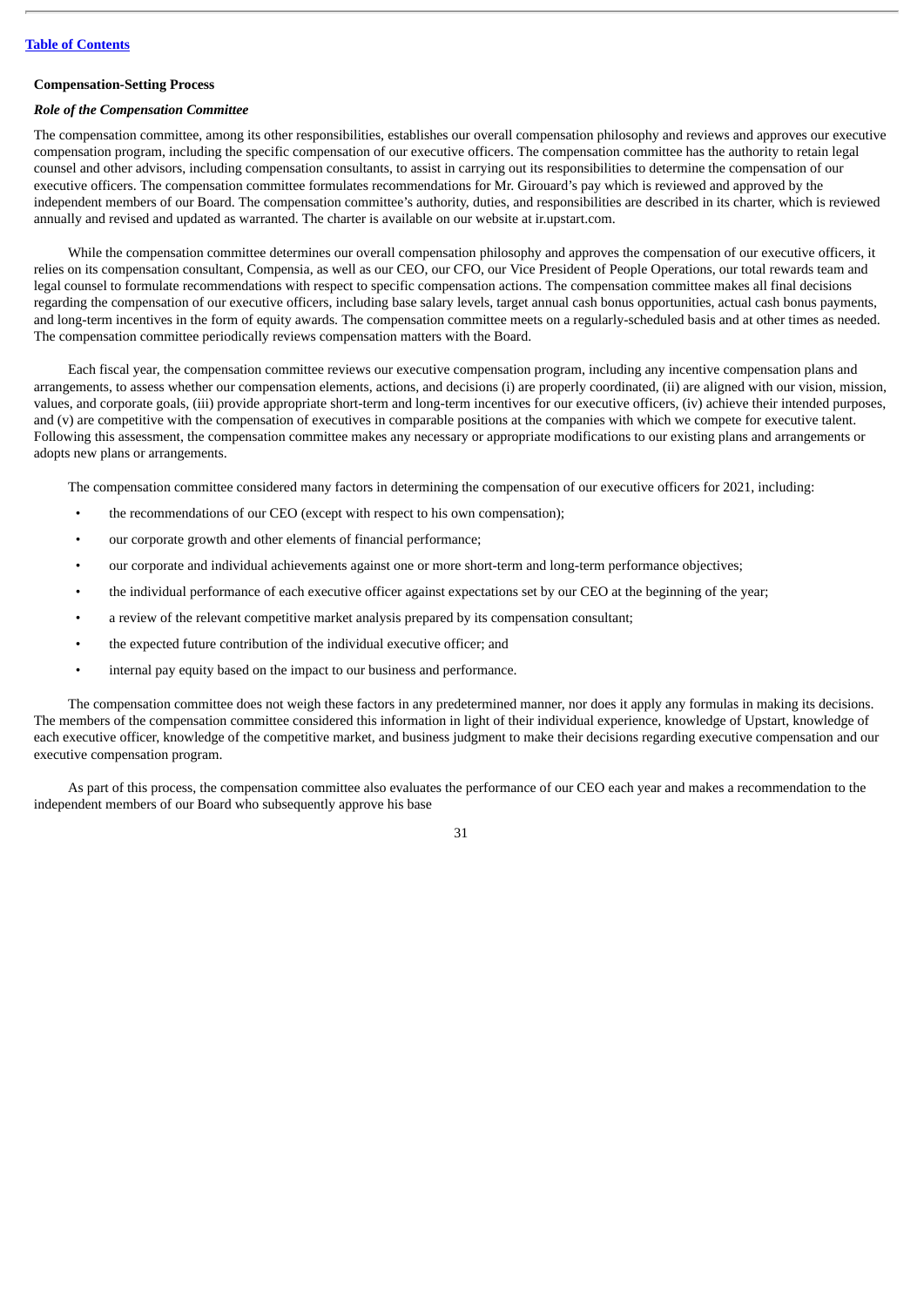# <span id="page-33-0"></span>**Compensation-Setting Process**

# *Role of the Compensation Committee*

The compensation committee, among its other responsibilities, establishes our overall compensation philosophy and reviews and approves our executive compensation program, including the specific compensation of our executive officers. The compensation committee has the authority to retain legal counsel and other advisors, including compensation consultants, to assist in carrying out its responsibilities to determine the compensation of our executive officers. The compensation committee formulates recommendations for Mr. Girouard's pay which is reviewed and approved by the independent members of our Board. The compensation committee's authority, duties, and responsibilities are described in its charter, which is reviewed annually and revised and updated as warranted. The charter is available on our website at ir.upstart.com.

While the compensation committee determines our overall compensation philosophy and approves the compensation of our executive officers, it relies on its compensation consultant, Compensia, as well as our CEO, our CFO, our Vice President of People Operations, our total rewards team and legal counsel to formulate recommendations with respect to specific compensation actions. The compensation committee makes all final decisions regarding the compensation of our executive officers, including base salary levels, target annual cash bonus opportunities, actual cash bonus payments, and long-term incentives in the form of equity awards. The compensation committee meets on a regularly-scheduled basis and at other times as needed. The compensation committee periodically reviews compensation matters with the Board.

Each fiscal year, the compensation committee reviews our executive compensation program, including any incentive compensation plans and arrangements, to assess whether our compensation elements, actions, and decisions (i) are properly coordinated, (ii) are aligned with our vision, mission, values, and corporate goals, (iii) provide appropriate short-term and long-term incentives for our executive officers, (iv) achieve their intended purposes, and (v) are competitive with the compensation of executives in comparable positions at the companies with which we compete for executive talent. Following this assessment, the compensation committee makes any necessary or appropriate modifications to our existing plans and arrangements or adopts new plans or arrangements.

The compensation committee considered many factors in determining the compensation of our executive officers for 2021, including:

- the recommendations of our CEO (except with respect to his own compensation);
- our corporate growth and other elements of financial performance;
- our corporate and individual achievements against one or more short-term and long-term performance objectives;
- the individual performance of each executive officer against expectations set by our CEO at the beginning of the year;
- a review of the relevant competitive market analysis prepared by its compensation consultant;
- the expected future contribution of the individual executive officer; and
- internal pay equity based on the impact to our business and performance.

The compensation committee does not weigh these factors in any predetermined manner, nor does it apply any formulas in making its decisions. The members of the compensation committee considered this information in light of their individual experience, knowledge of Upstart, knowledge of each executive officer, knowledge of the competitive market, and business judgment to make their decisions regarding executive compensation and our executive compensation program.

As part of this process, the compensation committee also evaluates the performance of our CEO each year and makes a recommendation to the independent members of our Board who subsequently approve his base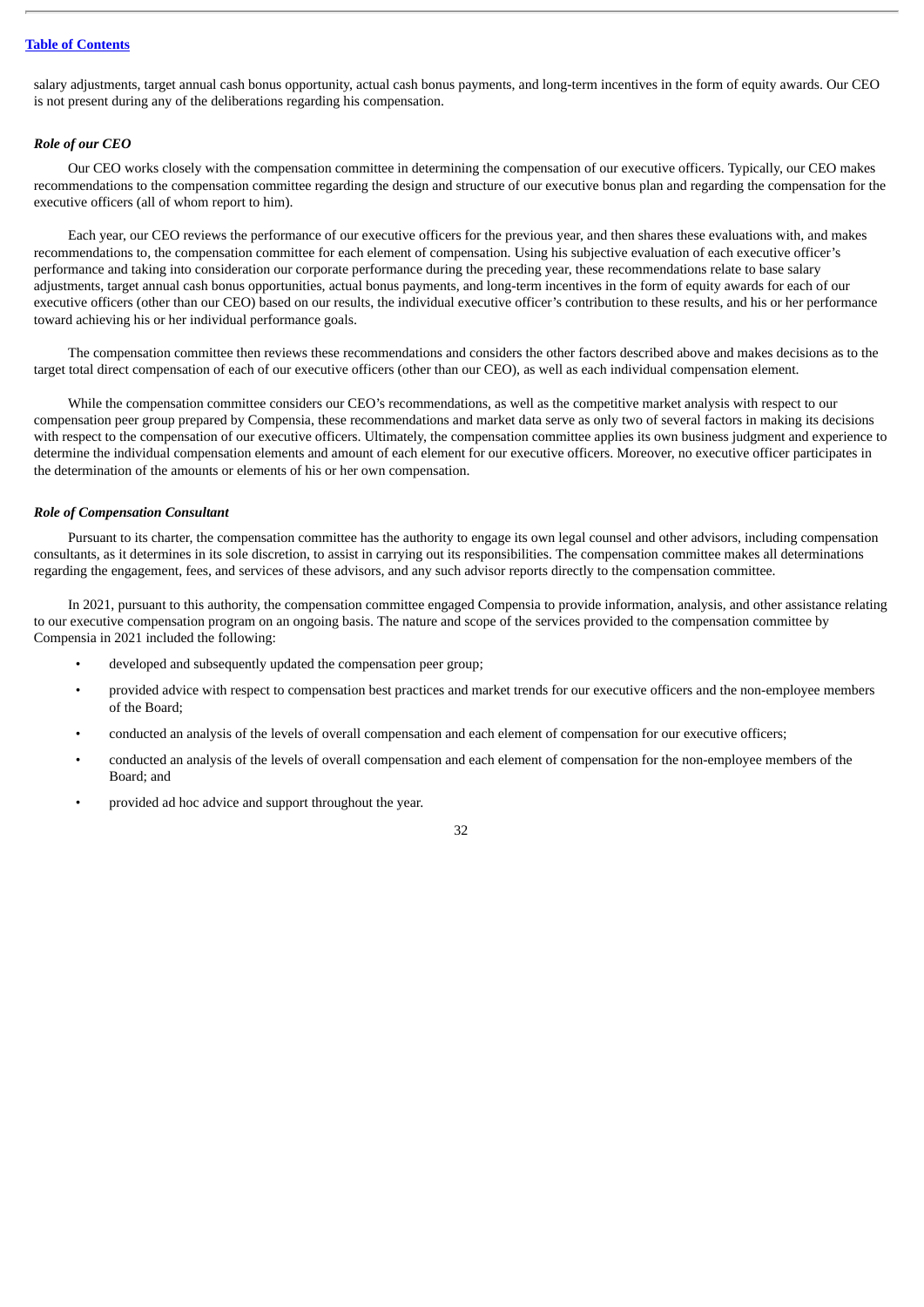salary adjustments, target annual cash bonus opportunity, actual cash bonus payments, and long-term incentives in the form of equity awards. Our CEO is not present during any of the deliberations regarding his compensation.

# *Role of our CEO*

Our CEO works closely with the compensation committee in determining the compensation of our executive officers. Typically, our CEO makes recommendations to the compensation committee regarding the design and structure of our executive bonus plan and regarding the compensation for the executive officers (all of whom report to him).

Each year, our CEO reviews the performance of our executive officers for the previous year, and then shares these evaluations with, and makes recommendations to, the compensation committee for each element of compensation. Using his subjective evaluation of each executive officer's performance and taking into consideration our corporate performance during the preceding year, these recommendations relate to base salary adjustments, target annual cash bonus opportunities, actual bonus payments, and long-term incentives in the form of equity awards for each of our executive officers (other than our CEO) based on our results, the individual executive officer's contribution to these results, and his or her performance toward achieving his or her individual performance goals.

The compensation committee then reviews these recommendations and considers the other factors described above and makes decisions as to the target total direct compensation of each of our executive officers (other than our CEO), as well as each individual compensation element.

While the compensation committee considers our CEO's recommendations, as well as the competitive market analysis with respect to our compensation peer group prepared by Compensia, these recommendations and market data serve as only two of several factors in making its decisions with respect to the compensation of our executive officers. Ultimately, the compensation committee applies its own business judgment and experience to determine the individual compensation elements and amount of each element for our executive officers. Moreover, no executive officer participates in the determination of the amounts or elements of his or her own compensation.

#### *Role of Compensation Consultant*

Pursuant to its charter, the compensation committee has the authority to engage its own legal counsel and other advisors, including compensation consultants, as it determines in its sole discretion, to assist in carrying out its responsibilities. The compensation committee makes all determinations regarding the engagement, fees, and services of these advisors, and any such advisor reports directly to the compensation committee.

In 2021, pursuant to this authority, the compensation committee engaged Compensia to provide information, analysis, and other assistance relating to our executive compensation program on an ongoing basis. The nature and scope of the services provided to the compensation committee by Compensia in 2021 included the following:

- developed and subsequently updated the compensation peer group;
- provided advice with respect to compensation best practices and market trends for our executive officers and the non-employee members of the Board;
- conducted an analysis of the levels of overall compensation and each element of compensation for our executive officers;
- conducted an analysis of the levels of overall compensation and each element of compensation for the non-employee members of the Board; and
- provided ad hoc advice and support throughout the year.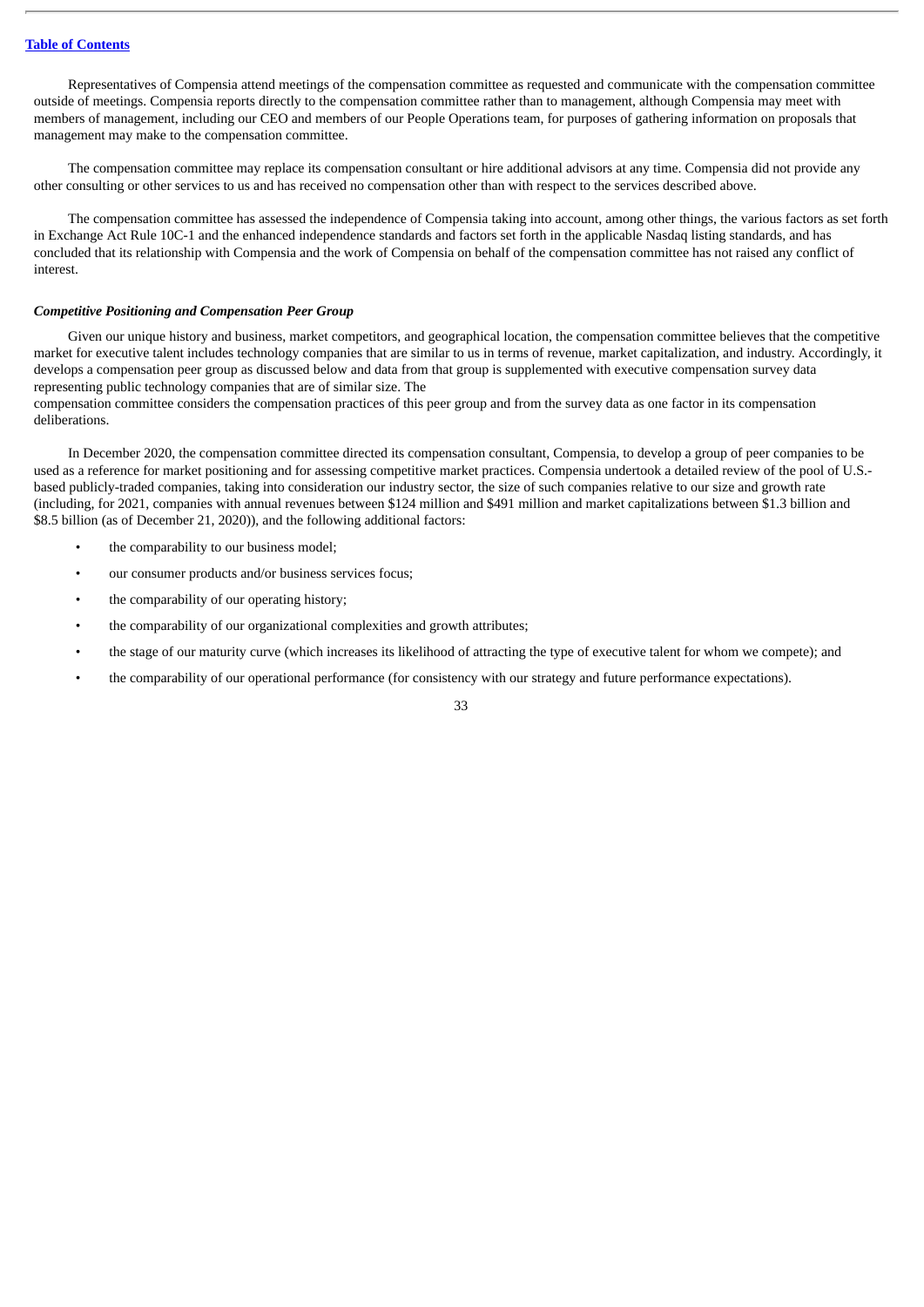Representatives of Compensia attend meetings of the compensation committee as requested and communicate with the compensation committee outside of meetings. Compensia reports directly to the compensation committee rather than to management, although Compensia may meet with members of management, including our CEO and members of our People Operations team, for purposes of gathering information on proposals that management may make to the compensation committee.

The compensation committee may replace its compensation consultant or hire additional advisors at any time. Compensia did not provide any other consulting or other services to us and has received no compensation other than with respect to the services described above.

The compensation committee has assessed the independence of Compensia taking into account, among other things, the various factors as set forth in Exchange Act Rule 10C-1 and the enhanced independence standards and factors set forth in the applicable Nasdaq listing standards, and has concluded that its relationship with Compensia and the work of Compensia on behalf of the compensation committee has not raised any conflict of interest.

#### *Competitive Positioning and Compensation Peer Group*

Given our unique history and business, market competitors, and geographical location, the compensation committee believes that the competitive market for executive talent includes technology companies that are similar to us in terms of revenue, market capitalization, and industry. Accordingly, it develops a compensation peer group as discussed below and data from that group is supplemented with executive compensation survey data representing public technology companies that are of similar size. The

compensation committee considers the compensation practices of this peer group and from the survey data as one factor in its compensation deliberations.

In December 2020, the compensation committee directed its compensation consultant, Compensia, to develop a group of peer companies to be used as a reference for market positioning and for assessing competitive market practices. Compensia undertook a detailed review of the pool of U.S. based publicly-traded companies, taking into consideration our industry sector, the size of such companies relative to our size and growth rate (including, for 2021, companies with annual revenues between \$124 million and \$491 million and market capitalizations between \$1.3 billion and \$8.5 billion (as of December 21, 2020)), and the following additional factors:

- the comparability to our business model;
- our consumer products and/or business services focus;
- the comparability of our operating history;
- the comparability of our organizational complexities and growth attributes;
- the stage of our maturity curve (which increases its likelihood of attracting the type of executive talent for whom we compete); and
- the comparability of our operational performance (for consistency with our strategy and future performance expectations).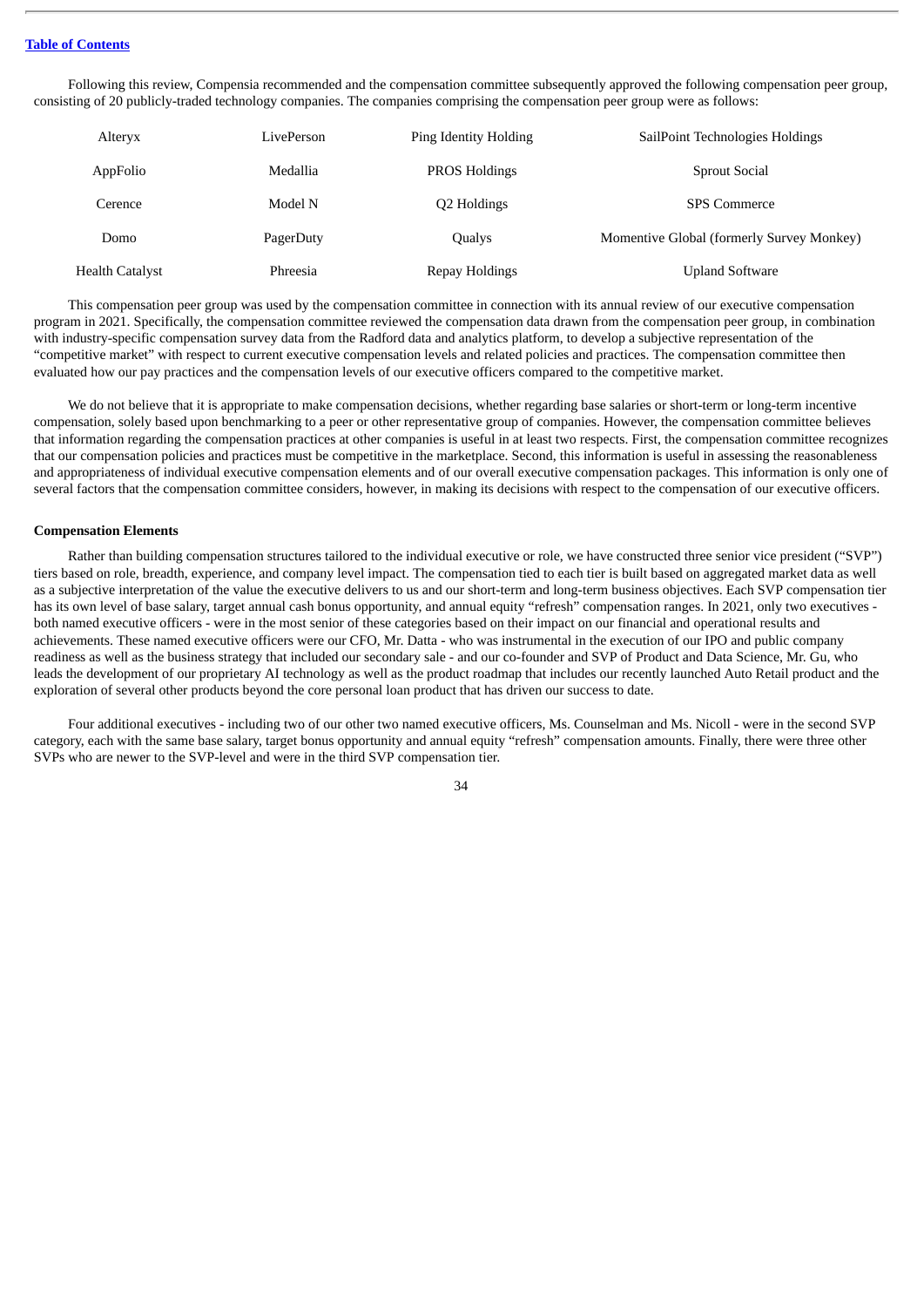Following this review, Compensia recommended and the compensation committee subsequently approved the following compensation peer group, consisting of 20 publicly-traded technology companies. The companies comprising the compensation peer group were as follows:

| Alteryx                | LivePerson | Ping Identity Holding | SailPoint Technologies Holdings           |
|------------------------|------------|-----------------------|-------------------------------------------|
| AppFolio               | Medallia   | <b>PROS Holdings</b>  | <b>Sprout Social</b>                      |
| Cerence                | Model N    | Q2 Holdings           | <b>SPS</b> Commerce                       |
| Domo                   | PagerDuty  | Qualys                | Momentive Global (formerly Survey Monkey) |
| <b>Health Catalyst</b> | Phreesia   | Repay Holdings        | <b>Upland Software</b>                    |

This compensation peer group was used by the compensation committee in connection with its annual review of our executive compensation program in 2021. Specifically, the compensation committee reviewed the compensation data drawn from the compensation peer group, in combination with industry-specific compensation survey data from the Radford data and analytics platform, to develop a subjective representation of the "competitive market" with respect to current executive compensation levels and related policies and practices. The compensation committee then evaluated how our pay practices and the compensation levels of our executive officers compared to the competitive market.

We do not believe that it is appropriate to make compensation decisions, whether regarding base salaries or short-term or long-term incentive compensation, solely based upon benchmarking to a peer or other representative group of companies. However, the compensation committee believes that information regarding the compensation practices at other companies is useful in at least two respects. First, the compensation committee recognizes that our compensation policies and practices must be competitive in the marketplace. Second, this information is useful in assessing the reasonableness and appropriateness of individual executive compensation elements and of our overall executive compensation packages. This information is only one of several factors that the compensation committee considers, however, in making its decisions with respect to the compensation of our executive officers.

#### <span id="page-36-0"></span>**Compensation Elements**

Rather than building compensation structures tailored to the individual executive or role, we have constructed three senior vice president ("SVP") tiers based on role, breadth, experience, and company level impact. The compensation tied to each tier is built based on aggregated market data as well as a subjective interpretation of the value the executive delivers to us and our short-term and long-term business objectives. Each SVP compensation tier has its own level of base salary, target annual cash bonus opportunity, and annual equity "refresh" compensation ranges. In 2021, only two executives both named executive officers - were in the most senior of these categories based on their impact on our financial and operational results and achievements. These named executive officers were our CFO, Mr. Datta - who was instrumental in the execution of our IPO and public company readiness as well as the business strategy that included our secondary sale - and our co-founder and SVP of Product and Data Science, Mr. Gu, who leads the development of our proprietary AI technology as well as the product roadmap that includes our recently launched Auto Retail product and the exploration of several other products beyond the core personal loan product that has driven our success to date.

Four additional executives - including two of our other two named executive officers, Ms. Counselman and Ms. Nicoll - were in the second SVP category, each with the same base salary, target bonus opportunity and annual equity "refresh" compensation amounts. Finally, there were three other SVPs who are newer to the SVP-level and were in the third SVP compensation tier.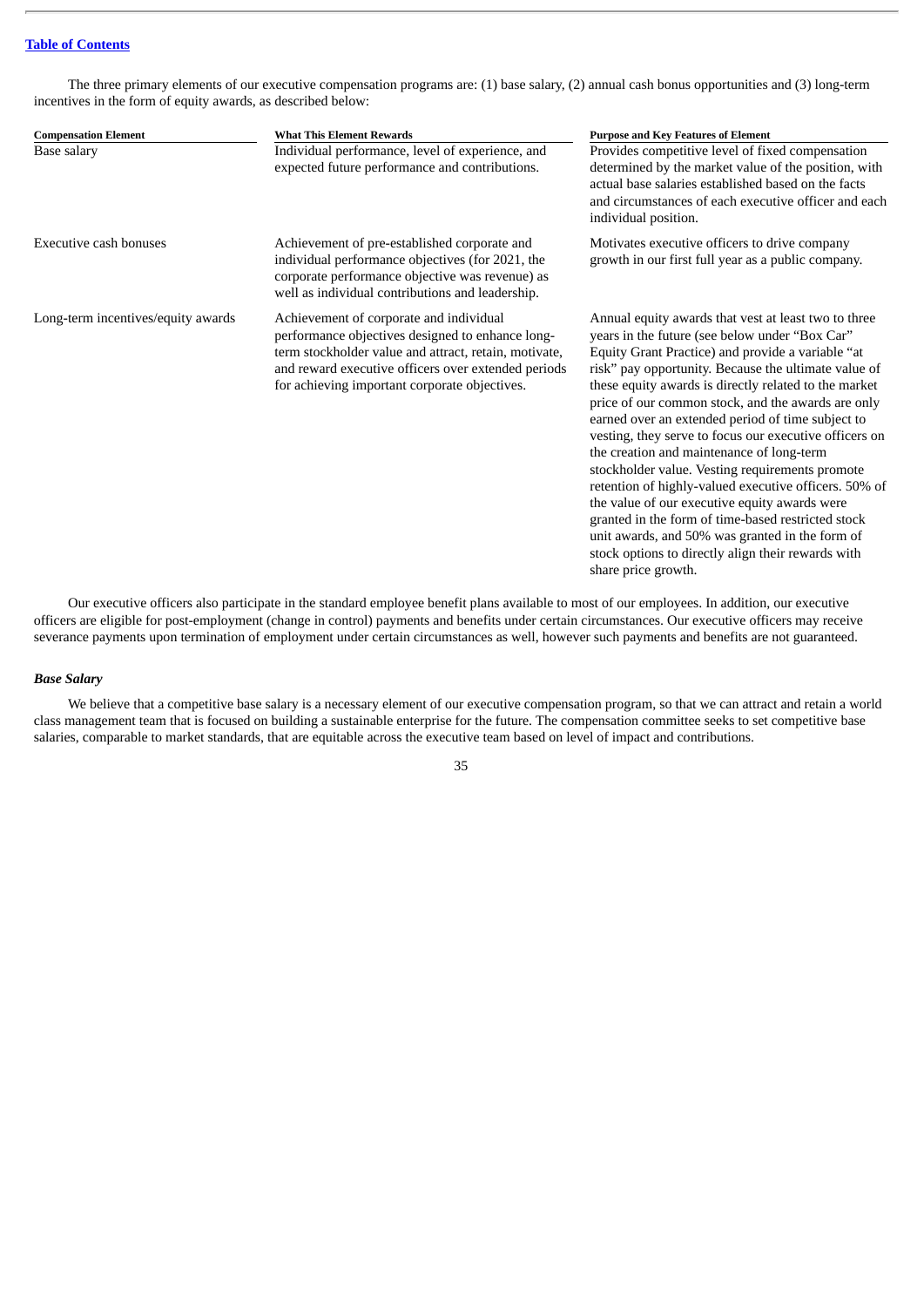The three primary elements of our executive compensation programs are: (1) base salary, (2) annual cash bonus opportunities and (3) long-term incentives in the form of equity awards, as described below:

| <b>Compensation Element</b>        | <b>What This Element Rewards</b>                                                                                                                                                                                                                             | <b>Purpose and Key Features of Element</b>                                                                                                                                                                                                                                                                                                                                                                                                                                                                                                                                                                                                                                                                                                                                                                                                        |
|------------------------------------|--------------------------------------------------------------------------------------------------------------------------------------------------------------------------------------------------------------------------------------------------------------|---------------------------------------------------------------------------------------------------------------------------------------------------------------------------------------------------------------------------------------------------------------------------------------------------------------------------------------------------------------------------------------------------------------------------------------------------------------------------------------------------------------------------------------------------------------------------------------------------------------------------------------------------------------------------------------------------------------------------------------------------------------------------------------------------------------------------------------------------|
| Base salary                        | Individual performance, level of experience, and<br>expected future performance and contributions.                                                                                                                                                           | Provides competitive level of fixed compensation<br>determined by the market value of the position, with<br>actual base salaries established based on the facts<br>and circumstances of each executive officer and each<br>individual position.                                                                                                                                                                                                                                                                                                                                                                                                                                                                                                                                                                                                   |
| <b>Executive cash bonuses</b>      | Achievement of pre-established corporate and<br>individual performance objectives (for 2021, the<br>corporate performance objective was revenue) as<br>well as individual contributions and leadership.                                                      | Motivates executive officers to drive company<br>growth in our first full year as a public company.                                                                                                                                                                                                                                                                                                                                                                                                                                                                                                                                                                                                                                                                                                                                               |
| Long-term incentives/equity awards | Achievement of corporate and individual<br>performance objectives designed to enhance long-<br>term stockholder value and attract, retain, motivate,<br>and reward executive officers over extended periods<br>for achieving important corporate objectives. | Annual equity awards that vest at least two to three<br>years in the future (see below under "Box Car"<br>Equity Grant Practice) and provide a variable "at<br>risk" pay opportunity. Because the ultimate value of<br>these equity awards is directly related to the market<br>price of our common stock, and the awards are only<br>earned over an extended period of time subject to<br>vesting, they serve to focus our executive officers on<br>the creation and maintenance of long-term<br>stockholder value. Vesting requirements promote<br>retention of highly-valued executive officers. 50% of<br>the value of our executive equity awards were<br>granted in the form of time-based restricted stock<br>unit awards, and 50% was granted in the form of<br>stock options to directly align their rewards with<br>share price growth. |

Our executive officers also participate in the standard employee benefit plans available to most of our employees. In addition, our executive officers are eligible for post-employment (change in control) payments and benefits under certain circumstances. Our executive officers may receive severance payments upon termination of employment under certain circumstances as well, however such payments and benefits are not guaranteed.

# *Base Salary*

We believe that a competitive base salary is a necessary element of our executive compensation program, so that we can attract and retain a world class management team that is focused on building a sustainable enterprise for the future. The compensation committee seeks to set competitive base salaries, comparable to market standards, that are equitable across the executive team based on level of impact and contributions.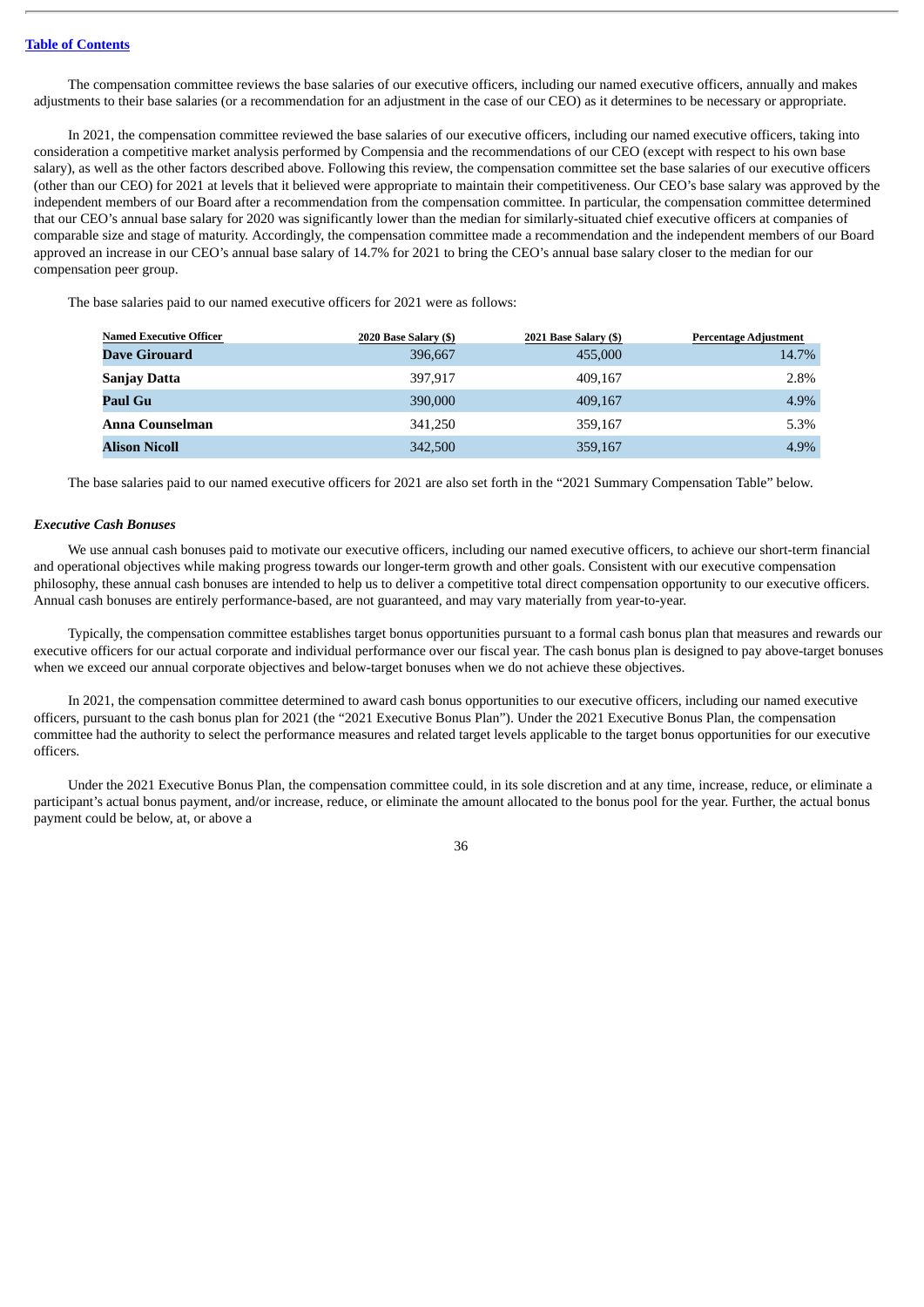The compensation committee reviews the base salaries of our executive officers, including our named executive officers, annually and makes adjustments to their base salaries (or a recommendation for an adjustment in the case of our CEO) as it determines to be necessary or appropriate.

In 2021, the compensation committee reviewed the base salaries of our executive officers, including our named executive officers, taking into consideration a competitive market analysis performed by Compensia and the recommendations of our CEO (except with respect to his own base salary), as well as the other factors described above. Following this review, the compensation committee set the base salaries of our executive officers (other than our CEO) for 2021 at levels that it believed were appropriate to maintain their competitiveness. Our CEO's base salary was approved by the independent members of our Board after a recommendation from the compensation committee. In particular, the compensation committee determined that our CEO's annual base salary for 2020 was significantly lower than the median for similarly-situated chief executive officers at companies of comparable size and stage of maturity. Accordingly, the compensation committee made a recommendation and the independent members of our Board approved an increase in our CEO's annual base salary of 14.7% for 2021 to bring the CEO's annual base salary closer to the median for our compensation peer group.

The base salaries paid to our named executive officers for 2021 were as follows:

| <b>Named Executive Officer</b> | 2020 Base Salary (\$) | 2021 Base Salary (\$) | <b>Percentage Adjustment</b> |
|--------------------------------|-----------------------|-----------------------|------------------------------|
| Dave Girouard                  | 396,667               | 455,000               | 14.7%                        |
| <b>Sanjay Datta</b>            | 397.917               | 409.167               | 2.8%                         |
| Paul Gu                        | 390,000               | 409,167               | 4.9%                         |
| Anna Counselman                | 341,250               | 359.167               | 5.3%                         |
| <b>Alison Nicoll</b>           | 342,500               | 359,167               | 4.9%                         |

The base salaries paid to our named executive officers for 2021 are also set forth in the "2021 Summary Compensation Table" below.

#### *Executive Cash Bonuses*

We use annual cash bonuses paid to motivate our executive officers, including our named executive officers, to achieve our short-term financial and operational objectives while making progress towards our longer-term growth and other goals. Consistent with our executive compensation philosophy, these annual cash bonuses are intended to help us to deliver a competitive total direct compensation opportunity to our executive officers. Annual cash bonuses are entirely performance-based, are not guaranteed, and may vary materially from year-to-year.

Typically, the compensation committee establishes target bonus opportunities pursuant to a formal cash bonus plan that measures and rewards our executive officers for our actual corporate and individual performance over our fiscal year. The cash bonus plan is designed to pay above-target bonuses when we exceed our annual corporate objectives and below-target bonuses when we do not achieve these objectives.

In 2021, the compensation committee determined to award cash bonus opportunities to our executive officers, including our named executive officers, pursuant to the cash bonus plan for 2021 (the "2021 Executive Bonus Plan"). Under the 2021 Executive Bonus Plan, the compensation committee had the authority to select the performance measures and related target levels applicable to the target bonus opportunities for our executive officers.

Under the 2021 Executive Bonus Plan, the compensation committee could, in its sole discretion and at any time, increase, reduce, or eliminate a participant's actual bonus payment, and/or increase, reduce, or eliminate the amount allocated to the bonus pool for the year. Further, the actual bonus payment could be below, at, or above a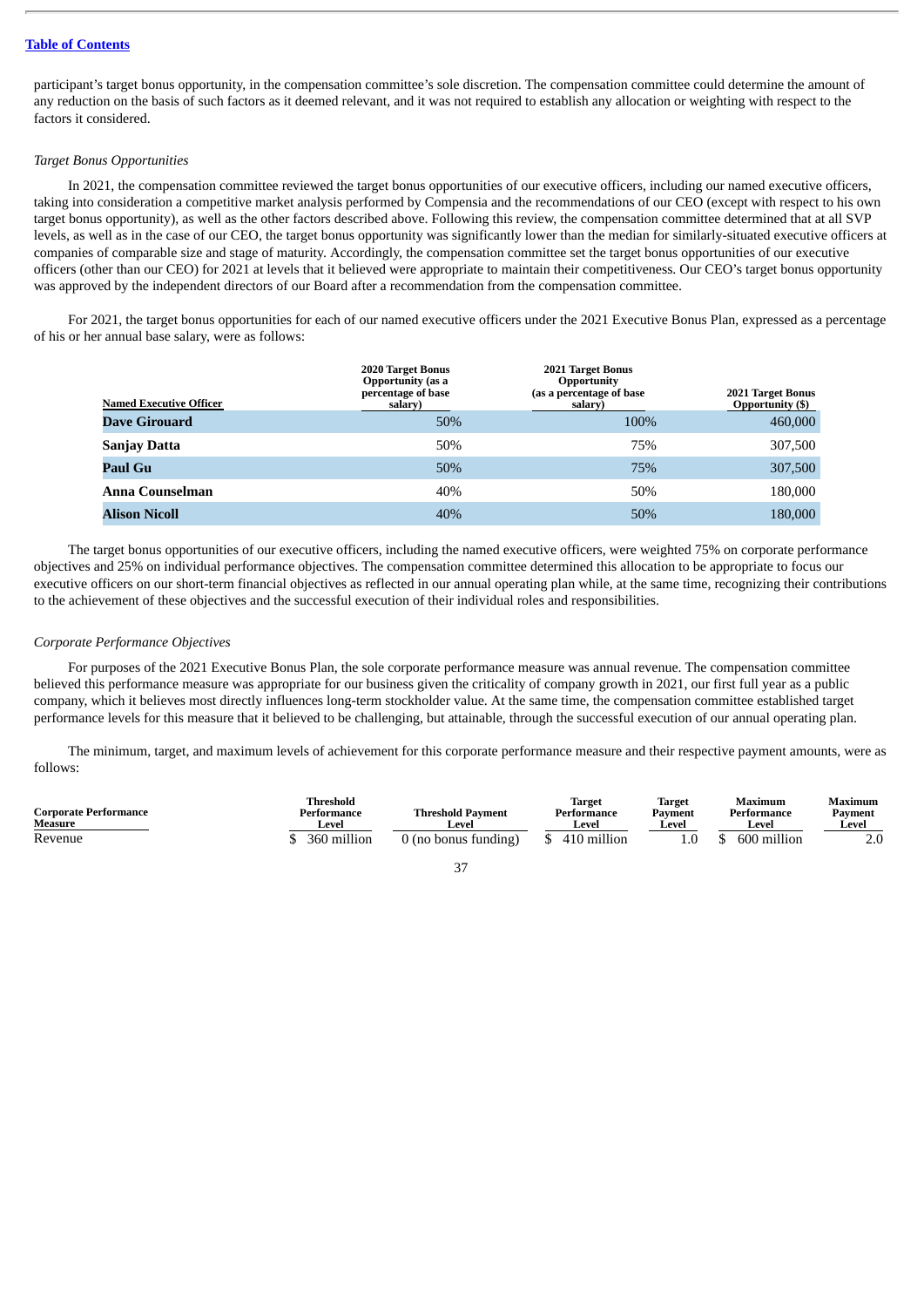participant's target bonus opportunity, in the compensation committee's sole discretion. The compensation committee could determine the amount of any reduction on the basis of such factors as it deemed relevant, and it was not required to establish any allocation or weighting with respect to the factors it considered.

# *Target Bonus Opportunities*

In 2021, the compensation committee reviewed the target bonus opportunities of our executive officers, including our named executive officers, taking into consideration a competitive market analysis performed by Compensia and the recommendations of our CEO (except with respect to his own target bonus opportunity), as well as the other factors described above. Following this review, the compensation committee determined that at all SVP levels, as well as in the case of our CEO, the target bonus opportunity was significantly lower than the median for similarly-situated executive officers at companies of comparable size and stage of maturity. Accordingly, the compensation committee set the target bonus opportunities of our executive officers (other than our CEO) for 2021 at levels that it believed were appropriate to maintain their competitiveness. Our CEO's target bonus opportunity was approved by the independent directors of our Board after a recommendation from the compensation committee.

For 2021, the target bonus opportunities for each of our named executive officers under the 2021 Executive Bonus Plan, expressed as a percentage of his or her annual base salary, were as follows:

| <b>Named Executive Officer</b> | <b>2020 Target Bonus</b><br><b>Opportunity</b> (as a<br>percentage of base<br>salary) | 2021 Target Bonus<br><b>Opportunity</b><br>(as a percentage of base<br>salary) | 2021 Target Bonus<br><b>Opportunity (\$)</b> |
|--------------------------------|---------------------------------------------------------------------------------------|--------------------------------------------------------------------------------|----------------------------------------------|
| Dave Girouard                  | 50%                                                                                   | 100%                                                                           | 460,000                                      |
| <b>Sanjay Datta</b>            | 50%                                                                                   | 75%                                                                            | 307,500                                      |
| Paul Gu                        | 50%                                                                                   | 75%                                                                            | 307,500                                      |
| Anna Counselman                | 40%                                                                                   | 50%                                                                            | 180,000                                      |
| <b>Alison Nicoll</b>           | 40%                                                                                   | 50%                                                                            | 180,000                                      |

The target bonus opportunities of our executive officers, including the named executive officers, were weighted 75% on corporate performance objectives and 25% on individual performance objectives. The compensation committee determined this allocation to be appropriate to focus our executive officers on our short-term financial objectives as reflected in our annual operating plan while, at the same time, recognizing their contributions to the achievement of these objectives and the successful execution of their individual roles and responsibilities.

#### *Corporate Performance Objectives*

For purposes of the 2021 Executive Bonus Plan, the sole corporate performance measure was annual revenue. The compensation committee believed this performance measure was appropriate for our business given the criticality of company growth in 2021, our first full year as a public company, which it believes most directly influences long-term stockholder value. At the same time, the compensation committee established target performance levels for this measure that it believed to be challenging, but attainable, through the successful execution of our annual operating plan.

The minimum, target, and maximum levels of achievement for this corporate performance measure and their respective payment amounts, were as follows:

| <b>Corporate Performance</b><br>Measure | Threshold<br>Performance<br><b>Leve</b> | <b>Threshold Payment</b><br>Level | <b>Target</b><br>Performance<br>Level | Target<br>Payment<br>∟eve! | Maximum<br>Performance<br>Level | Maximum<br>Pavment<br>Level |
|-----------------------------------------|-----------------------------------------|-----------------------------------|---------------------------------------|----------------------------|---------------------------------|-----------------------------|
| Revenue                                 | 360 million                             | 0 (no bonus funding)              | 410 million                           |                            | 600 million                     | Z.U                         |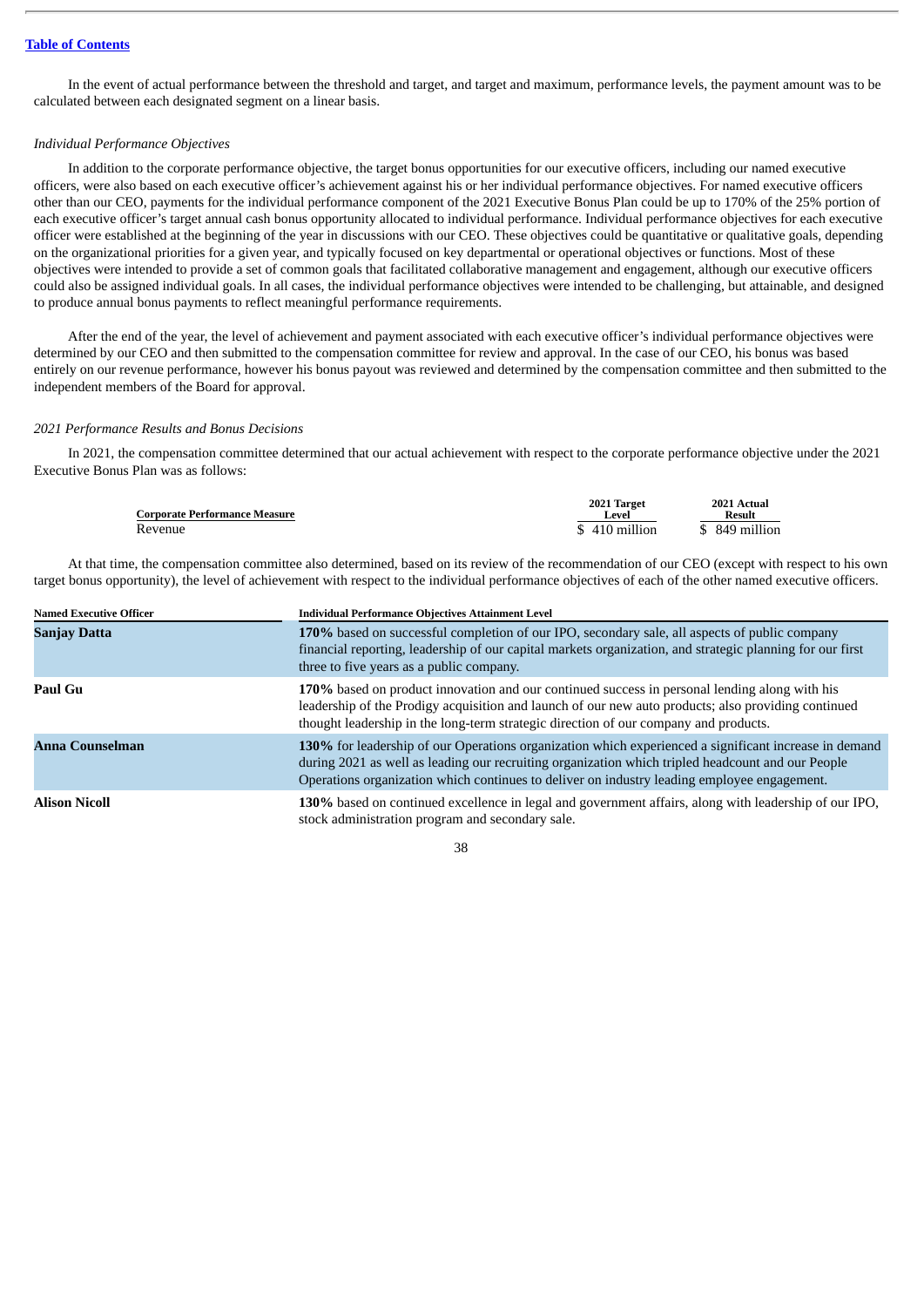In the event of actual performance between the threshold and target, and target and maximum, performance levels, the payment amount was to be calculated between each designated segment on a linear basis.

### *Individual Performance Objectives*

In addition to the corporate performance objective, the target bonus opportunities for our executive officers, including our named executive officers, were also based on each executive officer's achievement against his or her individual performance objectives. For named executive officers other than our CEO, payments for the individual performance component of the 2021 Executive Bonus Plan could be up to 170% of the 25% portion of each executive officer's target annual cash bonus opportunity allocated to individual performance. Individual performance objectives for each executive officer were established at the beginning of the year in discussions with our CEO. These objectives could be quantitative or qualitative goals, depending on the organizational priorities for a given year, and typically focused on key departmental or operational objectives or functions. Most of these objectives were intended to provide a set of common goals that facilitated collaborative management and engagement, although our executive officers could also be assigned individual goals. In all cases, the individual performance objectives were intended to be challenging, but attainable, and designed to produce annual bonus payments to reflect meaningful performance requirements.

After the end of the year, the level of achievement and payment associated with each executive officer's individual performance objectives were determined by our CEO and then submitted to the compensation committee for review and approval. In the case of our CEO, his bonus was based entirely on our revenue performance, however his bonus payout was reviewed and determined by the compensation committee and then submitted to the independent members of the Board for approval.

#### *2021 Performance Results and Bonus Decisions*

In 2021, the compensation committee determined that our actual achievement with respect to the corporate performance objective under the 2021 Executive Bonus Plan was as follows:

| <b>Corporate Performance Measure</b> | 2021 Target<br>evel | 2021 Actual<br>Result   |
|--------------------------------------|---------------------|-------------------------|
| Revenue                              | \$410 million       | 849 million<br><b>C</b> |

At that time, the compensation committee also determined, based on its review of the recommendation of our CEO (except with respect to his own target bonus opportunity), the level of achievement with respect to the individual performance objectives of each of the other named executive officers.

| <b>Named Executive Officer</b> | <b>Individual Performance Objectives Attainment Level</b>                                                                                                                                                                                                                                                 |  |  |  |  |
|--------------------------------|-----------------------------------------------------------------------------------------------------------------------------------------------------------------------------------------------------------------------------------------------------------------------------------------------------------|--|--|--|--|
| <b>Sanjay Datta</b>            | 170% based on successful completion of our IPO, secondary sale, all aspects of public company<br>financial reporting, leadership of our capital markets organization, and strategic planning for our first<br>three to five years as a public company.                                                    |  |  |  |  |
| Paul Gu                        | 170% based on product innovation and our continued success in personal lending along with his<br>leadership of the Prodigy acquisition and launch of our new auto products; also providing continued<br>thought leadership in the long-term strategic direction of our company and products.              |  |  |  |  |
| Anna Counselman                | 130% for leadership of our Operations organization which experienced a significant increase in demand<br>during 2021 as well as leading our recruiting organization which tripled headcount and our People<br>Operations organization which continues to deliver on industry leading employee engagement. |  |  |  |  |
| <b>Alison Nicoll</b>           | 130% based on continued excellence in legal and government affairs, along with leadership of our IPO,<br>stock administration program and secondary sale.                                                                                                                                                 |  |  |  |  |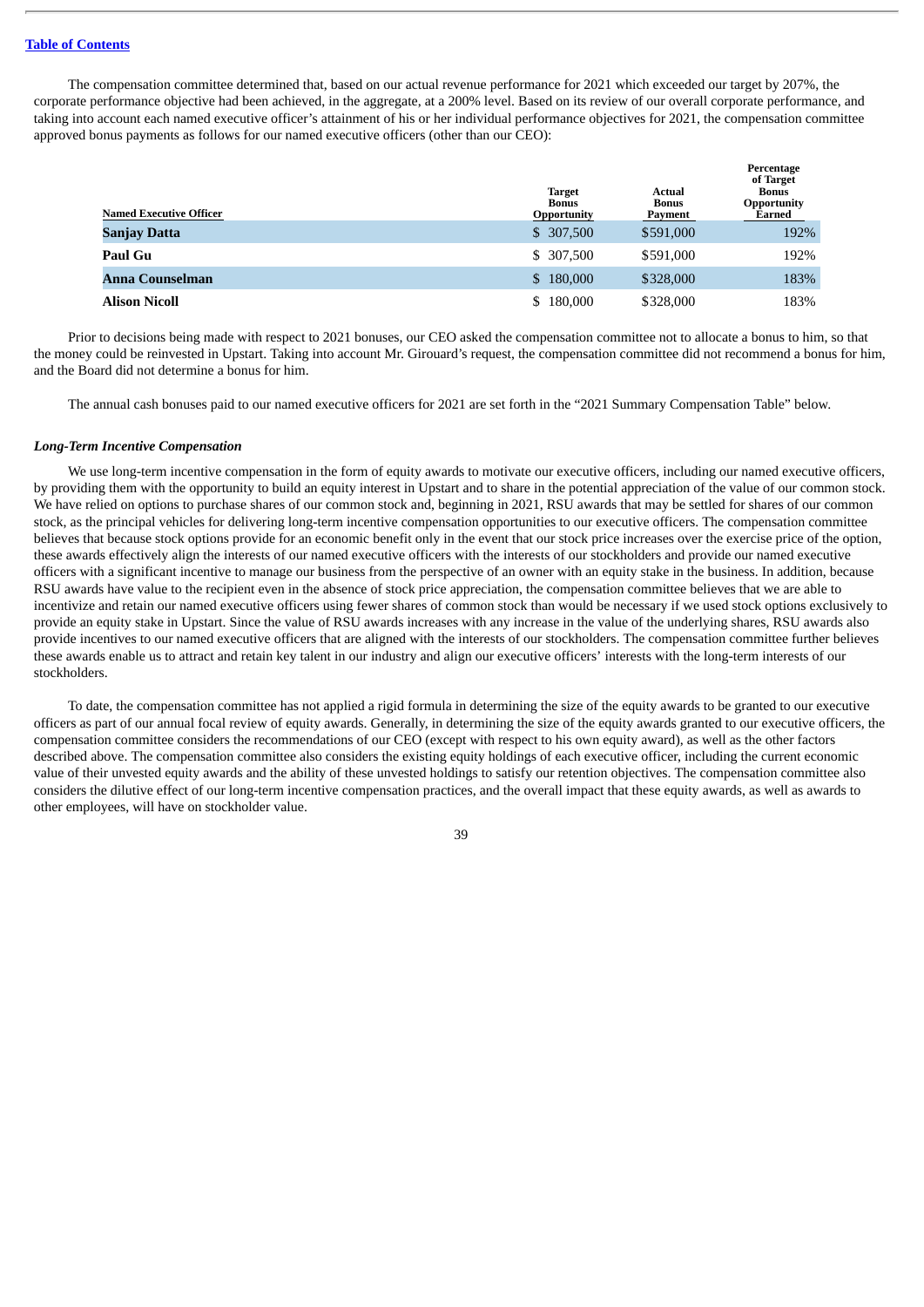The compensation committee determined that, based on our actual revenue performance for 2021 which exceeded our target by 207%, the corporate performance objective had been achieved, in the aggregate, at a 200% level. Based on its review of our overall corporate performance, and taking into account each named executive officer's attainment of his or her individual performance objectives for 2021, the compensation committee approved bonus payments as follows for our named executive officers (other than our CEO):

| <b>Named Executive Officer</b> | <b>Target</b><br><b>Bonus</b><br><b>Opportunity</b> | Actual<br><b>Bonus</b><br>Payment | Percentage<br>of Target<br>Bonus<br>Opportunity<br>Earned |
|--------------------------------|-----------------------------------------------------|-----------------------------------|-----------------------------------------------------------|
| Sanjay Datta                   | \$ 307,500                                          | \$591,000                         | 192%                                                      |
| <b>Paul Gu</b>                 | \$ 307,500                                          | \$591,000                         | 192%                                                      |
| Anna Counselman                | \$180,000                                           | \$328,000                         | 183%                                                      |
| <b>Alison Nicoll</b>           | 180,000<br>S.                                       | \$328,000                         | 183%                                                      |

Prior to decisions being made with respect to 2021 bonuses, our CEO asked the compensation committee not to allocate a bonus to him, so that the money could be reinvested in Upstart. Taking into account Mr. Girouard's request, the compensation committee did not recommend a bonus for him, and the Board did not determine a bonus for him.

The annual cash bonuses paid to our named executive officers for 2021 are set forth in the "2021 Summary Compensation Table" below.

#### *Long-Term Incentive Compensation*

We use long-term incentive compensation in the form of equity awards to motivate our executive officers, including our named executive officers, by providing them with the opportunity to build an equity interest in Upstart and to share in the potential appreciation of the value of our common stock. We have relied on options to purchase shares of our common stock and, beginning in 2021, RSU awards that may be settled for shares of our common stock, as the principal vehicles for delivering long-term incentive compensation opportunities to our executive officers. The compensation committee believes that because stock options provide for an economic benefit only in the event that our stock price increases over the exercise price of the option, these awards effectively align the interests of our named executive officers with the interests of our stockholders and provide our named executive officers with a significant incentive to manage our business from the perspective of an owner with an equity stake in the business. In addition, because RSU awards have value to the recipient even in the absence of stock price appreciation, the compensation committee believes that we are able to incentivize and retain our named executive officers using fewer shares of common stock than would be necessary if we used stock options exclusively to provide an equity stake in Upstart. Since the value of RSU awards increases with any increase in the value of the underlying shares, RSU awards also provide incentives to our named executive officers that are aligned with the interests of our stockholders. The compensation committee further believes these awards enable us to attract and retain key talent in our industry and align our executive officers' interests with the long-term interests of our stockholders.

To date, the compensation committee has not applied a rigid formula in determining the size of the equity awards to be granted to our executive officers as part of our annual focal review of equity awards. Generally, in determining the size of the equity awards granted to our executive officers, the compensation committee considers the recommendations of our CEO (except with respect to his own equity award), as well as the other factors described above. The compensation committee also considers the existing equity holdings of each executive officer, including the current economic value of their unvested equity awards and the ability of these unvested holdings to satisfy our retention objectives. The compensation committee also considers the dilutive effect of our long-term incentive compensation practices, and the overall impact that these equity awards, as well as awards to other employees, will have on stockholder value.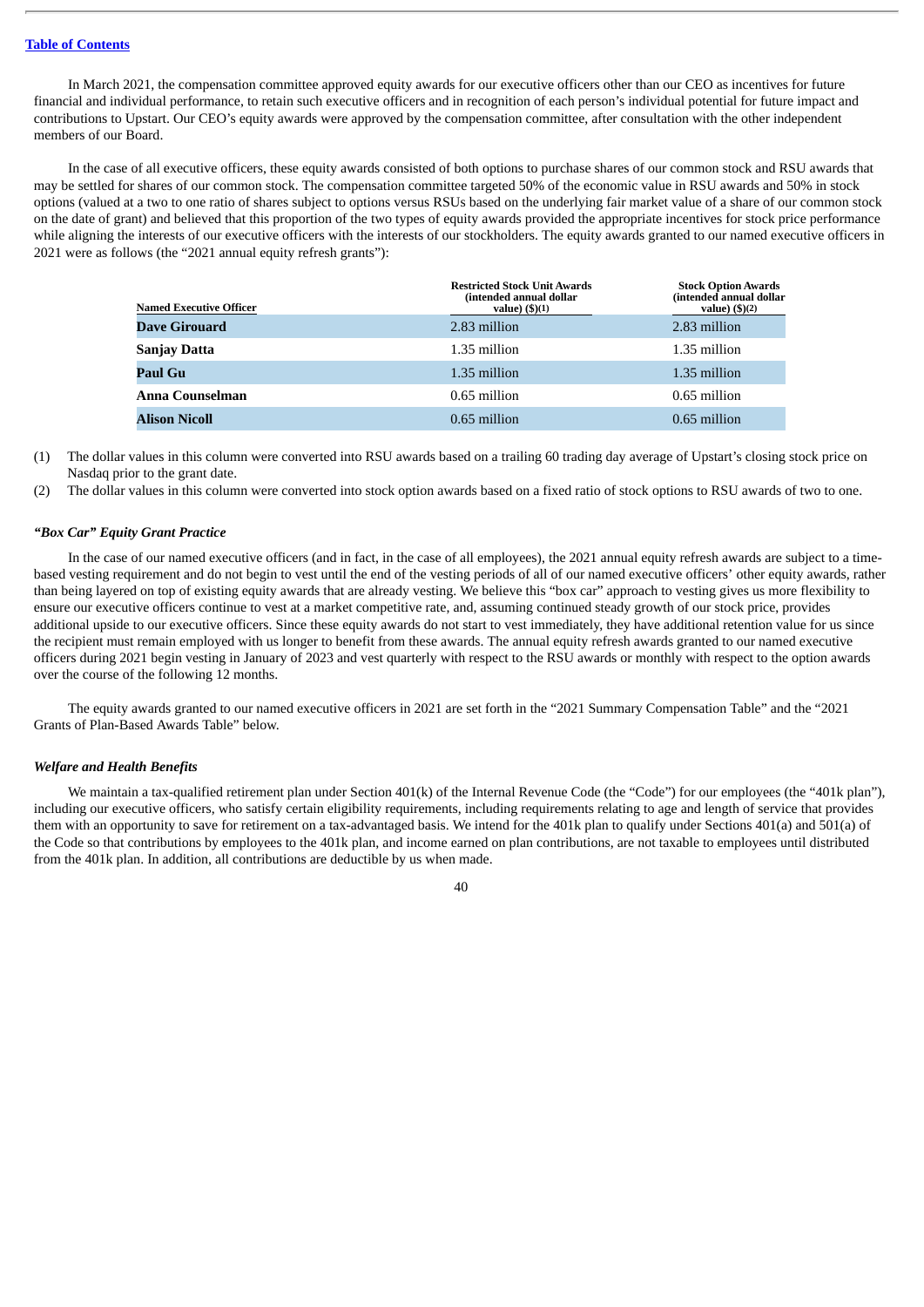In March 2021, the compensation committee approved equity awards for our executive officers other than our CEO as incentives for future financial and individual performance, to retain such executive officers and in recognition of each person's individual potential for future impact and contributions to Upstart. Our CEO's equity awards were approved by the compensation committee, after consultation with the other independent members of our Board.

In the case of all executive officers, these equity awards consisted of both options to purchase shares of our common stock and RSU awards that may be settled for shares of our common stock. The compensation committee targeted 50% of the economic value in RSU awards and 50% in stock options (valued at a two to one ratio of shares subject to options versus RSUs based on the underlying fair market value of a share of our common stock on the date of grant) and believed that this proportion of the two types of equity awards provided the appropriate incentives for stock price performance while aligning the interests of our executive officers with the interests of our stockholders. The equity awards granted to our named executive officers in 2021 were as follows (the "2021 annual equity refresh grants"):

| <b>Named Executive Officer</b> | <b>Restricted Stock Unit Awards</b><br>(intended annual dollar<br>value) $(\text{$}5)(1)$ | <b>Stock Option Awards</b><br>(intended annual dollar<br>value) $($ ) $(2)$ |
|--------------------------------|-------------------------------------------------------------------------------------------|-----------------------------------------------------------------------------|
| <b>Dave Girouard</b>           | 2.83 million                                                                              | 2.83 million                                                                |
| <b>Sanjay Datta</b>            | 1.35 million                                                                              | 1.35 million                                                                |
| Paul Gu                        | 1.35 million                                                                              | 1.35 million                                                                |
| Anna Counselman                | 0.65 million                                                                              | 0.65 million                                                                |
| <b>Alison Nicoll</b>           | 0.65 million                                                                              | 0.65 million                                                                |

(1) The dollar values in this column were converted into RSU awards based on a trailing 60 trading day average of Upstart's closing stock price on Nasdaq prior to the grant date.

(2) The dollar values in this column were converted into stock option awards based on a fixed ratio of stock options to RSU awards of two to one.

#### *"Box Car" Equity Grant Practice*

In the case of our named executive officers (and in fact, in the case of all employees), the 2021 annual equity refresh awards are subject to a timebased vesting requirement and do not begin to vest until the end of the vesting periods of all of our named executive officers' other equity awards, rather than being layered on top of existing equity awards that are already vesting. We believe this "box car" approach to vesting gives us more flexibility to ensure our executive officers continue to vest at a market competitive rate, and, assuming continued steady growth of our stock price, provides additional upside to our executive officers. Since these equity awards do not start to vest immediately, they have additional retention value for us since the recipient must remain employed with us longer to benefit from these awards. The annual equity refresh awards granted to our named executive officers during 2021 begin vesting in January of 2023 and vest quarterly with respect to the RSU awards or monthly with respect to the option awards over the course of the following 12 months.

The equity awards granted to our named executive officers in 2021 are set forth in the "2021 Summary Compensation Table" and the "2021 Grants of Plan-Based Awards Table" below.

# *Welfare and Health Benefits*

We maintain a tax-qualified retirement plan under Section 401(k) of the Internal Revenue Code (the "Code") for our employees (the "401k plan"), including our executive officers, who satisfy certain eligibility requirements, including requirements relating to age and length of service that provides them with an opportunity to save for retirement on a tax-advantaged basis. We intend for the 401k plan to qualify under Sections 401(a) and 501(a) of the Code so that contributions by employees to the 401k plan, and income earned on plan contributions, are not taxable to employees until distributed from the 401k plan. In addition, all contributions are deductible by us when made.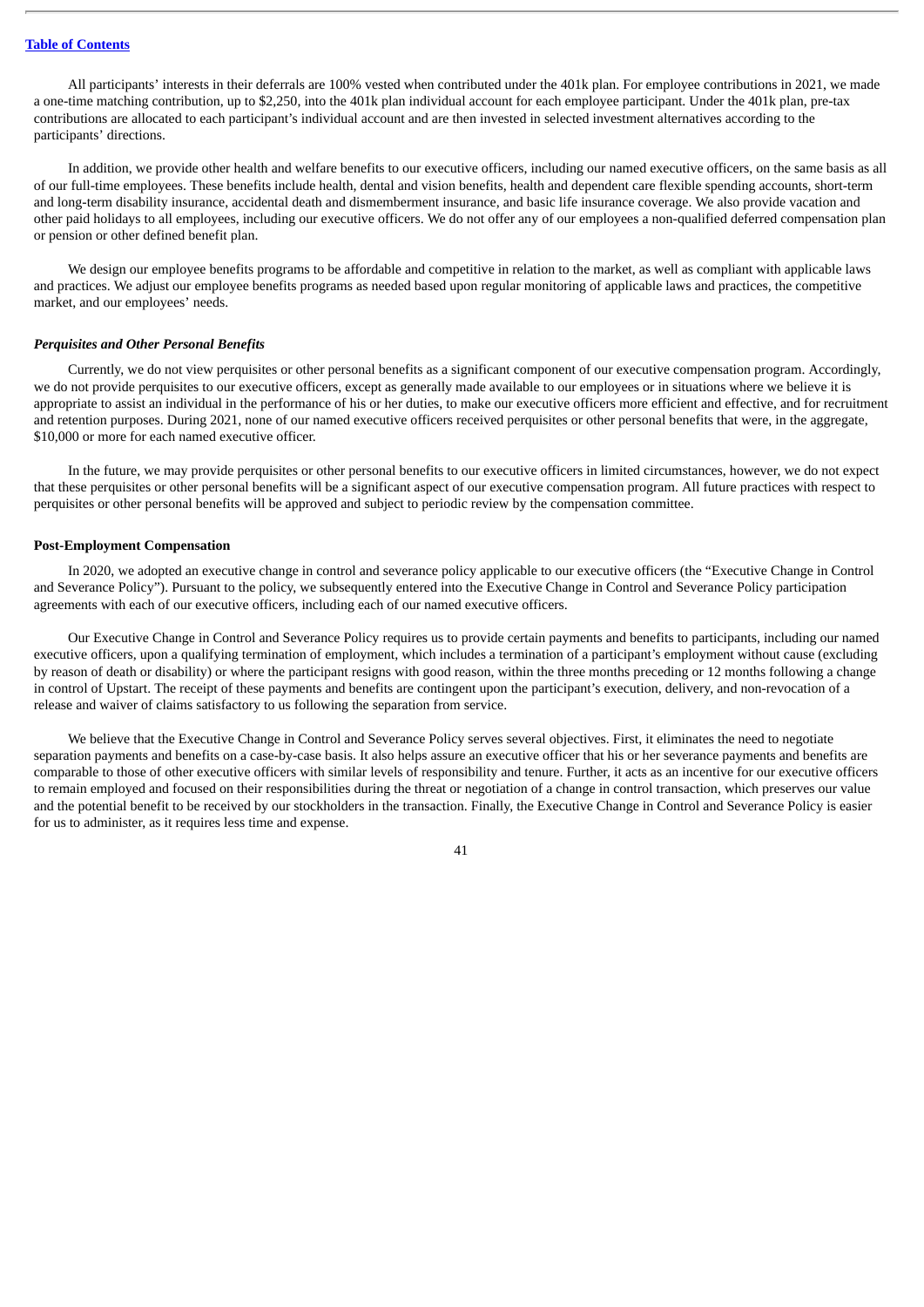All participants' interests in their deferrals are 100% vested when contributed under the 401k plan. For employee contributions in 2021, we made a one-time matching contribution, up to \$2,250, into the 401k plan individual account for each employee participant. Under the 401k plan, pre-tax contributions are allocated to each participant's individual account and are then invested in selected investment alternatives according to the participants' directions.

In addition, we provide other health and welfare benefits to our executive officers, including our named executive officers, on the same basis as all of our full-time employees. These benefits include health, dental and vision benefits, health and dependent care flexible spending accounts, short-term and long-term disability insurance, accidental death and dismemberment insurance, and basic life insurance coverage. We also provide vacation and other paid holidays to all employees, including our executive officers. We do not offer any of our employees a non-qualified deferred compensation plan or pension or other defined benefit plan.

We design our employee benefits programs to be affordable and competitive in relation to the market, as well as compliant with applicable laws and practices. We adjust our employee benefits programs as needed based upon regular monitoring of applicable laws and practices, the competitive market, and our employees' needs.

#### *Perquisites and Other Personal Benefits*

Currently, we do not view perquisites or other personal benefits as a significant component of our executive compensation program. Accordingly, we do not provide perquisites to our executive officers, except as generally made available to our employees or in situations where we believe it is appropriate to assist an individual in the performance of his or her duties, to make our executive officers more efficient and effective, and for recruitment and retention purposes. During 2021, none of our named executive officers received perquisites or other personal benefits that were, in the aggregate, \$10,000 or more for each named executive officer.

In the future, we may provide perquisites or other personal benefits to our executive officers in limited circumstances, however, we do not expect that these perquisites or other personal benefits will be a significant aspect of our executive compensation program. All future practices with respect to perquisites or other personal benefits will be approved and subject to periodic review by the compensation committee.

# <span id="page-43-0"></span>**Post-Employment Compensation**

In 2020, we adopted an executive change in control and severance policy applicable to our executive officers (the "Executive Change in Control and Severance Policy"). Pursuant to the policy, we subsequently entered into the Executive Change in Control and Severance Policy participation agreements with each of our executive officers, including each of our named executive officers.

Our Executive Change in Control and Severance Policy requires us to provide certain payments and benefits to participants, including our named executive officers, upon a qualifying termination of employment, which includes a termination of a participant's employment without cause (excluding by reason of death or disability) or where the participant resigns with good reason, within the three months preceding or 12 months following a change in control of Upstart. The receipt of these payments and benefits are contingent upon the participant's execution, delivery, and non-revocation of a release and waiver of claims satisfactory to us following the separation from service.

We believe that the Executive Change in Control and Severance Policy serves several objectives. First, it eliminates the need to negotiate separation payments and benefits on a case-by-case basis. It also helps assure an executive officer that his or her severance payments and benefits are comparable to those of other executive officers with similar levels of responsibility and tenure. Further, it acts as an incentive for our executive officers to remain employed and focused on their responsibilities during the threat or negotiation of a change in control transaction, which preserves our value and the potential benefit to be received by our stockholders in the transaction. Finally, the Executive Change in Control and Severance Policy is easier for us to administer, as it requires less time and expense.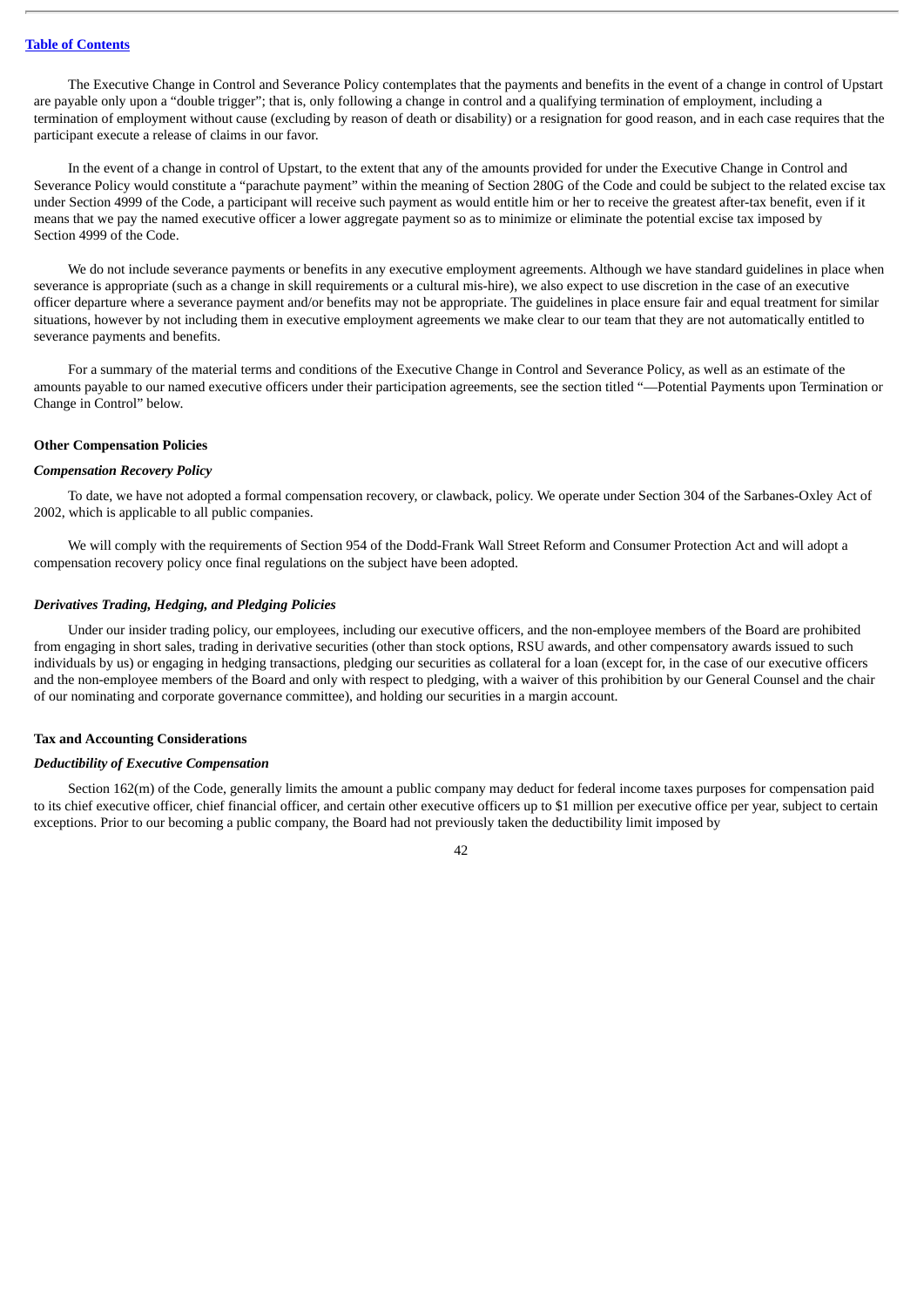The Executive Change in Control and Severance Policy contemplates that the payments and benefits in the event of a change in control of Upstart are payable only upon a "double trigger"; that is, only following a change in control and a qualifying termination of employment, including a termination of employment without cause (excluding by reason of death or disability) or a resignation for good reason, and in each case requires that the participant execute a release of claims in our favor.

In the event of a change in control of Upstart, to the extent that any of the amounts provided for under the Executive Change in Control and Severance Policy would constitute a "parachute payment" within the meaning of Section 280G of the Code and could be subject to the related excise tax under Section 4999 of the Code, a participant will receive such payment as would entitle him or her to receive the greatest after-tax benefit, even if it means that we pay the named executive officer a lower aggregate payment so as to minimize or eliminate the potential excise tax imposed by Section 4999 of the Code.

We do not include severance payments or benefits in any executive employment agreements. Although we have standard guidelines in place when severance is appropriate (such as a change in skill requirements or a cultural mis-hire), we also expect to use discretion in the case of an executive officer departure where a severance payment and/or benefits may not be appropriate. The guidelines in place ensure fair and equal treatment for similar situations, however by not including them in executive employment agreements we make clear to our team that they are not automatically entitled to severance payments and benefits.

For a summary of the material terms and conditions of the Executive Change in Control and Severance Policy, as well as an estimate of the amounts payable to our named executive officers under their participation agreements, see the section titled "—Potential Payments upon Termination or Change in Control" below.

#### <span id="page-44-0"></span>**Other Compensation Policies**

# *Compensation Recovery Policy*

To date, we have not adopted a formal compensation recovery, or clawback, policy. We operate under Section 304 of the Sarbanes-Oxley Act of 2002, which is applicable to all public companies.

We will comply with the requirements of Section 954 of the Dodd-Frank Wall Street Reform and Consumer Protection Act and will adopt a compensation recovery policy once final regulations on the subject have been adopted.

#### *Derivatives Trading, Hedging, and Pledging Policies*

Under our insider trading policy, our employees, including our executive officers, and the non-employee members of the Board are prohibited from engaging in short sales, trading in derivative securities (other than stock options, RSU awards, and other compensatory awards issued to such individuals by us) or engaging in hedging transactions, pledging our securities as collateral for a loan (except for, in the case of our executive officers and the non-employee members of the Board and only with respect to pledging, with a waiver of this prohibition by our General Counsel and the chair of our nominating and corporate governance committee), and holding our securities in a margin account.

#### <span id="page-44-1"></span>**Tax and Accounting Considerations**

# *Deductibility of Executive Compensation*

Section 162(m) of the Code, generally limits the amount a public company may deduct for federal income taxes purposes for compensation paid to its chief executive officer, chief financial officer, and certain other executive officers up to \$1 million per executive office per year, subject to certain exceptions. Prior to our becoming a public company, the Board had not previously taken the deductibility limit imposed by

 $\overline{A}$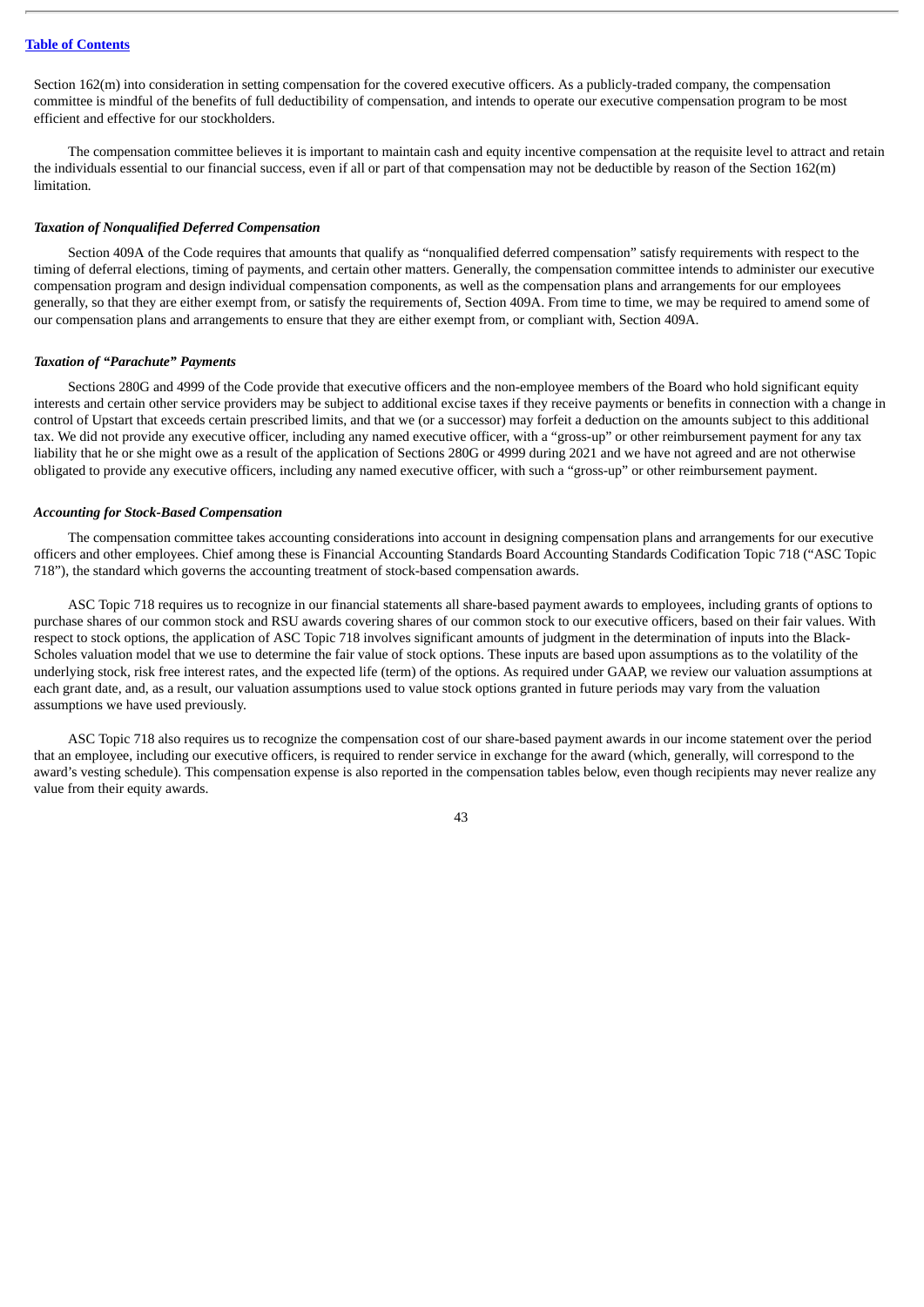Section 162(m) into consideration in setting compensation for the covered executive officers. As a publicly-traded company, the compensation committee is mindful of the benefits of full deductibility of compensation, and intends to operate our executive compensation program to be most efficient and effective for our stockholders.

The compensation committee believes it is important to maintain cash and equity incentive compensation at the requisite level to attract and retain the individuals essential to our financial success, even if all or part of that compensation may not be deductible by reason of the Section 162(m) limitation*.*

#### *Taxation of Nonqualified Deferred Compensation*

Section 409A of the Code requires that amounts that qualify as "nonqualified deferred compensation" satisfy requirements with respect to the timing of deferral elections, timing of payments, and certain other matters. Generally, the compensation committee intends to administer our executive compensation program and design individual compensation components, as well as the compensation plans and arrangements for our employees generally, so that they are either exempt from, or satisfy the requirements of, Section 409A. From time to time, we may be required to amend some of our compensation plans and arrangements to ensure that they are either exempt from, or compliant with, Section 409A.

#### *Taxation of "Parachute" Payments*

Sections 280G and 4999 of the Code provide that executive officers and the non-employee members of the Board who hold significant equity interests and certain other service providers may be subject to additional excise taxes if they receive payments or benefits in connection with a change in control of Upstart that exceeds certain prescribed limits, and that we (or a successor) may forfeit a deduction on the amounts subject to this additional tax. We did not provide any executive officer, including any named executive officer, with a "gross-up" or other reimbursement payment for any tax liability that he or she might owe as a result of the application of Sections 280G or 4999 during 2021 and we have not agreed and are not otherwise obligated to provide any executive officers, including any named executive officer, with such a "gross-up" or other reimbursement payment.

#### *Accounting for Stock-Based Compensation*

The compensation committee takes accounting considerations into account in designing compensation plans and arrangements for our executive officers and other employees. Chief among these is Financial Accounting Standards Board Accounting Standards Codification Topic 718 ("ASC Topic 718"), the standard which governs the accounting treatment of stock-based compensation awards.

ASC Topic 718 requires us to recognize in our financial statements all share-based payment awards to employees, including grants of options to purchase shares of our common stock and RSU awards covering shares of our common stock to our executive officers, based on their fair values. With respect to stock options, the application of ASC Topic 718 involves significant amounts of judgment in the determination of inputs into the Black-Scholes valuation model that we use to determine the fair value of stock options. These inputs are based upon assumptions as to the volatility of the underlying stock, risk free interest rates, and the expected life (term) of the options. As required under GAAP, we review our valuation assumptions at each grant date, and, as a result, our valuation assumptions used to value stock options granted in future periods may vary from the valuation assumptions we have used previously.

ASC Topic 718 also requires us to recognize the compensation cost of our share-based payment awards in our income statement over the period that an employee, including our executive officers, is required to render service in exchange for the award (which, generally, will correspond to the award's vesting schedule). This compensation expense is also reported in the compensation tables below, even though recipients may never realize any value from their equity awards.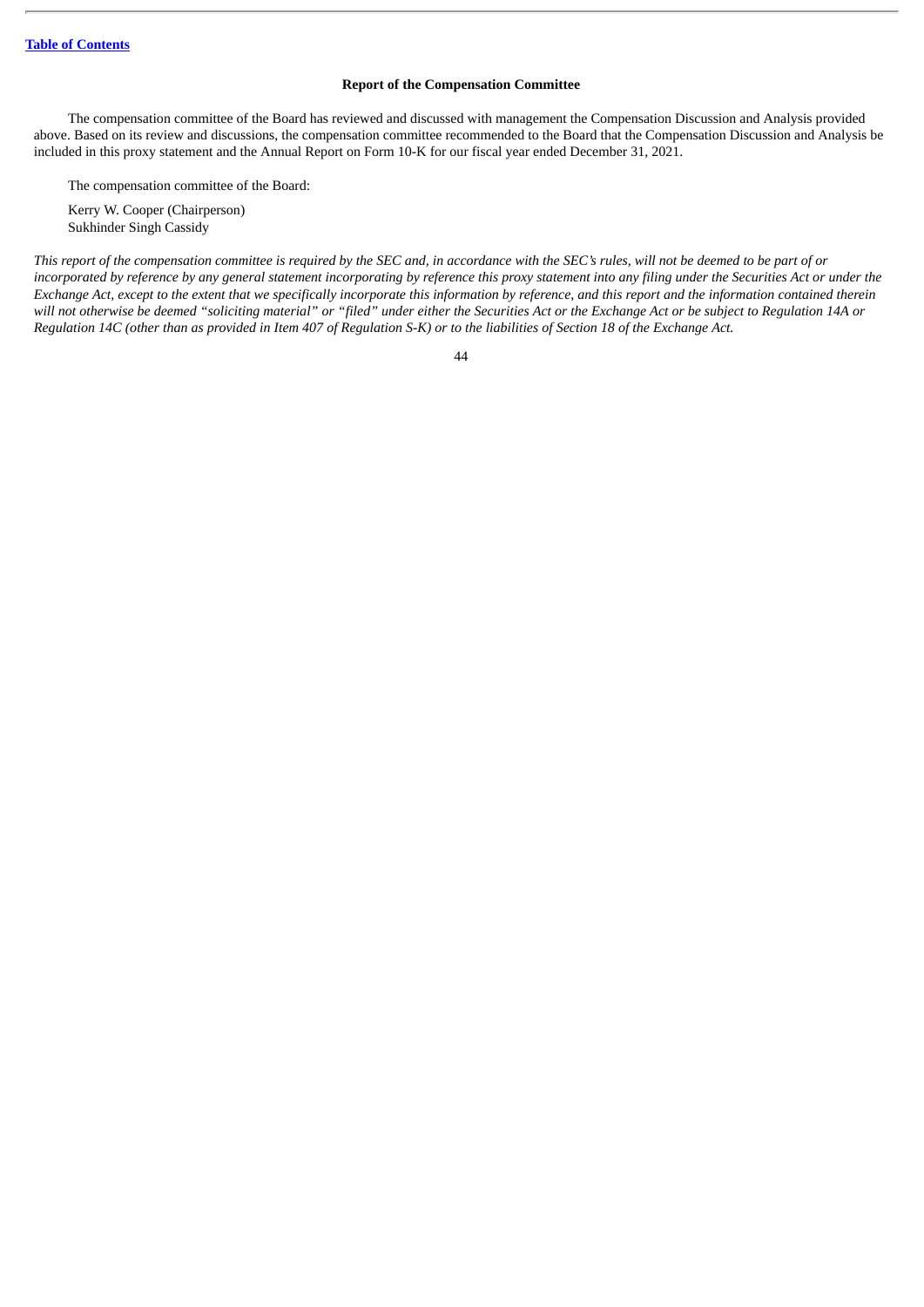# **Report of the Compensation Committee**

<span id="page-46-0"></span>The compensation committee of the Board has reviewed and discussed with management the Compensation Discussion and Analysis provided above. Based on its review and discussions, the compensation committee recommended to the Board that the Compensation Discussion and Analysis be included in this proxy statement and the Annual Report on Form 10-K for our fiscal year ended December 31, 2021.

The compensation committee of the Board:

Kerry W. Cooper (Chairperson) Sukhinder Singh Cassidy

This report of the compensation committee is required by the SEC and, in accordance with the SEC's rules, will not be deemed to be part of or incorporated by reference by any general statement incorporating by reference this proxy statement into any filing under the Securities Act or under the Exchange Act, except to the extent that we specifically incorporate this information by reference, and this report and the information contained therein will not otherwise be deemed "soliciting material" or "filed" under either the Securities Act or the Exchange Act or be subject to Regulation 14A or Regulation 14C (other than as provided in Item 407 of Regulation S-K) or to the liabilities of Section 18 of the Exchange Act.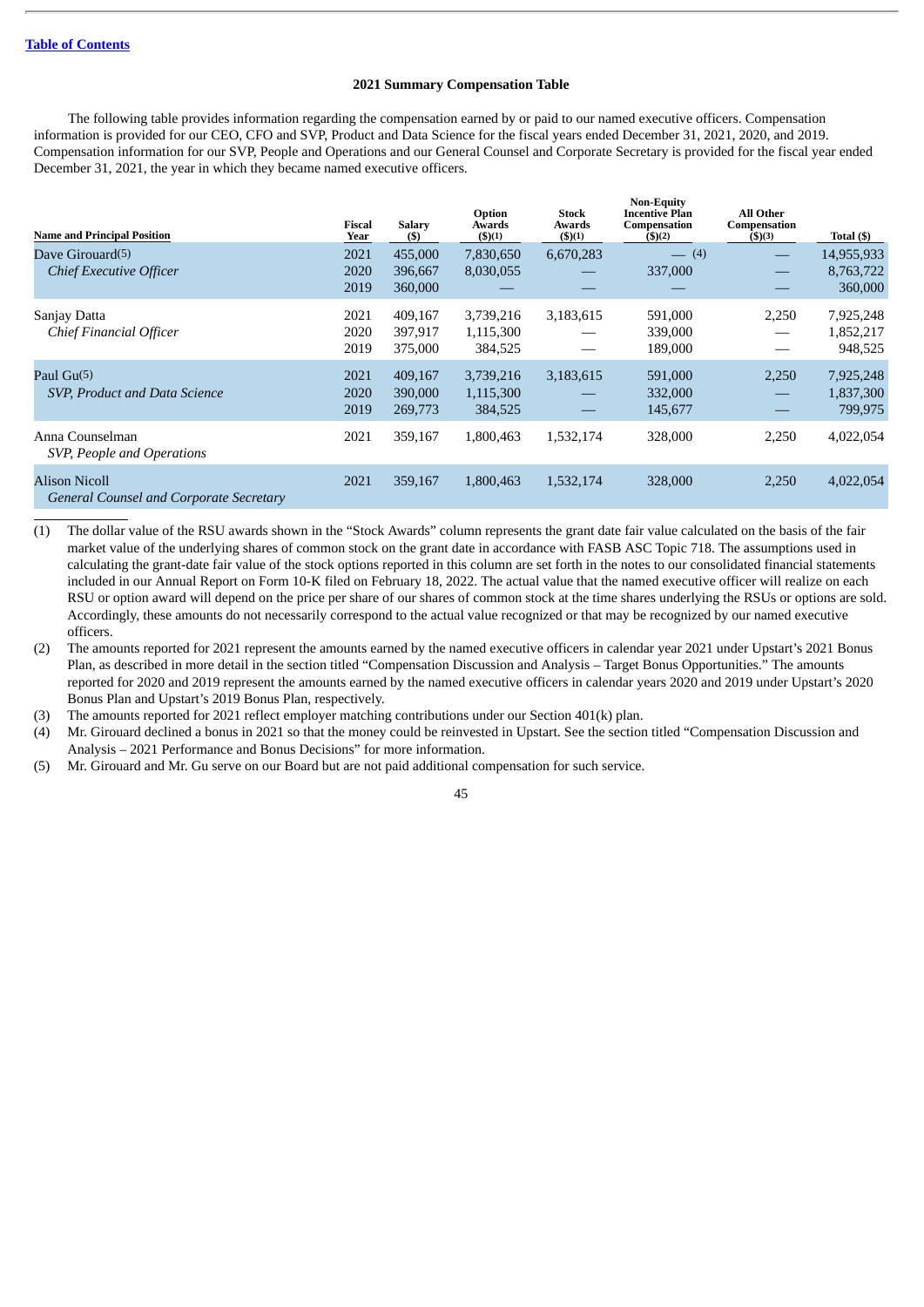# **2021 Summary Compensation Table**

<span id="page-47-0"></span>The following table provides information regarding the compensation earned by or paid to our named executive officers. Compensation information is provided for our CEO, CFO and SVP, Product and Data Science for the fiscal years ended December 31, 2021, 2020, and 2019. Compensation information for our SVP, People and Operations and our General Counsel and Corporate Secretary is provided for the fiscal year ended December 31, 2021, the year in which they became named executive officers.

**Non-Equity**

| <b>Name and Principal Position</b>                                     | Fiscal<br>Year       | <b>Salary</b><br>(5)          | Option<br>Awards<br>$($ \$ $)(1)$ | <b>Stock</b><br>Awards<br>$($ \$ $)(1)$ | Non-Equity<br><b>Incentive Plan</b><br>Compensation<br>$($ \$ $)(2)$ | <b>All Other</b><br>Compensation<br>$($ \$)(3) | Total (\$)                         |
|------------------------------------------------------------------------|----------------------|-------------------------------|-----------------------------------|-----------------------------------------|----------------------------------------------------------------------|------------------------------------------------|------------------------------------|
| Dave Girouard(5)<br><b>Chief Executive Officer</b>                     | 2021<br>2020<br>2019 | 455,000<br>396,667<br>360,000 | 7,830,650<br>8,030,055            | 6,670,283<br>$\overline{\phantom{0}}$   | $- (4)$<br>337,000                                                   | $\hspace{0.05cm}$<br>$\overline{\phantom{0}}$  | 14,955,933<br>8,763,722<br>360,000 |
| Sanjay Datta<br>Chief Financial Officer                                | 2021<br>2020<br>2019 | 409,167<br>397,917<br>375,000 | 3,739,216<br>1,115,300<br>384,525 | 3,183,615                               | 591,000<br>339,000<br>189,000                                        | 2,250<br>$\hspace{0.05cm}$<br>—                | 7,925,248<br>1,852,217<br>948,525  |
| Paul Gu(5)<br>SVP, Product and Data Science                            | 2021<br>2020<br>2019 | 409,167<br>390,000<br>269,773 | 3,739,216<br>1,115,300<br>384,525 | 3,183,615                               | 591,000<br>332,000<br>145,677                                        | 2,250<br>$\hspace{0.1mm}-\hspace{0.1mm}$       | 7,925,248<br>1,837,300<br>799,975  |
| Anna Counselman<br>SVP, People and Operations                          | 2021                 | 359,167                       | 1,800,463                         | 1,532,174                               | 328,000                                                              | 2,250                                          | 4,022,054                          |
| <b>Alison Nicoll</b><br><b>General Counsel and Corporate Secretary</b> | 2021                 | 359,167                       | 1,800,463                         | 1,532,174                               | 328,000                                                              | 2,250                                          | 4,022,054                          |

(1) The dollar value of the RSU awards shown in the "Stock Awards" column represents the grant date fair value calculated on the basis of the fair market value of the underlying shares of common stock on the grant date in accordance with FASB ASC Topic 718. The assumptions used in calculating the grant-date fair value of the stock options reported in this column are set forth in the notes to our consolidated financial statements included in our Annual Report on Form 10-K filed on February 18, 2022. The actual value that the named executive officer will realize on each RSU or option award will depend on the price per share of our shares of common stock at the time shares underlying the RSUs or options are sold. Accordingly, these amounts do not necessarily correspond to the actual value recognized or that may be recognized by our named executive officers.

(2) The amounts reported for 2021 represent the amounts earned by the named executive officers in calendar year 2021 under Upstart's 2021 Bonus Plan, as described in more detail in the section titled "Compensation Discussion and Analysis – Target Bonus Opportunities." The amounts reported for 2020 and 2019 represent the amounts earned by the named executive officers in calendar years 2020 and 2019 under Upstart's 2020 Bonus Plan and Upstart's 2019 Bonus Plan, respectively.

(3) The amounts reported for 2021 reflect employer matching contributions under our Section 401(k) plan.

(4) Mr. Girouard declined a bonus in 2021 so that the money could be reinvested in Upstart. See the section titled "Compensation Discussion and Analysis – 2021 Performance and Bonus Decisions" for more information.

(5) Mr. Girouard and Mr. Gu serve on our Board but are not paid additional compensation for such service.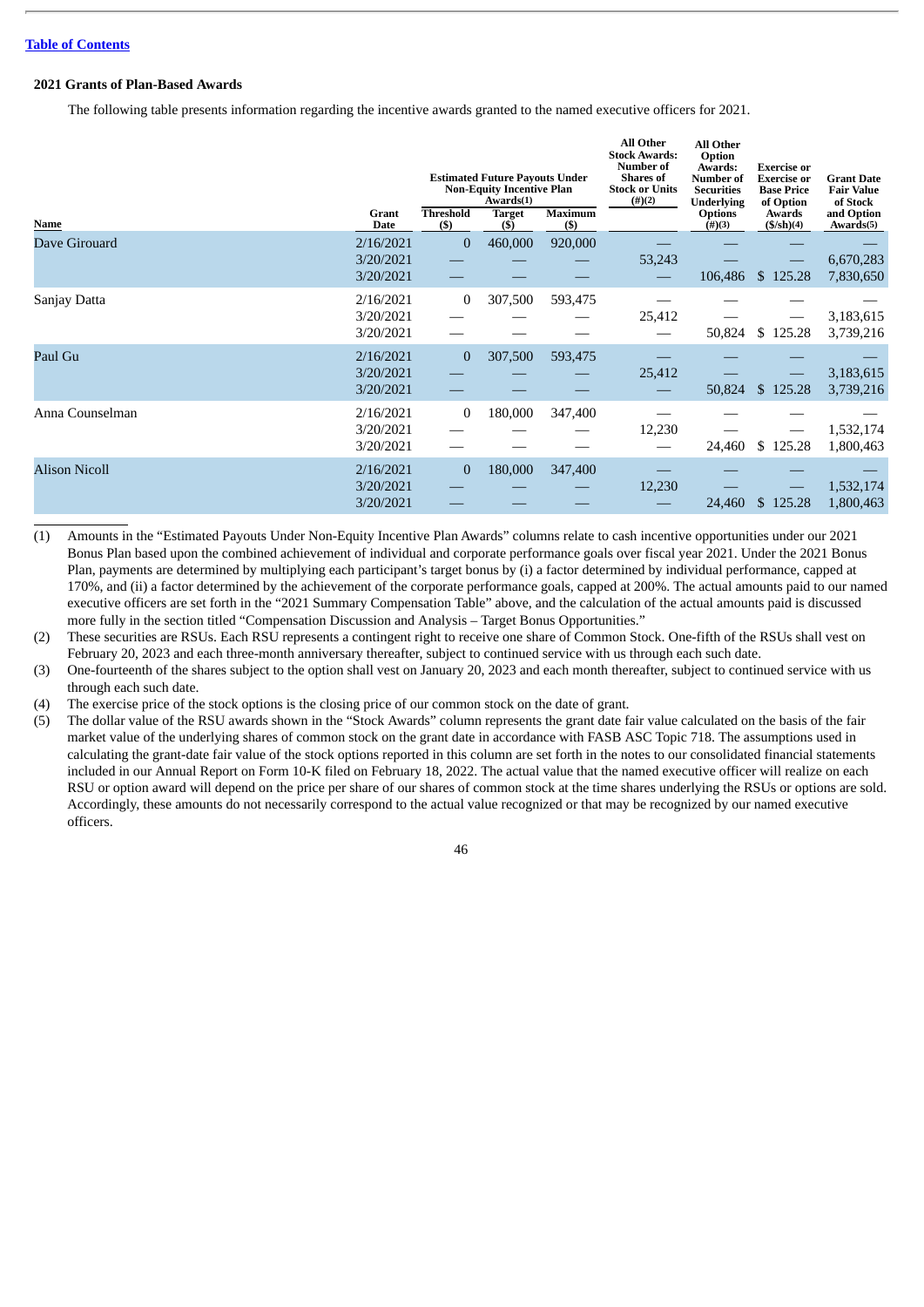# <span id="page-48-0"></span>**2021 Grants of Plan-Based Awards**

The following table presents information regarding the incentive awards granted to the named executive officers for 2021.

|                      | <b>Estimated Future Payouts Under</b><br><b>Non-Equity Incentive Plan</b><br>Awards(1) |                            | <b>All Other</b><br><b>Stock Awards:</b><br><b>Number of</b><br><b>Shares</b> of<br><b>Stock or Units</b><br>$(\#)(2)$ | <b>All Other</b><br>Option<br>Awards:<br><b>Number of</b><br><b>Securities</b><br><b>Underlying</b> | <b>Exercise</b> or<br><b>Exercise or</b><br><b>Base Price</b><br>of Option | <b>Grant Date</b><br><b>Fair Value</b><br>of Stock |                        |                         |
|----------------------|----------------------------------------------------------------------------------------|----------------------------|------------------------------------------------------------------------------------------------------------------------|-----------------------------------------------------------------------------------------------------|----------------------------------------------------------------------------|----------------------------------------------------|------------------------|-------------------------|
| Name                 | Grant<br><b>Date</b>                                                                   | <b>Threshold</b><br>$($ \$ | Target<br>$($ \$                                                                                                       | <b>Maximum</b><br>$($ \$                                                                            |                                                                            | <b>Options</b><br>$(\#)(3)$                        | Awards<br>(\$/sh)(4)   | and Option<br>Awards(5) |
| Dave Girouard        | 2/16/2021<br>3/20/2021<br>3/20/2021                                                    | $\Omega$                   | 460,000                                                                                                                | 920,000                                                                                             | 53,243                                                                     | 106,486                                            | \$125.28               | 6,670,283<br>7,830,650  |
| Sanjay Datta         | 2/16/2021<br>3/20/2021<br>3/20/2021                                                    | $\bf{0}$                   | 307,500                                                                                                                | 593,475                                                                                             | 25,412                                                                     | 50,824                                             | \$125.28               | 3,183,615<br>3,739,216  |
| Paul Gu              | 2/16/2021<br>3/20/2021<br>3/20/2021                                                    | $\Omega$                   | 307,500                                                                                                                | 593,475                                                                                             | 25,412                                                                     | 50,824                                             | \$125.28               | 3,183,615<br>3,739,216  |
| Anna Counselman      | 2/16/2021<br>3/20/2021<br>3/20/2021                                                    | $\Omega$                   | 180,000                                                                                                                | 347,400                                                                                             | 12,230                                                                     | 24,460                                             | \$125.28               | 1,532,174<br>1,800,463  |
| <b>Alison Nicoll</b> | 2/16/2021<br>3/20/2021<br>3/20/2021                                                    | $\mathbf{0}$               | 180,000                                                                                                                | 347,400                                                                                             | 12,230                                                                     | 24,460                                             | $\mathbb{S}$<br>125.28 | 1,532,174<br>1,800,463  |

- (1) Amounts in the "Estimated Payouts Under Non-Equity Incentive Plan Awards" columns relate to cash incentive opportunities under our 2021 Bonus Plan based upon the combined achievement of individual and corporate performance goals over fiscal year 2021. Under the 2021 Bonus Plan, payments are determined by multiplying each participant's target bonus by (i) a factor determined by individual performance, capped at 170%, and (ii) a factor determined by the achievement of the corporate performance goals, capped at 200%. The actual amounts paid to our named executive officers are set forth in the "2021 Summary Compensation Table" above, and the calculation of the actual amounts paid is discussed more fully in the section titled "Compensation Discussion and Analysis – Target Bonus Opportunities."
- (2) These securities are RSUs. Each RSU represents a contingent right to receive one share of Common Stock. One-fifth of the RSUs shall vest on February 20, 2023 and each three-month anniversary thereafter, subject to continued service with us through each such date.
- (3) One-fourteenth of the shares subject to the option shall vest on January 20, 2023 and each month thereafter, subject to continued service with us through each such date.

(4) The exercise price of the stock options is the closing price of our common stock on the date of grant.

(5) The dollar value of the RSU awards shown in the "Stock Awards" column represents the grant date fair value calculated on the basis of the fair market value of the underlying shares of common stock on the grant date in accordance with FASB ASC Topic 718. The assumptions used in calculating the grant-date fair value of the stock options reported in this column are set forth in the notes to our consolidated financial statements included in our Annual Report on Form 10-K filed on February 18, 2022. The actual value that the named executive officer will realize on each RSU or option award will depend on the price per share of our shares of common stock at the time shares underlying the RSUs or options are sold. Accordingly, these amounts do not necessarily correspond to the actual value recognized or that may be recognized by our named executive officers.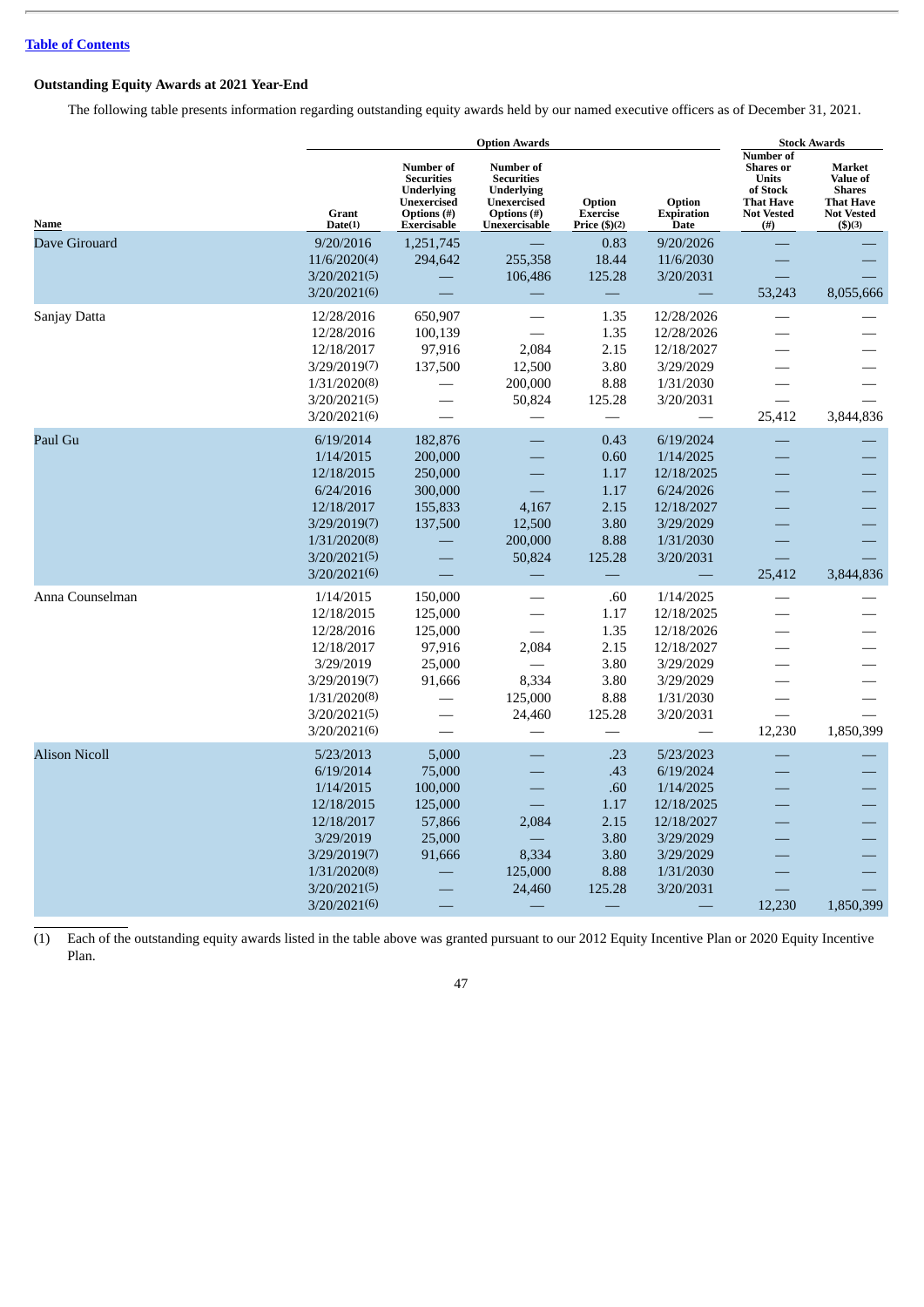# <span id="page-49-0"></span>**Outstanding Equity Awards at 2021 Year-End**

The following table presents information regarding outstanding equity awards held by our named executive officers as of December 31, 2021.

|                      |                                                                                                                                              | <b>Option Awards</b>                                                                             |                                                                                                    |                                                                     |                                                                                                                     |                                                                                                                        | <b>Stock Awards</b>                                                                                  |  |  |
|----------------------|----------------------------------------------------------------------------------------------------------------------------------------------|--------------------------------------------------------------------------------------------------|----------------------------------------------------------------------------------------------------|---------------------------------------------------------------------|---------------------------------------------------------------------------------------------------------------------|------------------------------------------------------------------------------------------------------------------------|------------------------------------------------------------------------------------------------------|--|--|
| Name                 | <b>Grant</b><br>Date(1)                                                                                                                      | Number of<br><b>Securities</b><br><b>Underlying</b><br>Unexercised<br>Options (#)<br>Exercisable | Number of<br><b>Securities</b><br><b>Underlying</b><br>Unexercised<br>Options (#)<br>Unexercisable | Option<br><b>Exercise</b><br>Price $(\text{$}5)(2)$                 | Option<br><b>Expiration</b><br><b>Date</b>                                                                          | <b>Number of</b><br><b>Shares</b> or<br><b>Units</b><br>of Stock<br><b>That Have</b><br><b>Not Vested</b><br>$($ # $)$ | Market<br><b>Value of</b><br><b>Shares</b><br><b>That Have</b><br><b>Not Vested</b><br>$($ \$ $)(3)$ |  |  |
| Dave Girouard        | 9/20/2016<br>11/6/2020(4)<br>3/20/2021(5)<br>3/20/2021(6)                                                                                    | 1,251,745<br>294,642                                                                             | 255,358<br>106,486                                                                                 | 0.83<br>18.44<br>125.28                                             | 9/20/2026<br>11/6/2030<br>3/20/2031                                                                                 | 53,243                                                                                                                 | 8,055,666                                                                                            |  |  |
| Sanjay Datta         | 12/28/2016<br>12/28/2016<br>12/18/2017<br>3/29/2019(7)<br>1/31/2020(8)<br>3/20/2021(5)<br>3/20/2021(6)                                       | 650,907<br>100,139<br>97,916<br>137,500                                                          | 2,084<br>12,500<br>200,000<br>50,824                                                               | 1.35<br>1.35<br>2.15<br>3.80<br>8.88<br>125.28                      | 12/28/2026<br>12/28/2026<br>12/18/2027<br>3/29/2029<br>1/31/2030<br>3/20/2031                                       | 25,412                                                                                                                 | 3,844,836                                                                                            |  |  |
| Paul Gu              | 6/19/2014<br>1/14/2015<br>12/18/2015<br>6/24/2016<br>12/18/2017<br>3/29/2019(7)<br>1/31/2020(8)<br>3/20/2021(5)<br>3/20/2021(6)              | 182,876<br>200,000<br>250,000<br>300,000<br>155,833<br>137,500                                   | 4,167<br>12,500<br>200,000<br>50,824                                                               | 0.43<br>0.60<br>1.17<br>1.17<br>2.15<br>3.80<br>8.88<br>125.28      | 6/19/2024<br>1/14/2025<br>12/18/2025<br>6/24/2026<br>12/18/2027<br>3/29/2029<br>1/31/2030<br>3/20/2031              | 25,412                                                                                                                 | 3,844,836                                                                                            |  |  |
| Anna Counselman      | 1/14/2015<br>12/18/2015<br>12/28/2016<br>12/18/2017<br>3/29/2019<br>3/29/2019(7)<br>1/31/2020(8)<br>3/20/2021(5)<br>3/20/2021(6)             | 150,000<br>125,000<br>125,000<br>97,916<br>25,000<br>91,666                                      | 2,084<br>8,334<br>125,000<br>24,460                                                                | .60<br>1.17<br>1.35<br>2.15<br>3.80<br>3.80<br>8.88<br>125.28       | 1/14/2025<br>12/18/2025<br>12/18/2026<br>12/18/2027<br>3/29/2029<br>3/29/2029<br>1/31/2030<br>3/20/2031             | 12,230                                                                                                                 | 1,850,399                                                                                            |  |  |
| <b>Alison Nicoll</b> | 5/23/2013<br>6/19/2014<br>1/14/2015<br>12/18/2015<br>12/18/2017<br>3/29/2019<br>3/29/2019(7)<br>1/31/2020(8)<br>3/20/2021(5)<br>3/20/2021(6) | 5,000<br>75,000<br>100,000<br>125,000<br>57,866<br>25,000<br>91,666                              | 2,084<br>8,334<br>125,000<br>24,460                                                                | .23<br>.43<br>.60<br>1.17<br>2.15<br>3.80<br>3.80<br>8.88<br>125.28 | 5/23/2023<br>6/19/2024<br>1/14/2025<br>12/18/2025<br>12/18/2027<br>3/29/2029<br>3/29/2029<br>1/31/2030<br>3/20/2031 | 12,230                                                                                                                 | 1,850,399                                                                                            |  |  |

(1) Each of the outstanding equity awards listed in the table above was granted pursuant to our 2012 Equity Incentive Plan or 2020 Equity Incentive Plan.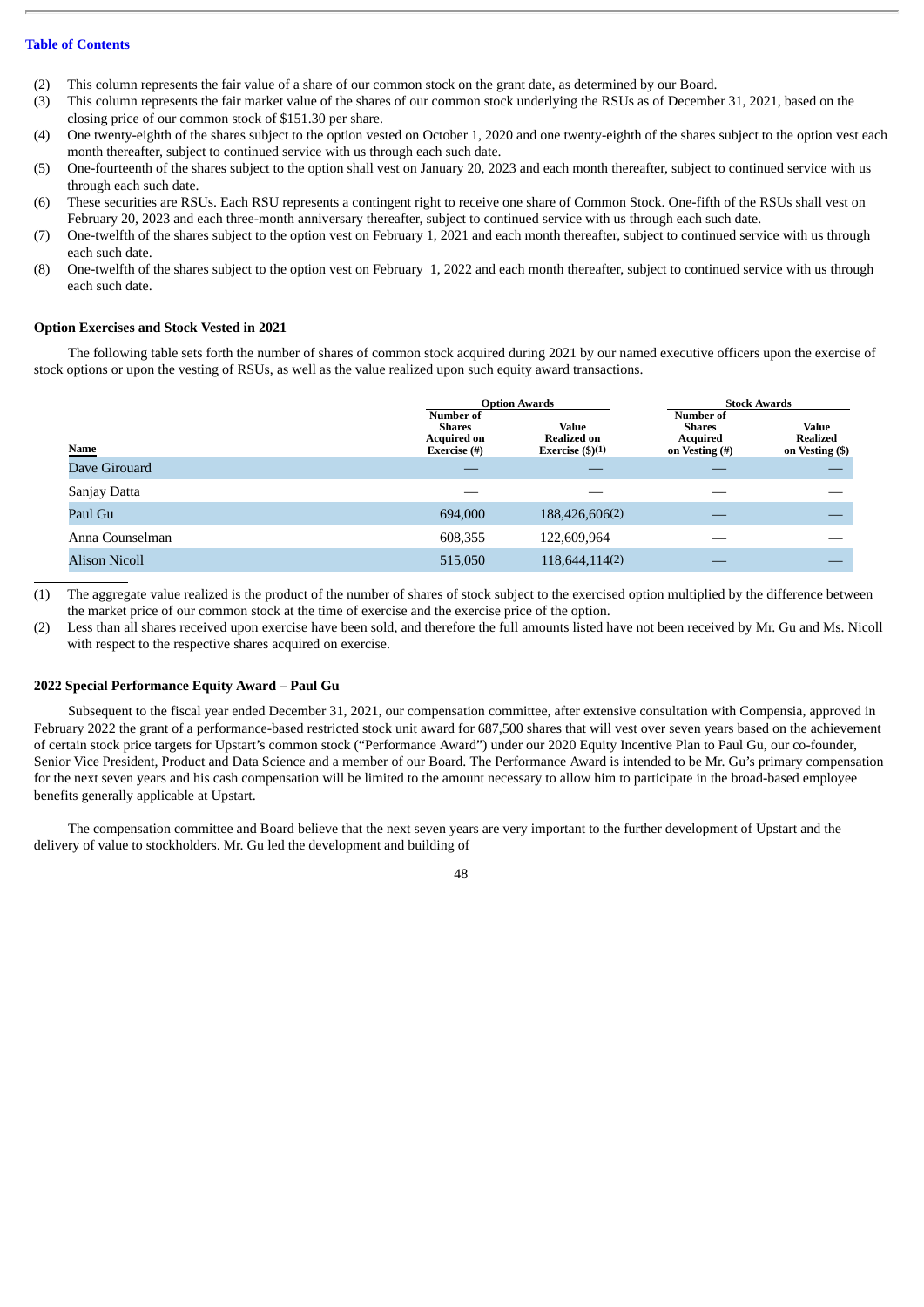- (2) This column represents the fair value of a share of our common stock on the grant date, as determined by our Board.
- (3) This column represents the fair market value of the shares of our common stock underlying the RSUs as of December 31, 2021, based on the closing price of our common stock of \$151.30 per share.
- (4) One twenty-eighth of the shares subject to the option vested on October 1, 2020 and one twenty-eighth of the shares subject to the option vest each month thereafter, subject to continued service with us through each such date.
- (5) One-fourteenth of the shares subject to the option shall vest on January 20, 2023 and each month thereafter, subject to continued service with us through each such date.
- (6) These securities are RSUs. Each RSU represents a contingent right to receive one share of Common Stock. One-fifth of the RSUs shall vest on February 20, 2023 and each three-month anniversary thereafter, subject to continued service with us through each such date.
- (7) One-twelfth of the shares subject to the option vest on February 1, 2021 and each month thereafter, subject to continued service with us through each such date.
- (8) One-twelfth of the shares subject to the option vest on February 1, 2022 and each month thereafter, subject to continued service with us through each such date.

# <span id="page-50-0"></span>**Option Exercises and Stock Vested in 2021**

The following table sets forth the number of shares of common stock acquired during 2021 by our named executive officers upon the exercise of stock options or upon the vesting of RSUs, as well as the value realized upon such equity award transactions.

|                      |                                                           | <b>Option Awards</b>                                    | <b>Stock Awards</b>                                             |                                             |  |
|----------------------|-----------------------------------------------------------|---------------------------------------------------------|-----------------------------------------------------------------|---------------------------------------------|--|
| <b>Name</b>          | Number of<br>Shares<br><b>Acquired on</b><br>Exercise (#) | <b>Value</b><br><b>Realized on</b><br>Exercise $(5)(1)$ | Number of<br><b>Shares</b><br><b>Acquired</b><br>on Vesting (#) | Value<br><b>Realized</b><br>on Vesting (\$) |  |
| Dave Girouard        |                                                           |                                                         |                                                                 |                                             |  |
| Sanjay Datta         |                                                           |                                                         |                                                                 |                                             |  |
| Paul Gu              | 694,000                                                   | 188,426,606(2)                                          |                                                                 |                                             |  |
| Anna Counselman      | 608,355                                                   | 122,609,964                                             |                                                                 |                                             |  |
| <b>Alison Nicoll</b> | 515,050                                                   | 118,644,114(2)                                          |                                                                 |                                             |  |

(1) The aggregate value realized is the product of the number of shares of stock subject to the exercised option multiplied by the difference between the market price of our common stock at the time of exercise and the exercise price of the option.

(2) Less than all shares received upon exercise have been sold, and therefore the full amounts listed have not been received by Mr. Gu and Ms. Nicoll with respect to the respective shares acquired on exercise.

# <span id="page-50-1"></span>**2022 Special Performance Equity Award – Paul Gu**

Subsequent to the fiscal year ended December 31, 2021, our compensation committee, after extensive consultation with Compensia, approved in February 2022 the grant of a performance-based restricted stock unit award for 687,500 shares that will vest over seven years based on the achievement of certain stock price targets for Upstart's common stock ("Performance Award") under our 2020 Equity Incentive Plan to Paul Gu, our co-founder, Senior Vice President, Product and Data Science and a member of our Board. The Performance Award is intended to be Mr. Gu's primary compensation for the next seven years and his cash compensation will be limited to the amount necessary to allow him to participate in the broad-based employee benefits generally applicable at Upstart.

The compensation committee and Board believe that the next seven years are very important to the further development of Upstart and the delivery of value to stockholders. Mr. Gu led the development and building of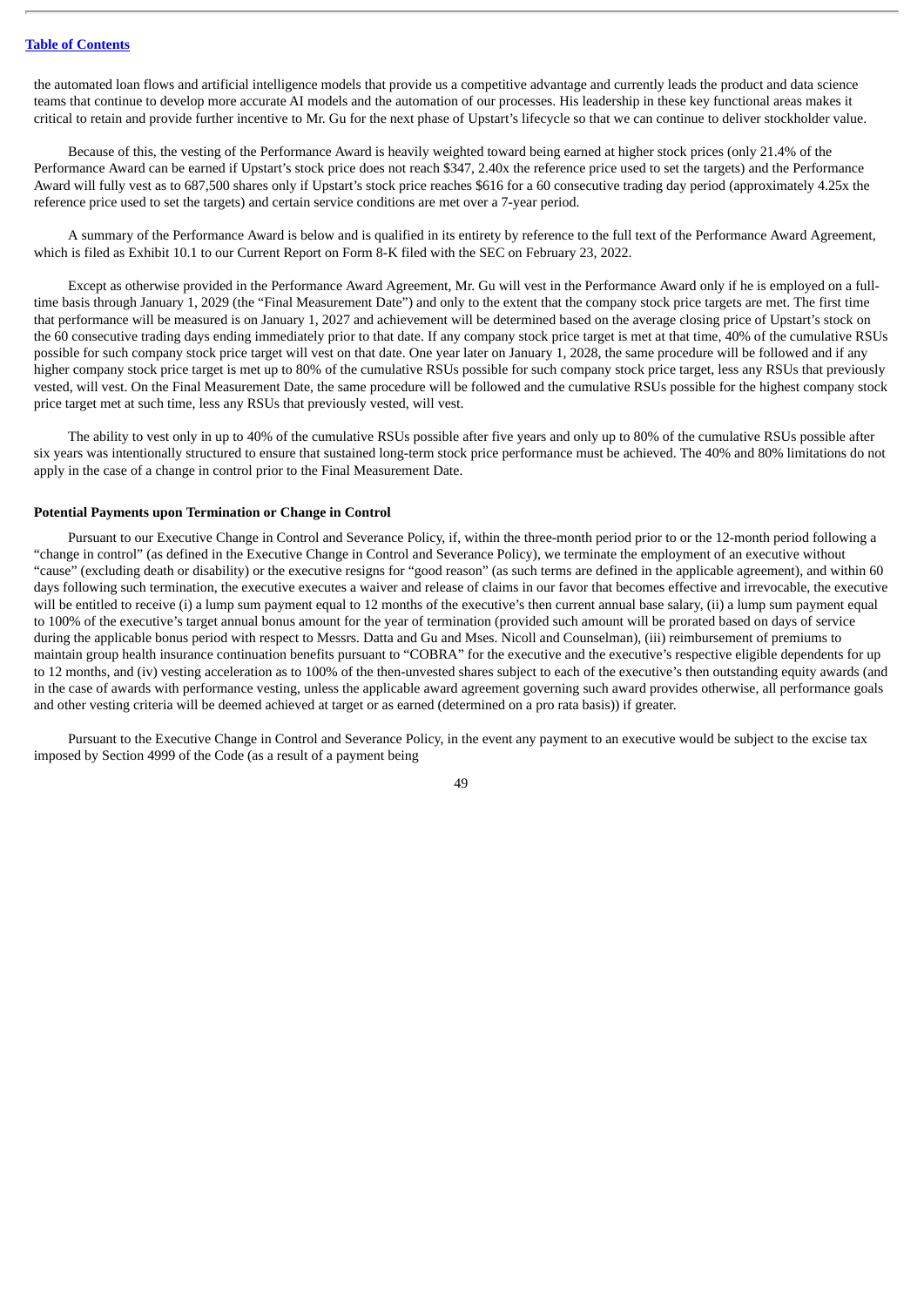the automated loan flows and artificial intelligence models that provide us a competitive advantage and currently leads the product and data science teams that continue to develop more accurate AI models and the automation of our processes. His leadership in these key functional areas makes it critical to retain and provide further incentive to Mr. Gu for the next phase of Upstart's lifecycle so that we can continue to deliver stockholder value.

Because of this, the vesting of the Performance Award is heavily weighted toward being earned at higher stock prices (only 21.4% of the Performance Award can be earned if Upstart's stock price does not reach \$347, 2.40x the reference price used to set the targets) and the Performance Award will fully vest as to 687,500 shares only if Upstart's stock price reaches \$616 for a 60 consecutive trading day period (approximately 4.25x the reference price used to set the targets) and certain service conditions are met over a 7-year period.

A summary of the Performance Award is below and is qualified in its entirety by reference to the full text of the Performance Award Agreement, which is filed as Exhibit 10.1 to our Current Report on Form 8-K filed with the SEC on February 23, 2022.

Except as otherwise provided in the Performance Award Agreement, Mr. Gu will vest in the Performance Award only if he is employed on a fulltime basis through January 1, 2029 (the "Final Measurement Date") and only to the extent that the company stock price targets are met. The first time that performance will be measured is on January 1, 2027 and achievement will be determined based on the average closing price of Upstart's stock on the 60 consecutive trading days ending immediately prior to that date. If any company stock price target is met at that time, 40% of the cumulative RSUs possible for such company stock price target will vest on that date. One year later on January 1, 2028, the same procedure will be followed and if any higher company stock price target is met up to 80% of the cumulative RSUs possible for such company stock price target, less any RSUs that previously vested, will vest. On the Final Measurement Date, the same procedure will be followed and the cumulative RSUs possible for the highest company stock price target met at such time, less any RSUs that previously vested, will vest.

The ability to vest only in up to 40% of the cumulative RSUs possible after five years and only up to 80% of the cumulative RSUs possible after six years was intentionally structured to ensure that sustained long-term stock price performance must be achieved. The 40% and 80% limitations do not apply in the case of a change in control prior to the Final Measurement Date.

#### <span id="page-51-0"></span>**Potential Payments upon Termination or Change in Control**

Pursuant to our Executive Change in Control and Severance Policy, if, within the three-month period prior to or the 12-month period following a "change in control" (as defined in the Executive Change in Control and Severance Policy), we terminate the employment of an executive without "cause" (excluding death or disability) or the executive resigns for "good reason" (as such terms are defined in the applicable agreement), and within 60 days following such termination, the executive executes a waiver and release of claims in our favor that becomes effective and irrevocable, the executive will be entitled to receive (i) a lump sum payment equal to 12 months of the executive's then current annual base salary, (ii) a lump sum payment equal to 100% of the executive's target annual bonus amount for the year of termination (provided such amount will be prorated based on days of service during the applicable bonus period with respect to Messrs. Datta and Gu and Mses. Nicoll and Counselman), (iii) reimbursement of premiums to maintain group health insurance continuation benefits pursuant to "COBRA" for the executive and the executive's respective eligible dependents for up to 12 months, and (iv) vesting acceleration as to 100% of the then-unvested shares subject to each of the executive's then outstanding equity awards (and in the case of awards with performance vesting, unless the applicable award agreement governing such award provides otherwise, all performance goals and other vesting criteria will be deemed achieved at target or as earned (determined on a pro rata basis)) if greater.

Pursuant to the Executive Change in Control and Severance Policy, in the event any payment to an executive would be subject to the excise tax imposed by Section 4999 of the Code (as a result of a payment being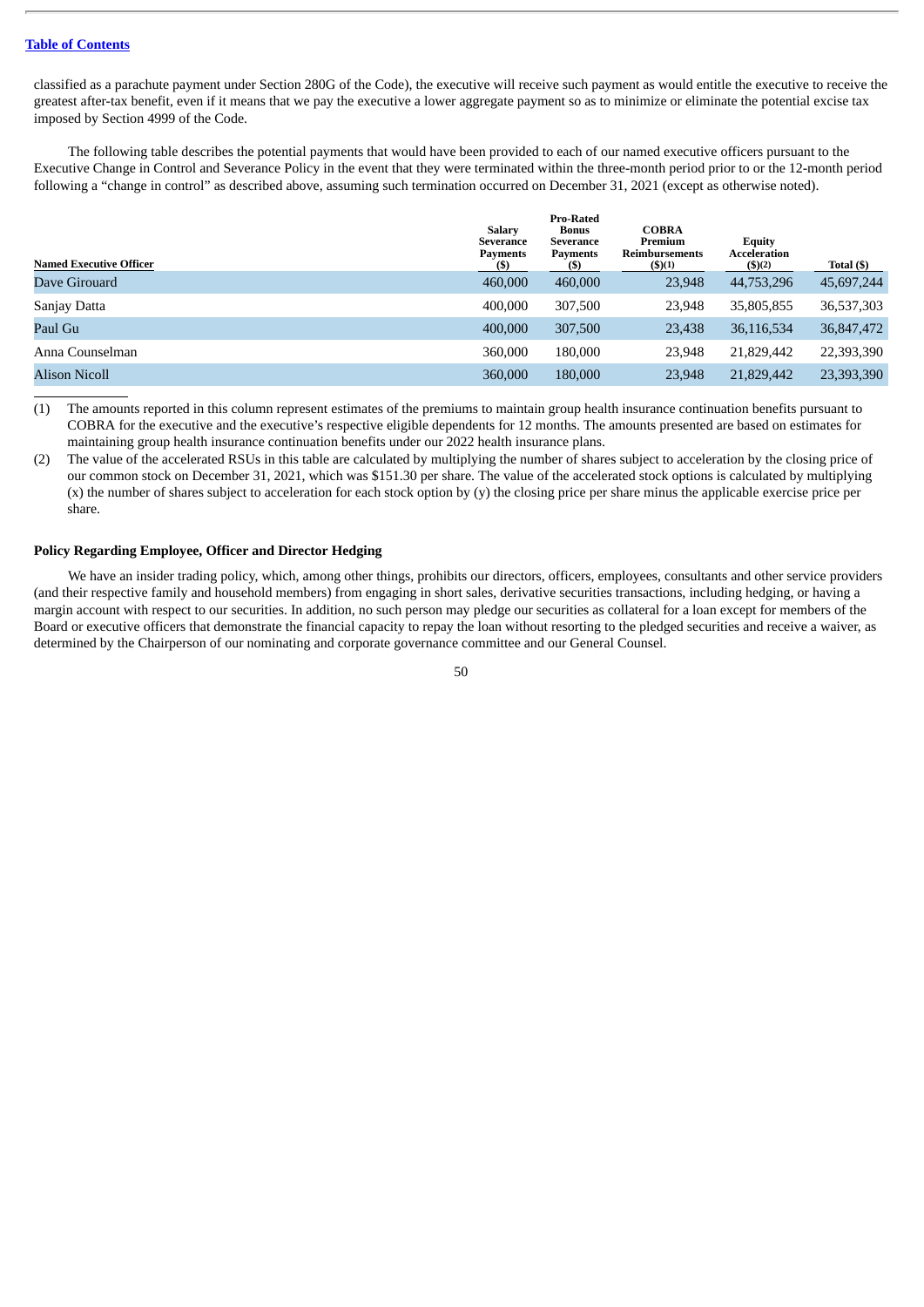classified as a parachute payment under Section 280G of the Code), the executive will receive such payment as would entitle the executive to receive the greatest after-tax benefit, even if it means that we pay the executive a lower aggregate payment so as to minimize or eliminate the potential excise tax imposed by Section 4999 of the Code.

The following table describes the potential payments that would have been provided to each of our named executive officers pursuant to the Executive Change in Control and Severance Policy in the event that they were terminated within the three-month period prior to or the 12-month period following a "change in control" as described above, assuming such termination occurred on December 31, 2021 (except as otherwise noted).

| <b>Named Executive Officer</b> | Salary<br>Severance<br><b>Payments</b><br>(5) | <b>Pro-Rated</b><br><b>Bonus</b><br>Severance<br><b>Payments</b> | <b>COBRA</b><br>Premium<br>Reimbursements<br>(\$)(1) | <b>Equity</b><br>Acceleration<br>$($ \$)(2) | Total (\$) |
|--------------------------------|-----------------------------------------------|------------------------------------------------------------------|------------------------------------------------------|---------------------------------------------|------------|
| Dave Girouard                  | 460,000                                       | 460,000                                                          | 23,948                                               | 44,753,296                                  | 45,697,244 |
| Sanjay Datta                   | 400,000                                       | 307,500                                                          | 23.948                                               | 35,805,855                                  | 36,537,303 |
| Paul Gu                        | 400,000                                       | 307,500                                                          | 23,438                                               | 36,116,534                                  | 36,847,472 |
| Anna Counselman                | 360,000                                       | 180,000                                                          | 23,948                                               | 21,829,442                                  | 22,393,390 |
| <b>Alison Nicoll</b>           | 360,000                                       | 180,000                                                          | 23,948                                               | 21,829,442                                  | 23,393,390 |

(1) The amounts reported in this column represent estimates of the premiums to maintain group health insurance continuation benefits pursuant to COBRA for the executive and the executive's respective eligible dependents for 12 months. The amounts presented are based on estimates for maintaining group health insurance continuation benefits under our 2022 health insurance plans.

(2) The value of the accelerated RSUs in this table are calculated by multiplying the number of shares subject to acceleration by the closing price of our common stock on December 31, 2021, which was \$151.30 per share. The value of the accelerated stock options is calculated by multiplying (x) the number of shares subject to acceleration for each stock option by (y) the closing price per share minus the applicable exercise price per share.

# <span id="page-52-0"></span>**Policy Regarding Employee, Officer and Director Hedging**

We have an insider trading policy, which, among other things, prohibits our directors, officers, employees, consultants and other service providers (and their respective family and household members) from engaging in short sales, derivative securities transactions, including hedging, or having a margin account with respect to our securities. In addition, no such person may pledge our securities as collateral for a loan except for members of the Board or executive officers that demonstrate the financial capacity to repay the loan without resorting to the pledged securities and receive a waiver, as determined by the Chairperson of our nominating and corporate governance committee and our General Counsel.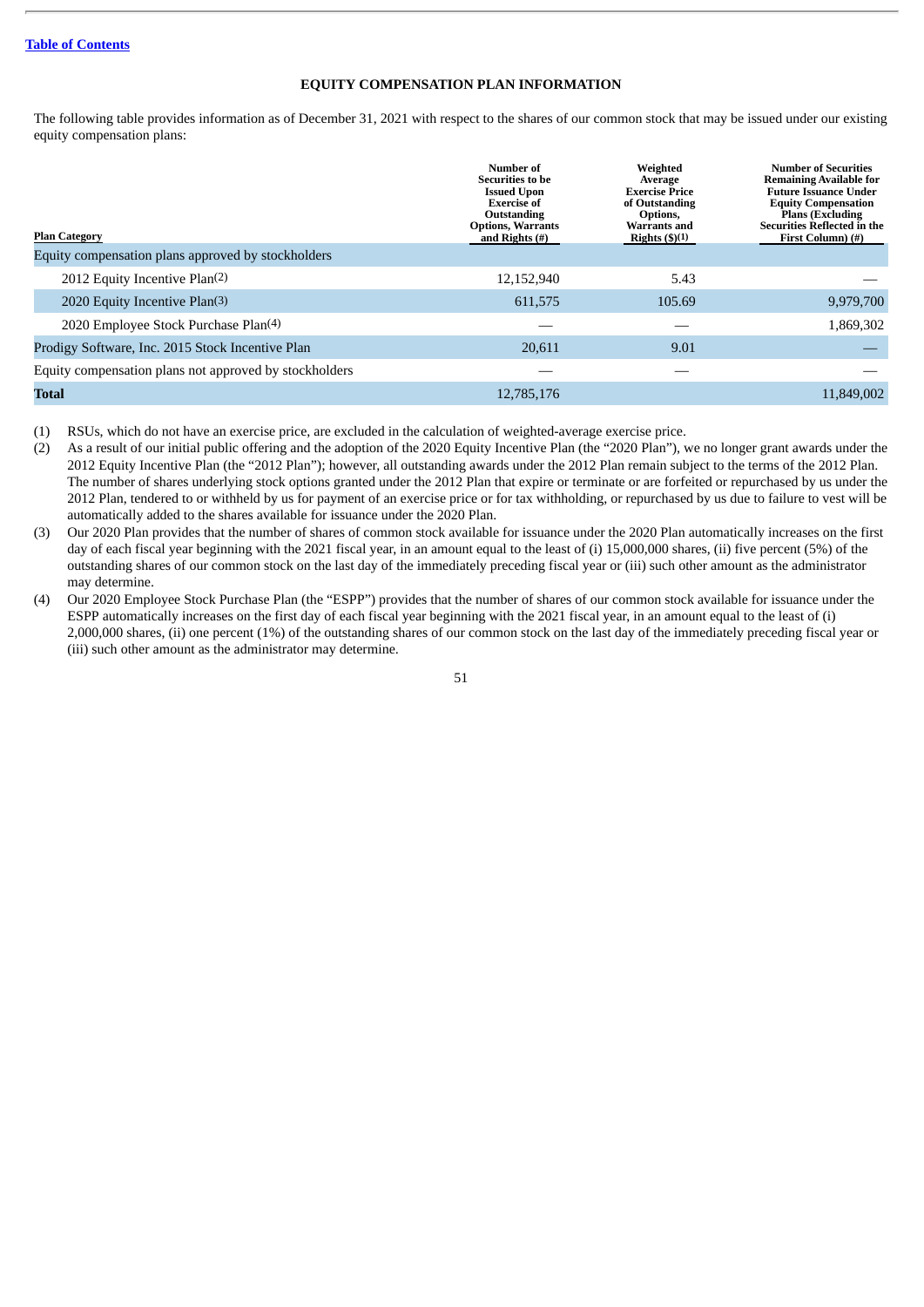# **EQUITY COMPENSATION PLAN INFORMATION**

<span id="page-53-0"></span>The following table provides information as of December 31, 2021 with respect to the shares of our common stock that may be issued under our existing equity compensation plans:

| <b>Plan Category</b>                                   | Number of<br>Securities to be<br><b>Issued Upon</b><br><b>Exercise of</b><br>Outstanding<br><b>Options, Warrants</b><br>and Rights $(\#)$ | Weighted<br>Average<br><b>Exercise Price</b><br>of Outstanding<br>Options,<br><b>Warrants and</b><br>Rights $(\frac{6}{3})(1)$ | <b>Number of Securities</b><br><b>Remaining Available for</b><br><b>Future Issuance Under</b><br><b>Equity Compensation</b><br><b>Plans (Excluding</b><br>Securities Reflected in the<br>First Column) (#) |
|--------------------------------------------------------|-------------------------------------------------------------------------------------------------------------------------------------------|--------------------------------------------------------------------------------------------------------------------------------|------------------------------------------------------------------------------------------------------------------------------------------------------------------------------------------------------------|
| Equity compensation plans approved by stockholders     |                                                                                                                                           |                                                                                                                                |                                                                                                                                                                                                            |
| 2012 Equity Incentive Plan(2)                          | 12,152,940                                                                                                                                | 5.43                                                                                                                           |                                                                                                                                                                                                            |
| 2020 Equity Incentive Plan(3)                          | 611,575                                                                                                                                   | 105.69                                                                                                                         | 9,979,700                                                                                                                                                                                                  |
| 2020 Employee Stock Purchase Plan(4)                   |                                                                                                                                           |                                                                                                                                | 1,869,302                                                                                                                                                                                                  |
| Prodigy Software, Inc. 2015 Stock Incentive Plan       | 20,611                                                                                                                                    | 9.01                                                                                                                           |                                                                                                                                                                                                            |
| Equity compensation plans not approved by stockholders |                                                                                                                                           |                                                                                                                                |                                                                                                                                                                                                            |
| Total                                                  | 12,785,176                                                                                                                                |                                                                                                                                | 11,849,002                                                                                                                                                                                                 |

(1) RSUs, which do not have an exercise price, are excluded in the calculation of weighted-average exercise price.

(2) As a result of our initial public offering and the adoption of the 2020 Equity Incentive Plan (the "2020 Plan"), we no longer grant awards under the 2012 Equity Incentive Plan (the "2012 Plan"); however, all outstanding awards under the 2012 Plan remain subject to the terms of the 2012 Plan. The number of shares underlying stock options granted under the 2012 Plan that expire or terminate or are forfeited or repurchased by us under the 2012 Plan, tendered to or withheld by us for payment of an exercise price or for tax withholding, or repurchased by us due to failure to vest will be automatically added to the shares available for issuance under the 2020 Plan.

(3) Our 2020 Plan provides that the number of shares of common stock available for issuance under the 2020 Plan automatically increases on the first day of each fiscal year beginning with the 2021 fiscal year, in an amount equal to the least of (i) 15,000,000 shares, (ii) five percent (5%) of the outstanding shares of our common stock on the last day of the immediately preceding fiscal year or (iii) such other amount as the administrator may determine.

(4) Our 2020 Employee Stock Purchase Plan (the "ESPP") provides that the number of shares of our common stock available for issuance under the ESPP automatically increases on the first day of each fiscal year beginning with the 2021 fiscal year, in an amount equal to the least of (i) 2,000,000 shares, (ii) one percent (1%) of the outstanding shares of our common stock on the last day of the immediately preceding fiscal year or (iii) such other amount as the administrator may determine.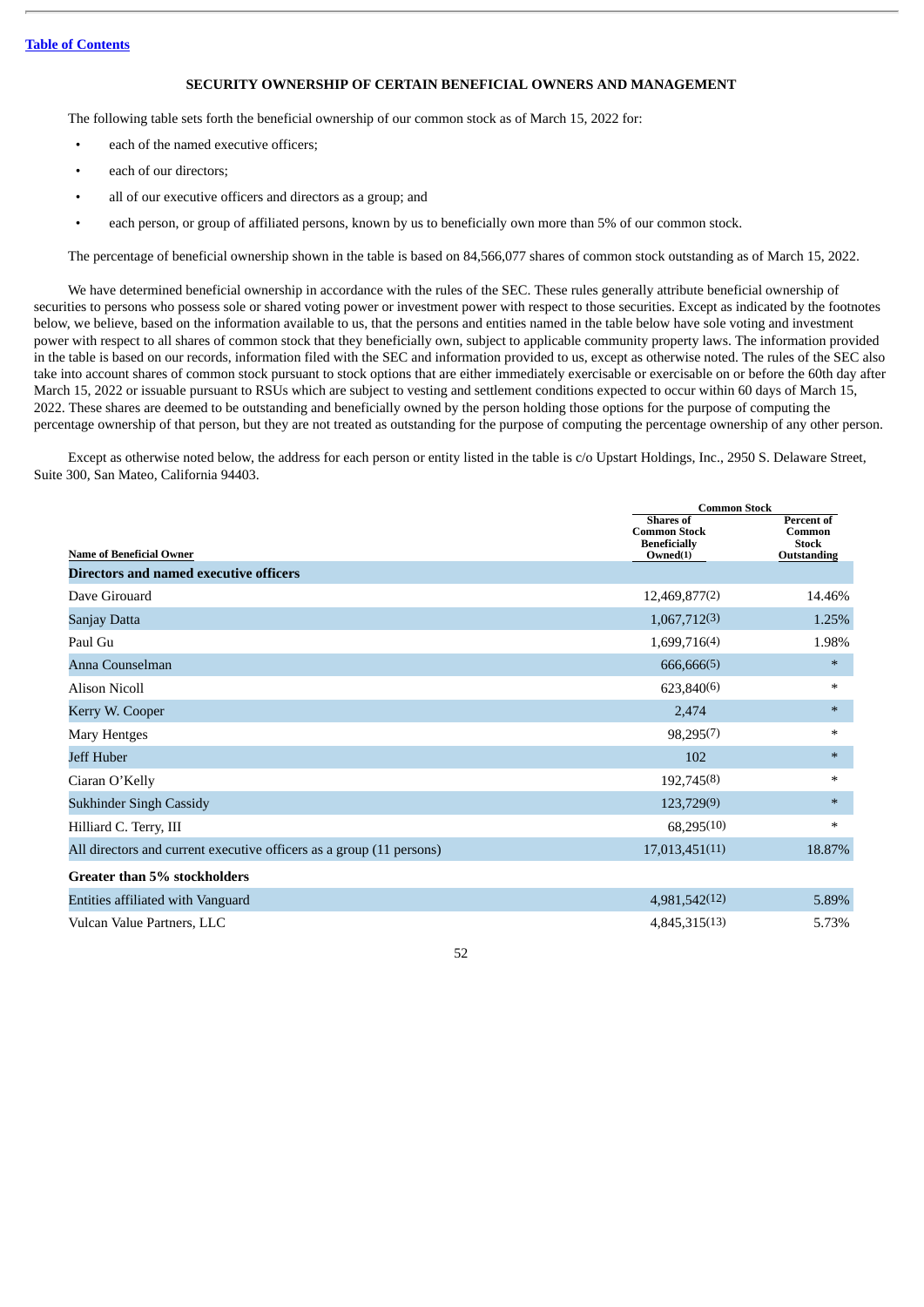# **SECURITY OWNERSHIP OF CERTAIN BENEFICIAL OWNERS AND MANAGEMENT**

<span id="page-54-0"></span>The following table sets forth the beneficial ownership of our common stock as of March 15, 2022 for:

- each of the named executive officers;
- each of our directors:
- all of our executive officers and directors as a group; and
- each person, or group of affiliated persons, known by us to beneficially own more than 5% of our common stock.

The percentage of beneficial ownership shown in the table is based on 84,566,077 shares of common stock outstanding as of March 15, 2022.

We have determined beneficial ownership in accordance with the rules of the SEC. These rules generally attribute beneficial ownership of securities to persons who possess sole or shared voting power or investment power with respect to those securities. Except as indicated by the footnotes below, we believe, based on the information available to us, that the persons and entities named in the table below have sole voting and investment power with respect to all shares of common stock that they beneficially own, subject to applicable community property laws. The information provided in the table is based on our records, information filed with the SEC and information provided to us, except as otherwise noted. The rules of the SEC also take into account shares of common stock pursuant to stock options that are either immediately exercisable or exercisable on or before the 60th day after March 15, 2022 or issuable pursuant to RSUs which are subject to vesting and settlement conditions expected to occur within 60 days of March 15, 2022. These shares are deemed to be outstanding and beneficially owned by the person holding those options for the purpose of computing the percentage ownership of that person, but they are not treated as outstanding for the purpose of computing the percentage ownership of any other person.

Except as otherwise noted below, the address for each person or entity listed in the table is c/o Upstart Holdings, Inc., 2950 S. Delaware Street, Suite 300, San Mateo, California 94403.

|                                                                      |                                                                            | <b>Common Stock</b>                                 |  |  |
|----------------------------------------------------------------------|----------------------------------------------------------------------------|-----------------------------------------------------|--|--|
| <b>Name of Beneficial Owner</b>                                      | <b>Shares</b> of<br><b>Common Stock</b><br><b>Beneficially</b><br>Owned(1) | Percent of<br>Common<br><b>Stock</b><br>Outstanding |  |  |
| Directors and named executive officers                               |                                                                            |                                                     |  |  |
| Dave Girouard                                                        | 12,469,877(2)                                                              | 14.46%                                              |  |  |
| Sanjay Datta                                                         | 1,067,712(3)                                                               | 1.25%                                               |  |  |
| Paul Gu                                                              | 1,699,716(4)                                                               | 1.98%                                               |  |  |
| Anna Counselman                                                      | 666,666(5)                                                                 | $\ast$                                              |  |  |
| <b>Alison Nicoll</b>                                                 | 623,840(6)                                                                 | $\ast$                                              |  |  |
| Kerry W. Cooper                                                      | 2,474                                                                      | $\ast$                                              |  |  |
| Mary Hentges                                                         | 98,295(7)                                                                  | $\ast$                                              |  |  |
| Jeff Huber                                                           | 102                                                                        | $\ast$                                              |  |  |
| Ciaran O'Kelly                                                       | 192,745(8)                                                                 | $\ast$                                              |  |  |
| <b>Sukhinder Singh Cassidy</b>                                       | 123,729(9)                                                                 | $\ast$                                              |  |  |
| Hilliard C. Terry, III                                               | 68,295(10)                                                                 | $\ast$                                              |  |  |
| All directors and current executive officers as a group (11 persons) | 17,013,451(11)                                                             | 18.87%                                              |  |  |
| Greater than 5% stockholders                                         |                                                                            |                                                     |  |  |
| Entities affiliated with Vanguard                                    | 4,981,542(12)                                                              | 5.89%                                               |  |  |
| Vulcan Value Partners, LLC                                           | 4,845,315(13)                                                              | 5.73%                                               |  |  |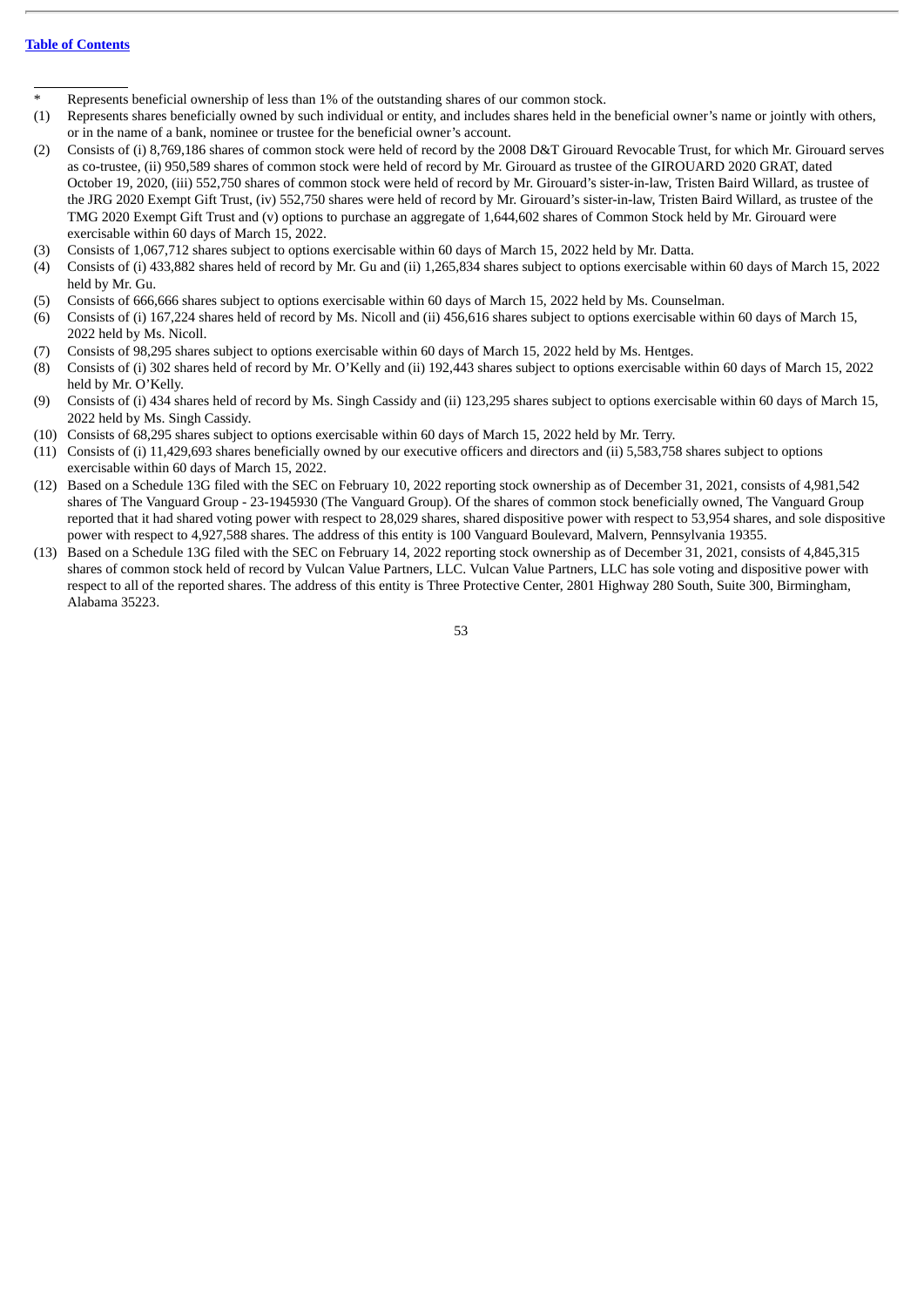- Represents beneficial ownership of less than 1% of the outstanding shares of our common stock.
- (1) Represents shares beneficially owned by such individual or entity, and includes shares held in the beneficial owner's name or jointly with others, or in the name of a bank, nominee or trustee for the beneficial owner's account.
- (2) Consists of (i) 8,769,186 shares of common stock were held of record by the 2008 D&T Girouard Revocable Trust, for which Mr. Girouard serves as co-trustee, (ii) 950,589 shares of common stock were held of record by Mr. Girouard as trustee of the GIROUARD 2020 GRAT, dated October 19, 2020, (iii) 552,750 shares of common stock were held of record by Mr. Girouard's sister-in-law, Tristen Baird Willard, as trustee of the JRG 2020 Exempt Gift Trust, (iv) 552,750 shares were held of record by Mr. Girouard's sister-in-law, Tristen Baird Willard, as trustee of the TMG 2020 Exempt Gift Trust and (v) options to purchase an aggregate of 1,644,602 shares of Common Stock held by Mr. Girouard were exercisable within 60 days of March 15, 2022.
- (3) Consists of 1,067,712 shares subject to options exercisable within 60 days of March 15, 2022 held by Mr. Datta.
- (4) Consists of (i) 433,882 shares held of record by Mr. Gu and (ii) 1,265,834 shares subject to options exercisable within 60 days of March 15, 2022 held by Mr. Gu.
- (5) Consists of 666,666 shares subject to options exercisable within 60 days of March 15, 2022 held by Ms. Counselman.
- (6) Consists of (i) 167,224 shares held of record by Ms. Nicoll and (ii) 456,616 shares subject to options exercisable within 60 days of March 15, 2022 held by Ms. Nicoll.
- (7) Consists of 98,295 shares subject to options exercisable within 60 days of March 15, 2022 held by Ms. Hentges.
- (8) Consists of (i) 302 shares held of record by Mr. O'Kelly and (ii) 192,443 shares subject to options exercisable within 60 days of March 15, 2022 held by Mr. O'Kelly.
- (9) Consists of (i) 434 shares held of record by Ms. Singh Cassidy and (ii) 123,295 shares subject to options exercisable within 60 days of March 15, 2022 held by Ms. Singh Cassidy.
- (10) Consists of 68,295 shares subject to options exercisable within 60 days of March 15, 2022 held by Mr. Terry.
- (11) Consists of (i) 11,429,693 shares beneficially owned by our executive officers and directors and (ii) 5,583,758 shares subject to options exercisable within 60 days of March 15, 2022.
- (12) Based on a Schedule 13G filed with the SEC on February 10, 2022 reporting stock ownership as of December 31, 2021, consists of 4,981,542 shares of The Vanguard Group - 23-1945930 (The Vanguard Group). Of the shares of common stock beneficially owned, The Vanguard Group reported that it had shared voting power with respect to 28,029 shares, shared dispositive power with respect to 53,954 shares, and sole dispositive power with respect to 4,927,588 shares. The address of this entity is 100 Vanguard Boulevard, Malvern, Pennsylvania 19355.
- (13) Based on a Schedule 13G filed with the SEC on February 14, 2022 reporting stock ownership as of December 31, 2021, consists of 4,845,315 shares of common stock held of record by Vulcan Value Partners, LLC. Vulcan Value Partners, LLC has sole voting and dispositive power with respect to all of the reported shares. The address of this entity is Three Protective Center, 2801 Highway 280 South, Suite 300, Birmingham, Alabama 35223.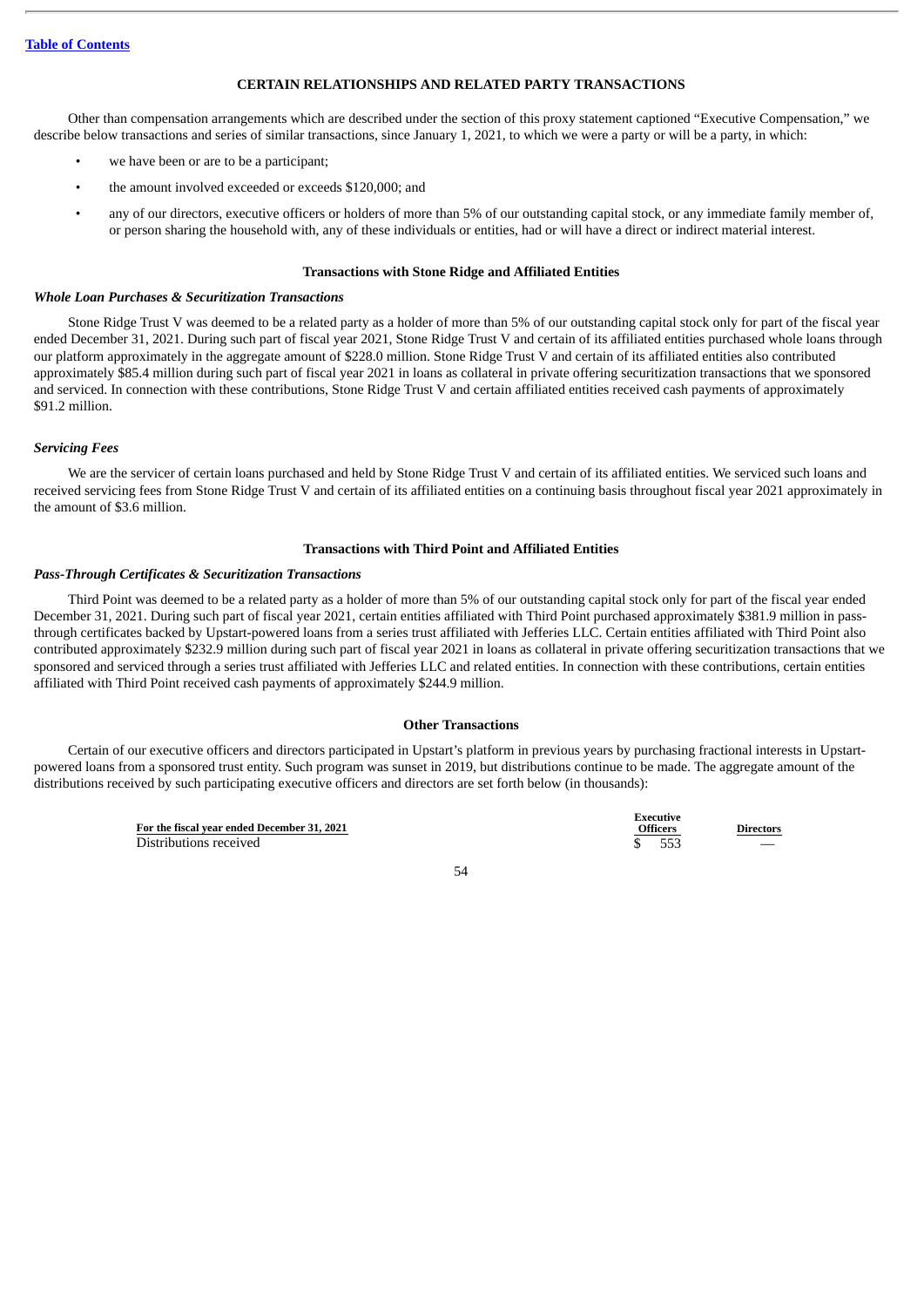# **CERTAIN RELATIONSHIPS AND RELATED PARTY TRANSACTIONS**

<span id="page-56-0"></span>Other than compensation arrangements which are described under the section of this proxy statement captioned "Executive Compensation," we describe below transactions and series of similar transactions, since January 1, 2021, to which we were a party or will be a party, in which:

- we have been or are to be a participant;
- the amount involved exceeded or exceeds \$120,000; and
- any of our directors, executive officers or holders of more than 5% of our outstanding capital stock, or any immediate family member of, or person sharing the household with, any of these individuals or entities, had or will have a direct or indirect material interest.

#### **Transactions with Stone Ridge and Affiliated Entities**

# *Whole Loan Purchases & Securitization Transactions*

Stone Ridge Trust V was deemed to be a related party as a holder of more than 5% of our outstanding capital stock only for part of the fiscal year ended December 31, 2021. During such part of fiscal year 2021, Stone Ridge Trust V and certain of its affiliated entities purchased whole loans through our platform approximately in the aggregate amount of \$228.0 million. Stone Ridge Trust V and certain of its affiliated entities also contributed approximately \$85.4 million during such part of fiscal year 2021 in loans as collateral in private offering securitization transactions that we sponsored and serviced. In connection with these contributions, Stone Ridge Trust V and certain affiliated entities received cash payments of approximately \$91.2 million.

# *Servicing Fees*

We are the servicer of certain loans purchased and held by Stone Ridge Trust V and certain of its affiliated entities. We serviced such loans and received servicing fees from Stone Ridge Trust V and certain of its affiliated entities on a continuing basis throughout fiscal year 2021 approximately in the amount of \$3.6 million.

# **Transactions with Third Point and Affiliated Entities**

#### *Pass-Through Certificates & Securitization Transactions*

Third Point was deemed to be a related party as a holder of more than 5% of our outstanding capital stock only for part of the fiscal year ended December 31, 2021. During such part of fiscal year 2021, certain entities affiliated with Third Point purchased approximately \$381.9 million in passthrough certificates backed by Upstart-powered loans from a series trust affiliated with Jefferies LLC. Certain entities affiliated with Third Point also contributed approximately \$232.9 million during such part of fiscal year 2021 in loans as collateral in private offering securitization transactions that we sponsored and serviced through a series trust affiliated with Jefferies LLC and related entities. In connection with these contributions, certain entities affiliated with Third Point received cash payments of approximately \$244.9 million.

#### **Other Transactions**

Certain of our executive officers and directors participated in Upstart's platform in previous years by purchasing fractional interests in Upstartpowered loans from a sponsored trust entity. Such program was sunset in 2019, but distributions continue to be made. The aggregate amount of the distributions received by such participating executive officers and directors are set forth below (in thousands):

> **For the fiscal year ended December 31, 2021** Distributions received **\$ 553**

**Executive Officers Directors**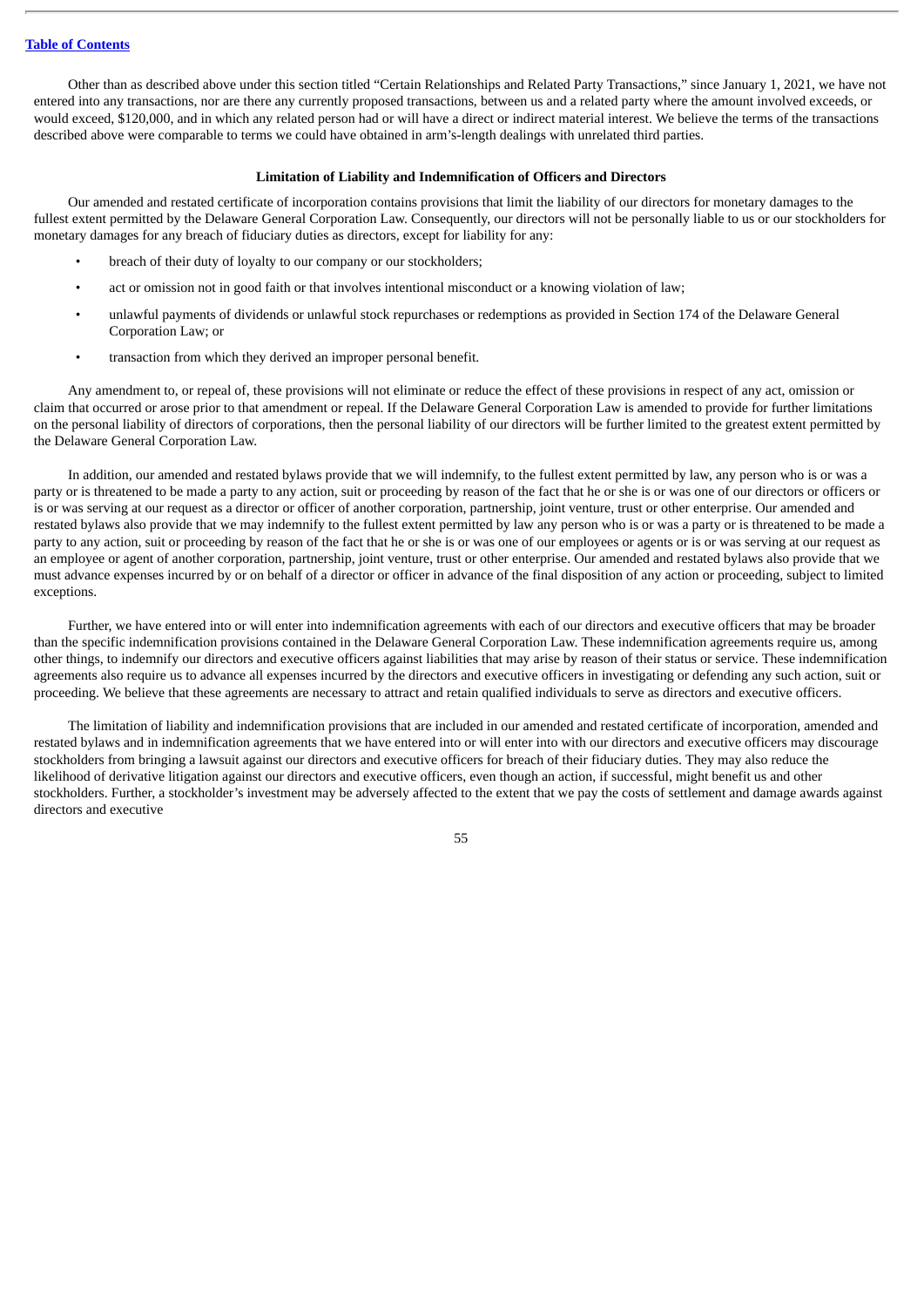Other than as described above under this section titled "Certain Relationships and Related Party Transactions," since January 1, 2021, we have not entered into any transactions, nor are there any currently proposed transactions, between us and a related party where the amount involved exceeds, or would exceed, \$120,000, and in which any related person had or will have a direct or indirect material interest. We believe the terms of the transactions described above were comparable to terms we could have obtained in arm's-length dealings with unrelated third parties.

#### **Limitation of Liability and Indemnification of Officers and Directors**

Our amended and restated certificate of incorporation contains provisions that limit the liability of our directors for monetary damages to the fullest extent permitted by the Delaware General Corporation Law. Consequently, our directors will not be personally liable to us or our stockholders for monetary damages for any breach of fiduciary duties as directors, except for liability for any:

- breach of their duty of loyalty to our company or our stockholders;
- act or omission not in good faith or that involves intentional misconduct or a knowing violation of law;
- unlawful payments of dividends or unlawful stock repurchases or redemptions as provided in Section 174 of the Delaware General Corporation Law; or
- transaction from which they derived an improper personal benefit.

Any amendment to, or repeal of, these provisions will not eliminate or reduce the effect of these provisions in respect of any act, omission or claim that occurred or arose prior to that amendment or repeal. If the Delaware General Corporation Law is amended to provide for further limitations on the personal liability of directors of corporations, then the personal liability of our directors will be further limited to the greatest extent permitted by the Delaware General Corporation Law.

In addition, our amended and restated bylaws provide that we will indemnify, to the fullest extent permitted by law, any person who is or was a party or is threatened to be made a party to any action, suit or proceeding by reason of the fact that he or she is or was one of our directors or officers or is or was serving at our request as a director or officer of another corporation, partnership, joint venture, trust or other enterprise. Our amended and restated bylaws also provide that we may indemnify to the fullest extent permitted by law any person who is or was a party or is threatened to be made a party to any action, suit or proceeding by reason of the fact that he or she is or was one of our employees or agents or is or was serving at our request as an employee or agent of another corporation, partnership, joint venture, trust or other enterprise. Our amended and restated bylaws also provide that we must advance expenses incurred by or on behalf of a director or officer in advance of the final disposition of any action or proceeding, subject to limited exceptions.

Further, we have entered into or will enter into indemnification agreements with each of our directors and executive officers that may be broader than the specific indemnification provisions contained in the Delaware General Corporation Law. These indemnification agreements require us, among other things, to indemnify our directors and executive officers against liabilities that may arise by reason of their status or service. These indemnification agreements also require us to advance all expenses incurred by the directors and executive officers in investigating or defending any such action, suit or proceeding. We believe that these agreements are necessary to attract and retain qualified individuals to serve as directors and executive officers.

The limitation of liability and indemnification provisions that are included in our amended and restated certificate of incorporation, amended and restated bylaws and in indemnification agreements that we have entered into or will enter into with our directors and executive officers may discourage stockholders from bringing a lawsuit against our directors and executive officers for breach of their fiduciary duties. They may also reduce the likelihood of derivative litigation against our directors and executive officers, even though an action, if successful, might benefit us and other stockholders. Further, a stockholder's investment may be adversely affected to the extent that we pay the costs of settlement and damage awards against directors and executive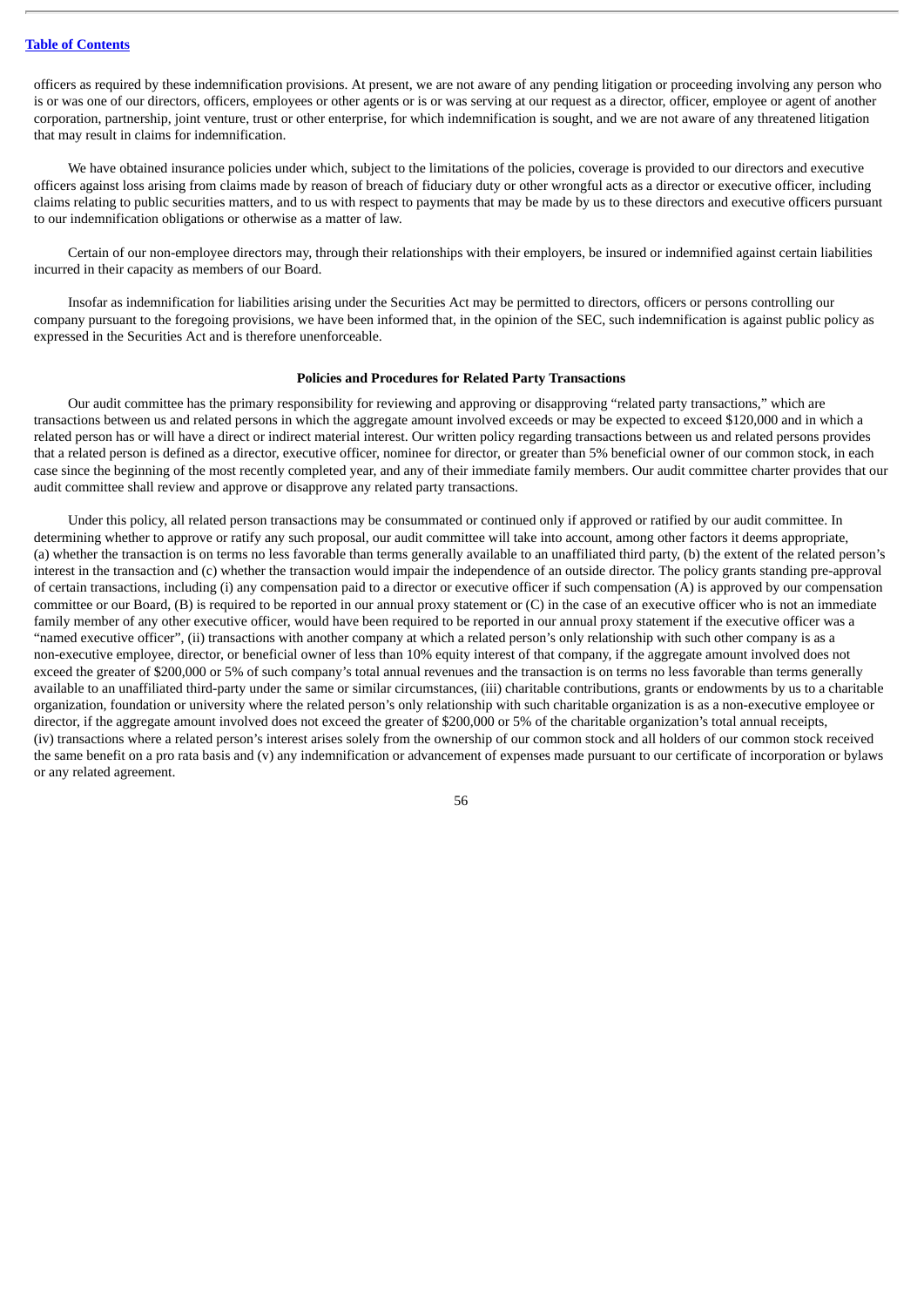officers as required by these indemnification provisions. At present, we are not aware of any pending litigation or proceeding involving any person who is or was one of our directors, officers, employees or other agents or is or was serving at our request as a director, officer, employee or agent of another corporation, partnership, joint venture, trust or other enterprise, for which indemnification is sought, and we are not aware of any threatened litigation that may result in claims for indemnification.

We have obtained insurance policies under which, subject to the limitations of the policies, coverage is provided to our directors and executive officers against loss arising from claims made by reason of breach of fiduciary duty or other wrongful acts as a director or executive officer, including claims relating to public securities matters, and to us with respect to payments that may be made by us to these directors and executive officers pursuant to our indemnification obligations or otherwise as a matter of law.

Certain of our non-employee directors may, through their relationships with their employers, be insured or indemnified against certain liabilities incurred in their capacity as members of our Board.

Insofar as indemnification for liabilities arising under the Securities Act may be permitted to directors, officers or persons controlling our company pursuant to the foregoing provisions, we have been informed that, in the opinion of the SEC, such indemnification is against public policy as expressed in the Securities Act and is therefore unenforceable.

#### **Policies and Procedures for Related Party Transactions**

Our audit committee has the primary responsibility for reviewing and approving or disapproving "related party transactions," which are transactions between us and related persons in which the aggregate amount involved exceeds or may be expected to exceed \$120,000 and in which a related person has or will have a direct or indirect material interest. Our written policy regarding transactions between us and related persons provides that a related person is defined as a director, executive officer, nominee for director, or greater than 5% beneficial owner of our common stock, in each case since the beginning of the most recently completed year, and any of their immediate family members. Our audit committee charter provides that our audit committee shall review and approve or disapprove any related party transactions.

Under this policy, all related person transactions may be consummated or continued only if approved or ratified by our audit committee. In determining whether to approve or ratify any such proposal, our audit committee will take into account, among other factors it deems appropriate, (a) whether the transaction is on terms no less favorable than terms generally available to an unaffiliated third party, (b) the extent of the related person's interest in the transaction and (c) whether the transaction would impair the independence of an outside director. The policy grants standing pre-approval of certain transactions, including (i) any compensation paid to a director or executive officer if such compensation (A) is approved by our compensation committee or our Board, (B) is required to be reported in our annual proxy statement or (C) in the case of an executive officer who is not an immediate family member of any other executive officer, would have been required to be reported in our annual proxy statement if the executive officer was a "named executive officer", (ii) transactions with another company at which a related person's only relationship with such other company is as a non-executive employee, director, or beneficial owner of less than 10% equity interest of that company, if the aggregate amount involved does not exceed the greater of \$200,000 or 5% of such company's total annual revenues and the transaction is on terms no less favorable than terms generally available to an unaffiliated third-party under the same or similar circumstances, (iii) charitable contributions, grants or endowments by us to a charitable organization, foundation or university where the related person's only relationship with such charitable organization is as a non-executive employee or director, if the aggregate amount involved does not exceed the greater of \$200,000 or 5% of the charitable organization's total annual receipts, (iv) transactions where a related person's interest arises solely from the ownership of our common stock and all holders of our common stock received the same benefit on a pro rata basis and (v) any indemnification or advancement of expenses made pursuant to our certificate of incorporation or bylaws or any related agreement.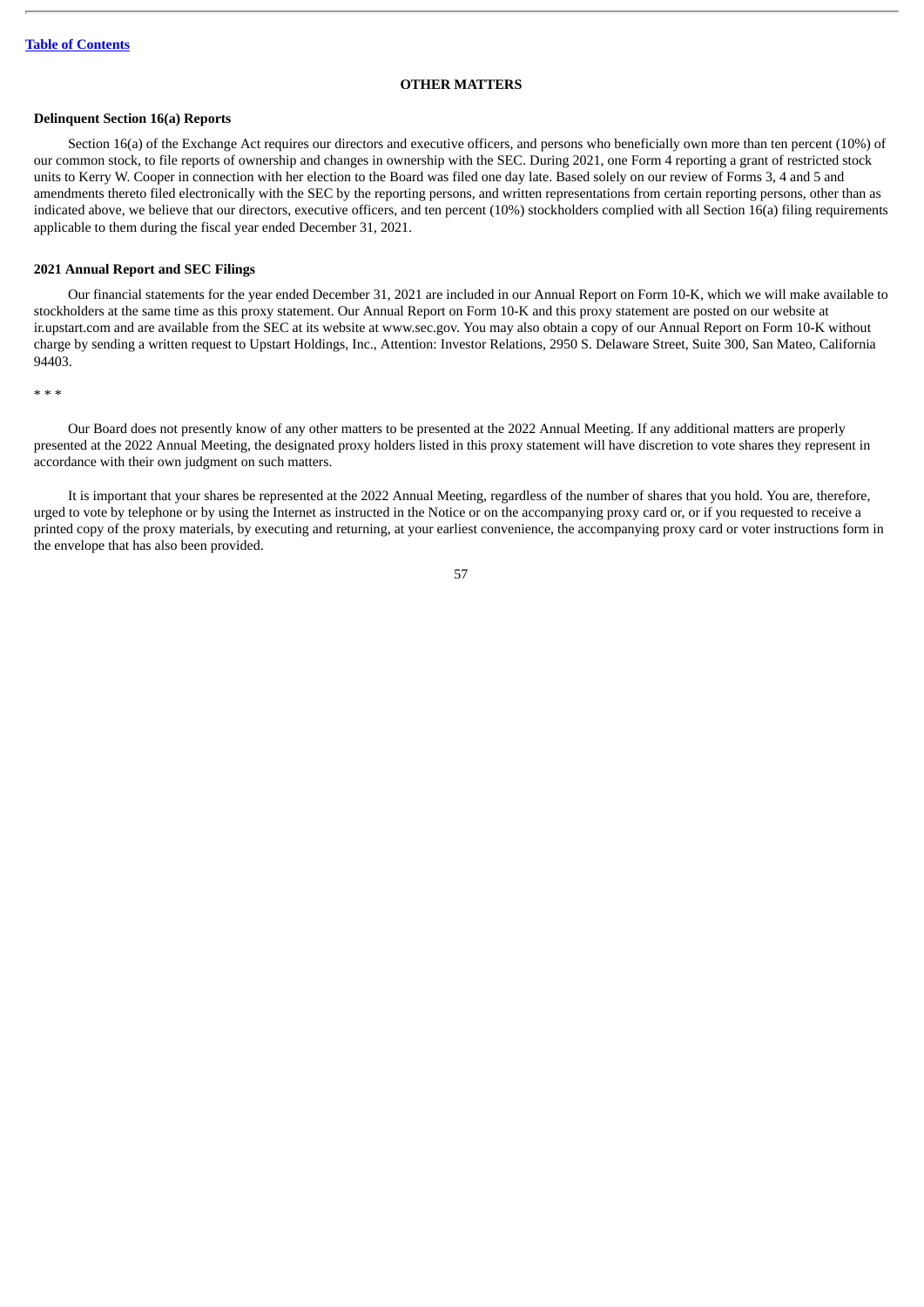# **OTHER MATTERS**

# <span id="page-59-1"></span><span id="page-59-0"></span>**Delinquent Section 16(a) Reports**

Section 16(a) of the Exchange Act requires our directors and executive officers, and persons who beneficially own more than ten percent (10%) of our common stock, to file reports of ownership and changes in ownership with the SEC. During 2021, one Form 4 reporting a grant of restricted stock units to Kerry W. Cooper in connection with her election to the Board was filed one day late. Based solely on our review of Forms 3, 4 and 5 and amendments thereto filed electronically with the SEC by the reporting persons, and written representations from certain reporting persons, other than as indicated above, we believe that our directors, executive officers, and ten percent (10%) stockholders complied with all Section 16(a) filing requirements applicable to them during the fiscal year ended December 31, 2021.

#### <span id="page-59-2"></span>**2021 Annual Report and SEC Filings**

Our financial statements for the year ended December 31, 2021 are included in our Annual Report on Form 10-K, which we will make available to stockholders at the same time as this proxy statement. Our Annual Report on Form 10-K and this proxy statement are posted on our website at ir.upstart.com and are available from the SEC at its website at www.sec.gov. You may also obtain a copy of our Annual Report on Form 10-K without charge by sending a written request to Upstart Holdings, Inc., Attention: Investor Relations, 2950 S. Delaware Street, Suite 300, San Mateo, California 94403.

\* \* \*

Our Board does not presently know of any other matters to be presented at the 2022 Annual Meeting. If any additional matters are properly presented at the 2022 Annual Meeting, the designated proxy holders listed in this proxy statement will have discretion to vote shares they represent in accordance with their own judgment on such matters.

It is important that your shares be represented at the 2022 Annual Meeting, regardless of the number of shares that you hold. You are, therefore, urged to vote by telephone or by using the Internet as instructed in the Notice or on the accompanying proxy card or, or if you requested to receive a printed copy of the proxy materials, by executing and returning, at your earliest convenience, the accompanying proxy card or voter instructions form in the envelope that has also been provided.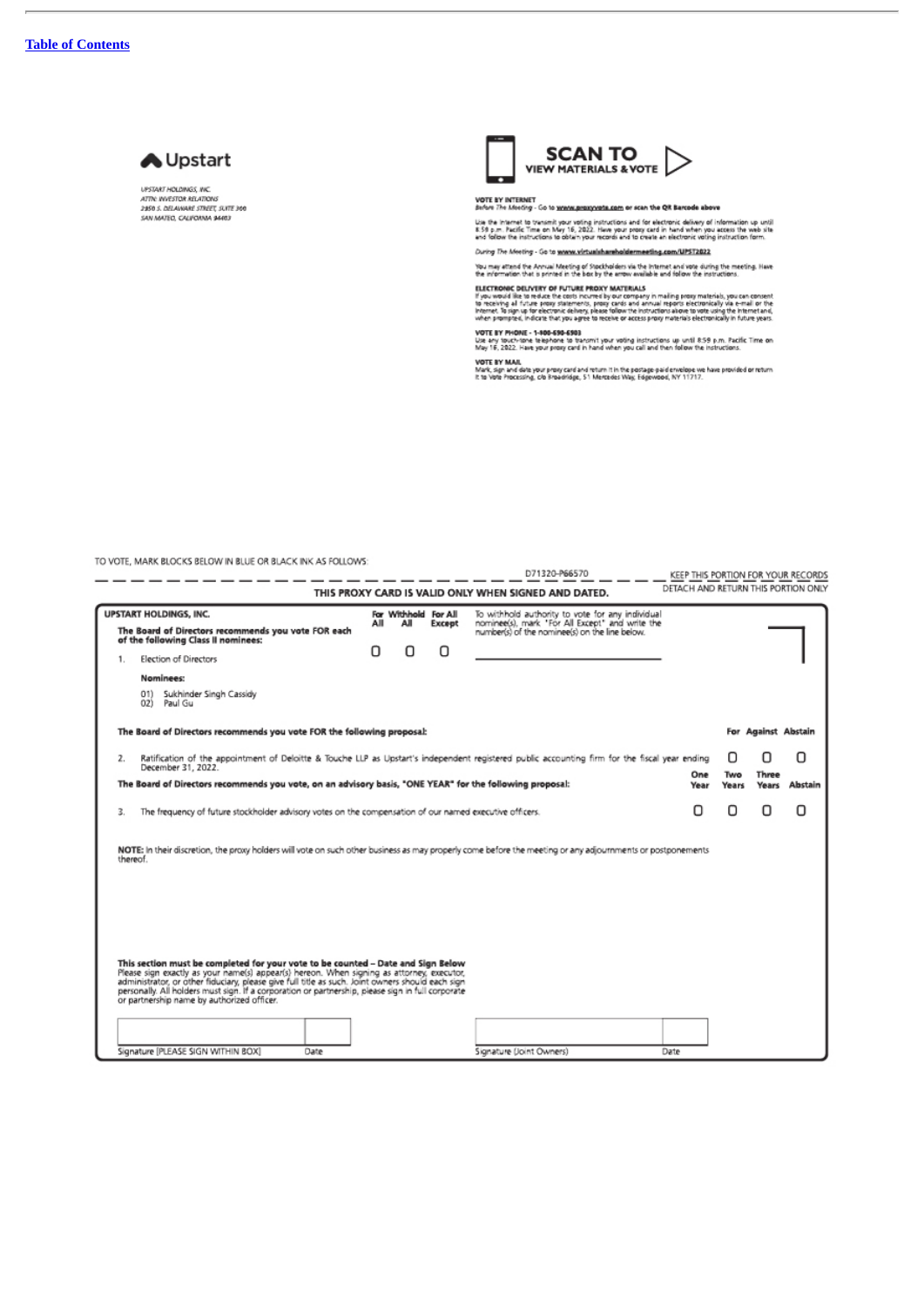$\overline{a}$ 



**UPSTART HOLDINGS, INC.** UPSIANI HOLOMAS, INC.<br>ATTIC HVESTOR RELATIONS<br>2950 S. DELAWARE STREET, SUITE 360<br>SAN MATEO, CALIFORNIA 94403



VOTE BY INTERNET<br>Sufore The Meeting - Go to <u>wonos proxyveds com</u> or scan the QR Barcode above

Use the Internet to transmit your voting instructions and for electronic delivery of information up until<br>E 59 p.m. Pacific Time on May 16, 2022. Have your propy card in hand when you access the web site.<br>and follow the i

During The Meeting - Go to www.virtualshareholdermeeting.com/UPST2022

You may attend the Annual Meeting of Stockholders via the Internet and vote during the meeting. Have<br>the information that is printed in the box by the arrow available and follow the instructions.

**ELECTRONIC DELIVERY OF FUTURE PROXY MATERIALS**<br>If you would like to reduce the crots incurred by our company in mailing proxy materials, you can consent<br>If you would like to reduce the crots incurred by our company in mai

VOTE BY PHONE - 1-800-590-6503<br>Use any touch-tone telephone to transmit your voting instructions up until 8:59 p.m. Pacific Time on<br>May 16, 2022. Have your proxy card in hand when you call and then follow the instructions.

VOTE BY MAIL<br>Mark, sign and date your proxy card and return it in the postage paid envelope we have provided or return<br>It to Yote Processing, c/o Broadnidge, 51 Mercedes Way, Edgewood, NY 11717.

TO VOTE, MARK BLOCKS BELOW IN BLUE OR BLACK INK AS FOLLOWS:

|                                                                                                                                                                                                                                                                                                                                                                                                                                      |                                                                                                                                                                      |     |                             |        | D71320-P66570                                                                                                                                         | KEEP THIS PORTION FOR YOUR RECORDS  |                        |                       |                |  |
|--------------------------------------------------------------------------------------------------------------------------------------------------------------------------------------------------------------------------------------------------------------------------------------------------------------------------------------------------------------------------------------------------------------------------------------|----------------------------------------------------------------------------------------------------------------------------------------------------------------------|-----|-----------------------------|--------|-------------------------------------------------------------------------------------------------------------------------------------------------------|-------------------------------------|------------------------|-----------------------|----------------|--|
|                                                                                                                                                                                                                                                                                                                                                                                                                                      |                                                                                                                                                                      |     |                             |        | THIS PROXY CARD IS VALID ONLY WHEN SIGNED AND DATED.                                                                                                  | DETACH AND RETURN THIS PORTION ONLY |                        |                       |                |  |
| <b>UPSTART HOLDINGS, INC.</b><br>The Board of Directors recommends you vote FOR each                                                                                                                                                                                                                                                                                                                                                 |                                                                                                                                                                      | All | For Withhold For All<br>AJI | Except | To withhold authority to vote for any individual<br>nominee(s), mark 'For All Except" and write the<br>number(s) of the nominee(s) on the line below. |                                     |                        |                       |                |  |
| 1.                                                                                                                                                                                                                                                                                                                                                                                                                                   | of the following Class II nominees:<br>Election of Directors                                                                                                         |     | п                           | Π      |                                                                                                                                                       |                                     |                        |                       |                |  |
|                                                                                                                                                                                                                                                                                                                                                                                                                                      | Nominees:                                                                                                                                                            |     |                             |        |                                                                                                                                                       |                                     |                        |                       |                |  |
|                                                                                                                                                                                                                                                                                                                                                                                                                                      | Sukhinder Singh Cassidy<br>01)<br>Paul Gu<br>02)                                                                                                                     |     |                             |        |                                                                                                                                                       |                                     |                        |                       |                |  |
| The Board of Directors recommends you vote FOR the following proposal:                                                                                                                                                                                                                                                                                                                                                               |                                                                                                                                                                      |     |                             |        |                                                                                                                                                       |                                     | Against Abstain<br>For |                       |                |  |
| 2.                                                                                                                                                                                                                                                                                                                                                                                                                                   | Ratification of the appointment of Deloitte & Touche LLP as Upstart's independent registered public accounting firm for the fiscal year ending<br>December 31, 2022. |     |                             |        |                                                                                                                                                       |                                     |                        | П                     | п              |  |
| One<br>The Board of Directors recommends you vote, on an advisory basis, "ONE YEAR" for the following proposal:<br>Year                                                                                                                                                                                                                                                                                                              |                                                                                                                                                                      |     |                             |        |                                                                                                                                                       |                                     | Two<br>Years           | <b>Three</b><br>Years | <b>Abstain</b> |  |
| The frequency of future stockholder advisory votes on the compensation of our named executive officers.<br>3.                                                                                                                                                                                                                                                                                                                        |                                                                                                                                                                      |     |                             |        | Π                                                                                                                                                     | Ω                                   | Ω                      | Ο                     |                |  |
| NOTE: In their discretion, the proxy holders will vote on such other business as may properly come before the meeting or any adjournments or postponements<br>thereof.                                                                                                                                                                                                                                                               |                                                                                                                                                                      |     |                             |        |                                                                                                                                                       |                                     |                        |                       |                |  |
|                                                                                                                                                                                                                                                                                                                                                                                                                                      |                                                                                                                                                                      |     |                             |        |                                                                                                                                                       |                                     |                        |                       |                |  |
|                                                                                                                                                                                                                                                                                                                                                                                                                                      |                                                                                                                                                                      |     |                             |        |                                                                                                                                                       |                                     |                        |                       |                |  |
| This section must be completed for your vote to be counted - Date and Sign Below<br>Please sign exactly as your name(s) appear(s) hereon. When signing as attorney, executor,<br>administrator, or other fiduciary, please give full title as such. Joint owners should each sign<br>personally. All holders must sign. If a corporation or partnership, please sign in full corporate<br>or partnership name by authorized officer. |                                                                                                                                                                      |     |                             |        |                                                                                                                                                       |                                     |                        |                       |                |  |
|                                                                                                                                                                                                                                                                                                                                                                                                                                      |                                                                                                                                                                      |     |                             |        |                                                                                                                                                       |                                     |                        |                       |                |  |
|                                                                                                                                                                                                                                                                                                                                                                                                                                      | Signature [PLEASE SIGN WITHIN BOX]<br>Date                                                                                                                           |     |                             |        | Signature (Joint Owners)                                                                                                                              | Date                                |                        |                       |                |  |